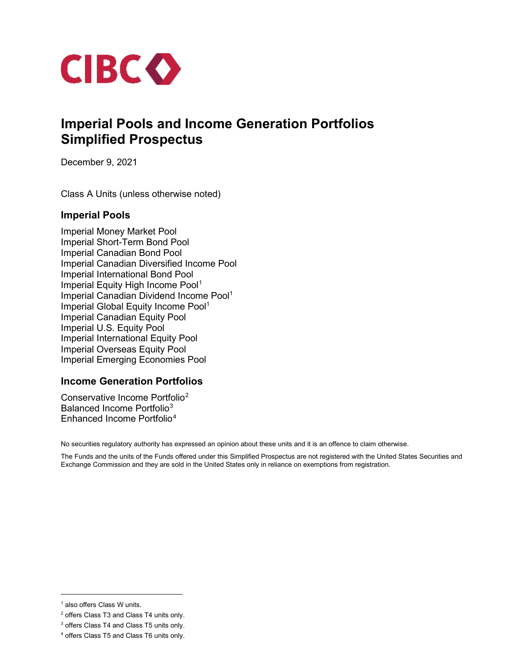

# **Imperial Pools and Income Generation Portfolios Simplified Prospectus**

December 9, 2021

Class A Units (unless otherwise noted)

### **Imperial Pools**

<span id="page-0-0"></span>Imperial Money Market Pool Imperial Short-Term Bond Pool Imperial Canadian Bond Pool Imperial Canadian Diversified Income Pool Imperial International Bond Pool Imperial Equity High Income Pool<sup>[1](#page-0-1)</sup> Imperial Canadian Dividend Income Pool<sup>1</sup> Imperial Global Equity Income Pool<sup>1</sup> Imperial Canadian Equity Pool Imperial U.S. Equity Pool Imperial International Equity Pool Imperial Overseas Equity Pool Imperial Emerging Economies Pool

## **Income Generation Portfolios**

Conservative Income Portfolio[2](#page-0-2) Balanced Income Portfolio<sup>[3](#page-0-3)</sup> Enhanced Income Portfolio[4](#page-0-4)

No securities regulatory authority has expressed an opinion about these units and it is an offence to claim otherwise.

The Funds and the units of the Funds offered under this Simplified Prospectus are not registered with the United States Securities and Exchange Commission and they are sold in the United States only in reliance on exemptions from registration.

<span id="page-0-1"></span><sup>&</sup>lt;sup>1</sup> also offers Class W units.

<span id="page-0-2"></span><sup>2</sup> offers Class T3 and Class T4 units only.

<span id="page-0-3"></span><sup>3</sup> offers Class T4 and Class T5 units only.

<span id="page-0-4"></span><sup>4</sup> offers Class T5 and Class T6 units only.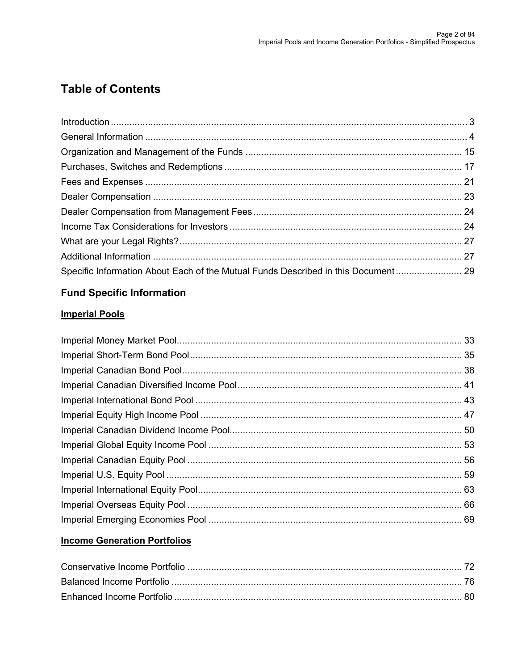# **Table of Contents**

| Specific Information About Each of the Mutual Funds Described in this Document 29 |  |
|-----------------------------------------------------------------------------------|--|

# **Fund Specific Information**

# **Imperial Pools**

# **Income Generation Portfolios**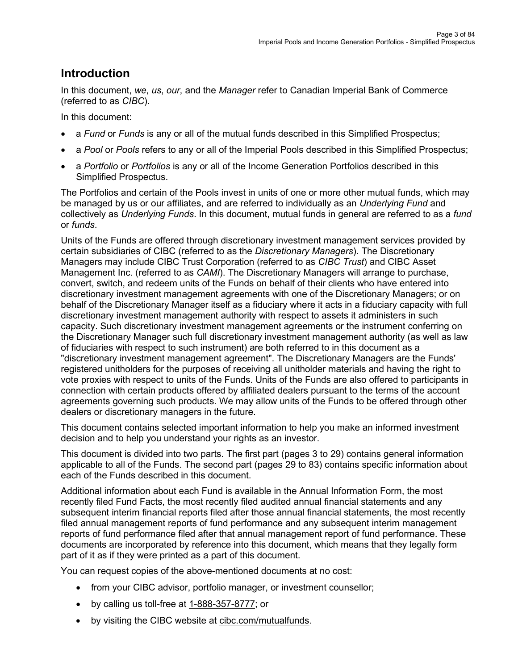# <span id="page-2-0"></span>**Introduction**

In this document, *we*, *us*, *our*, and the *Manager* refer to Canadian Imperial Bank of Commerce (referred to as *CIBC*).

In this document:

- a *Fund* or *Funds* is any or all of the mutual funds described in this Simplified Prospectus;
- a *Pool* or *Pools* refers to any or all of the Imperial Pools described in this Simplified Prospectus;
- a *Portfolio* or *Portfolios* is any or all of the Income Generation Portfolios described in this Simplified Prospectus.

The Portfolios and certain of the Pools invest in units of one or more other mutual funds, which may be managed by us or our affiliates, and are referred to individually as an *Underlying Fund* and collectively as *Underlying Funds*. In this document, mutual funds in general are referred to as a *fund* or *funds*.

Units of the Funds are offered through discretionary investment management services provided by certain subsidiaries of CIBC (referred to as the *Discretionary Managers*). The Discretionary Managers may include CIBC Trust Corporation (referred to as *CIBC Trust*) and CIBC Asset Management Inc. (referred to as *CAMI*). The Discretionary Managers will arrange to purchase, convert, switch, and redeem units of the Funds on behalf of their clients who have entered into discretionary investment management agreements with one of the Discretionary Managers; or on behalf of the Discretionary Manager itself as a fiduciary where it acts in a fiduciary capacity with full discretionary investment management authority with respect to assets it administers in such capacity. Such discretionary investment management agreements or the instrument conferring on the Discretionary Manager such full discretionary investment management authority (as well as law of fiduciaries with respect to such instrument) are both referred to in this document as a "discretionary investment management agreement". The Discretionary Managers are the Funds' registered unitholders for the purposes of receiving all unitholder materials and having the right to vote proxies with respect to units of the Funds. Units of the Funds are also offered to participants in connection with certain products offered by affiliated dealers pursuant to the terms of the account agreements governing such products. We may allow units of the Funds to be offered through other dealers or discretionary managers in the future.

This document contains selected important information to help you make an informed investment decision and to help you understand your rights as an investor.

This document is divided into two parts. The first part (pages 3 to 29) contains general information applicable to all of the Funds. The second part (pages 29 to 83) contains specific information about each of the Funds described in this document.

Additional information about each Fund is available in the Annual Information Form, the most recently filed Fund Facts, the most recently filed audited annual financial statements and any subsequent interim financial reports filed after those annual financial statements, the most recently filed annual management reports of fund performance and any subsequent interim management reports of fund performance filed after that annual management report of fund performance. These documents are incorporated by reference into this document, which means that they legally form part of it as if they were printed as a part of this document.

You can request copies of the above-mentioned documents at no cost:

- from your CIBC advisor, portfolio manager, or investment counsellor;
- by calling us toll-free at [1-888-357-8777;](tel:18883578777) or
- by visiting the CIBC website at [cibc.com/mutualfunds.](http://www.cibc.com/mutualfunds)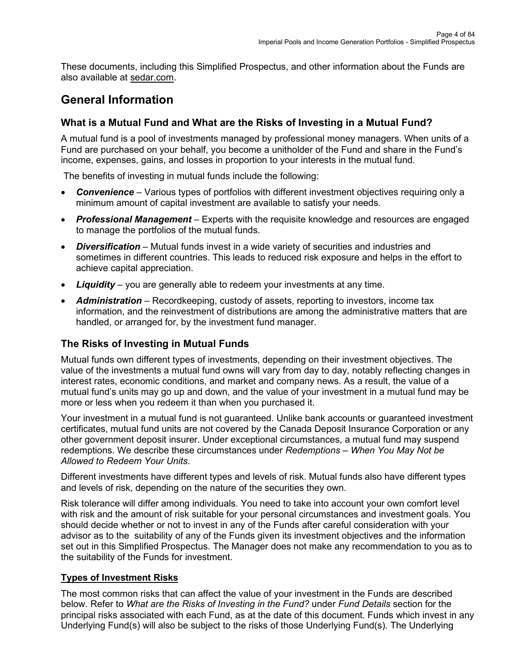These documents, including this Simplified Prospectus, and other information about the Funds are also available at [sedar.com.](http://www.sedar.com/)

# <span id="page-3-0"></span>**General Information**

# **What is a Mutual Fund and What are the Risks of Investing in a Mutual Fund?**

A mutual fund is a pool of investments managed by professional money managers. When units of a Fund are purchased on your behalf, you become a unitholder of the Fund and share in the Fund's income, expenses, gains, and losses in proportion to your interests in the mutual fund.

The benefits of investing in mutual funds include the following:

- *Convenience* Various types of portfolios with different investment objectives requiring only a minimum amount of capital investment are available to satisfy your needs.
- *Professional Management* Experts with the requisite knowledge and resources are engaged to manage the portfolios of the mutual funds.
- *Diversification* Mutual funds invest in a wide variety of securities and industries and sometimes in different countries. This leads to reduced risk exposure and helps in the effort to achieve capital appreciation.
- *Liquidity* you are generally able to redeem your investments at any time.
- *Administration* Recordkeeping, custody of assets, reporting to investors, income tax information, and the reinvestment of distributions are among the administrative matters that are handled, or arranged for, by the investment fund manager.

# **The Risks of Investing in Mutual Funds**

Mutual funds own different types of investments, depending on their investment objectives. The value of the investments a mutual fund owns will vary from day to day, notably reflecting changes in interest rates, economic conditions, and market and company news. As a result, the value of a mutual fund's units may go up and down, and the value of your investment in a mutual fund may be more or less when you redeem it than when you purchased it.

Your investment in a mutual fund is not guaranteed. Unlike bank accounts or guaranteed investment certificates, mutual fund units are not covered by the Canada Deposit Insurance Corporation or any other government deposit insurer. Under exceptional circumstances, a mutual fund may suspend redemptions. We describe these circumstances under *Redemptions – When You May Not be Allowed to Redeem Your Units*.

Different investments have different types and levels of risk. Mutual funds also have different types and levels of risk, depending on the nature of the securities they own.

Risk tolerance will differ among individuals. You need to take into account your own comfort level with risk and the amount of risk suitable for your personal circumstances and investment goals. You should decide whether or not to invest in any of the Funds after careful consideration with your advisor as to the suitability of any of the Funds given its investment objectives and the information set out in this Simplified Prospectus. The Manager does not make any recommendation to you as to the suitability of the Funds for investment.

## **Types of Investment Risks**

The most common risks that can affect the value of your investment in the Funds are described below. Refer to *What are the Risks of Investing in the Fund?* under *Fund Details* section for the principal risks associated with each Fund, as at the date of this document. Funds which invest in any Underlying Fund(s) will also be subject to the risks of those Underlying Fund(s). The Underlying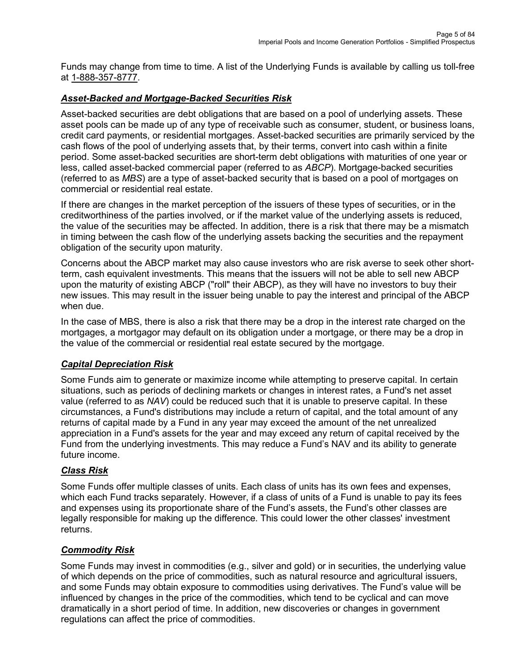Funds may change from time to time. A list of the Underlying Funds is available by calling us toll-free at [1-888-357-8777.](tel:18883578777)

## *Asset-Backed and Mortgage-Backed Securities Risk*

Asset-backed securities are debt obligations that are based on a pool of underlying assets. These asset pools can be made up of any type of receivable such as consumer, student, or business loans, credit card payments, or residential mortgages. Asset-backed securities are primarily serviced by the cash flows of the pool of underlying assets that, by their terms, convert into cash within a finite period. Some asset-backed securities are short-term debt obligations with maturities of one year or less, called asset-backed commercial paper (referred to as *ABCP*). Mortgage-backed securities (referred to as *MBS*) are a type of asset-backed security that is based on a pool of mortgages on commercial or residential real estate.

If there are changes in the market perception of the issuers of these types of securities, or in the creditworthiness of the parties involved, or if the market value of the underlying assets is reduced, the value of the securities may be affected. In addition, there is a risk that there may be a mismatch in timing between the cash flow of the underlying assets backing the securities and the repayment obligation of the security upon maturity.

Concerns about the ABCP market may also cause investors who are risk averse to seek other shortterm, cash equivalent investments. This means that the issuers will not be able to sell new ABCP upon the maturity of existing ABCP ("roll" their ABCP), as they will have no investors to buy their new issues. This may result in the issuer being unable to pay the interest and principal of the ABCP when due.

In the case of MBS, there is also a risk that there may be a drop in the interest rate charged on the mortgages, a mortgagor may default on its obligation under a mortgage, or there may be a drop in the value of the commercial or residential real estate secured by the mortgage.

## *Capital Depreciation Risk*

Some Funds aim to generate or maximize income while attempting to preserve capital. In certain situations, such as periods of declining markets or changes in interest rates, a Fund's net asset value (referred to as *NAV*) could be reduced such that it is unable to preserve capital. In these circumstances, a Fund's distributions may include a return of capital, and the total amount of any returns of capital made by a Fund in any year may exceed the amount of the net unrealized appreciation in a Fund's assets for the year and may exceed any return of capital received by the Fund from the underlying investments. This may reduce a Fund's NAV and its ability to generate future income.

## *Class Risk*

Some Funds offer multiple classes of units. Each class of units has its own fees and expenses, which each Fund tracks separately. However, if a class of units of a Fund is unable to pay its fees and expenses using its proportionate share of the Fund's assets, the Fund's other classes are legally responsible for making up the difference. This could lower the other classes' investment returns.

#### *Commodity Risk*

Some Funds may invest in commodities (e.g., silver and gold) or in securities, the underlying value of which depends on the price of commodities, such as natural resource and agricultural issuers, and some Funds may obtain exposure to commodities using derivatives. The Fund's value will be influenced by changes in the price of the commodities, which tend to be cyclical and can move dramatically in a short period of time. In addition, new discoveries or changes in government regulations can affect the price of commodities.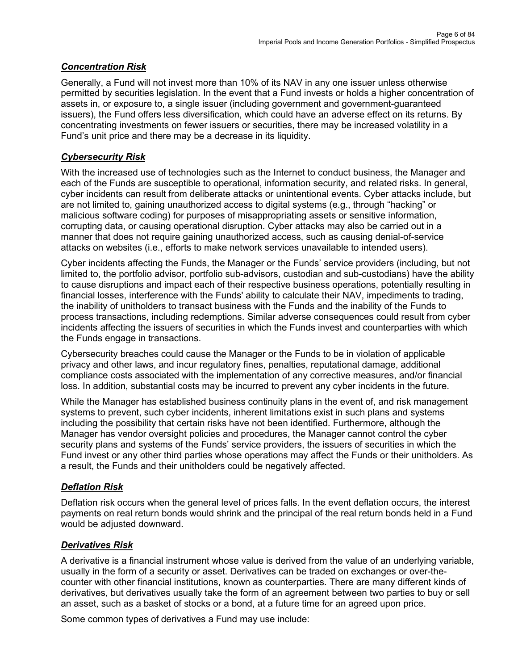## *Concentration Risk*

Generally, a Fund will not invest more than 10% of its NAV in any one issuer unless otherwise permitted by securities legislation. In the event that a Fund invests or holds a higher concentration of assets in, or exposure to, a single issuer (including government and government-guaranteed issuers), the Fund offers less diversification, which could have an adverse effect on its returns. By concentrating investments on fewer issuers or securities, there may be increased volatility in a Fund's unit price and there may be a decrease in its liquidity.

## *Cybersecurity Risk*

With the increased use of technologies such as the Internet to conduct business, the Manager and each of the Funds are susceptible to operational, information security, and related risks. In general, cyber incidents can result from deliberate attacks or unintentional events. Cyber attacks include, but are not limited to, gaining unauthorized access to digital systems (e.g., through "hacking" or malicious software coding) for purposes of misappropriating assets or sensitive information, corrupting data, or causing operational disruption. Cyber attacks may also be carried out in a manner that does not require gaining unauthorized access, such as causing denial-of-service attacks on websites (i.e., efforts to make network services unavailable to intended users).

Cyber incidents affecting the Funds, the Manager or the Funds' service providers (including, but not limited to, the portfolio advisor, portfolio sub-advisors, custodian and sub-custodians) have the ability to cause disruptions and impact each of their respective business operations, potentially resulting in financial losses, interference with the Funds' ability to calculate their NAV, impediments to trading, the inability of unitholders to transact business with the Funds and the inability of the Funds to process transactions, including redemptions. Similar adverse consequences could result from cyber incidents affecting the issuers of securities in which the Funds invest and counterparties with which the Funds engage in transactions.

Cybersecurity breaches could cause the Manager or the Funds to be in violation of applicable privacy and other laws, and incur regulatory fines, penalties, reputational damage, additional compliance costs associated with the implementation of any corrective measures, and/or financial loss. In addition, substantial costs may be incurred to prevent any cyber incidents in the future.

While the Manager has established business continuity plans in the event of, and risk management systems to prevent, such cyber incidents, inherent limitations exist in such plans and systems including the possibility that certain risks have not been identified. Furthermore, although the Manager has vendor oversight policies and procedures, the Manager cannot control the cyber security plans and systems of the Funds' service providers, the issuers of securities in which the Fund invest or any other third parties whose operations may affect the Funds or their unitholders. As a result, the Funds and their unitholders could be negatively affected.

## *Deflation Risk*

Deflation risk occurs when the general level of prices falls. In the event deflation occurs, the interest payments on real return bonds would shrink and the principal of the real return bonds held in a Fund would be adjusted downward.

## *Derivatives Risk*

A derivative is a financial instrument whose value is derived from the value of an underlying variable, usually in the form of a security or asset. Derivatives can be traded on exchanges or over-thecounter with other financial institutions, known as counterparties. There are many different kinds of derivatives, but derivatives usually take the form of an agreement between two parties to buy or sell an asset, such as a basket of stocks or a bond, at a future time for an agreed upon price.

Some common types of derivatives a Fund may use include: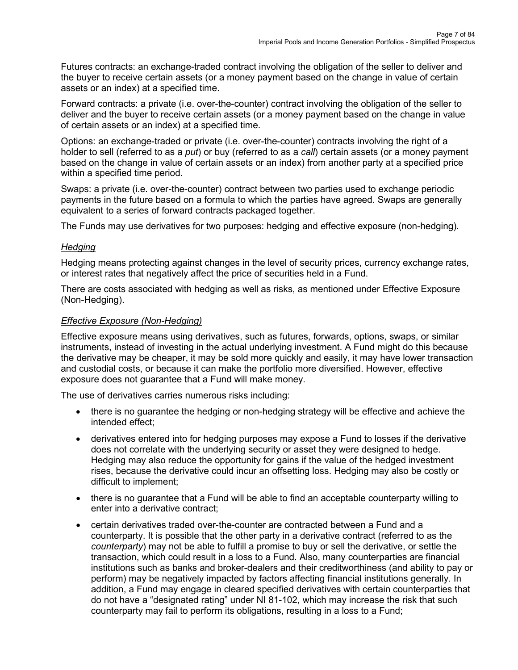Futures contracts: an exchange-traded contract involving the obligation of the seller to deliver and the buyer to receive certain assets (or a money payment based on the change in value of certain assets or an index) at a specified time.

Forward contracts: a private (i.e. over-the-counter) contract involving the obligation of the seller to deliver and the buyer to receive certain assets (or a money payment based on the change in value of certain assets or an index) at a specified time.

Options: an exchange-traded or private (i.e. over-the-counter) contracts involving the right of a holder to sell (referred to as a *put*) or buy (referred to as a *call*) certain assets (or a money payment based on the change in value of certain assets or an index) from another party at a specified price within a specified time period.

Swaps: a private (i.e. over-the-counter) contract between two parties used to exchange periodic payments in the future based on a formula to which the parties have agreed. Swaps are generally equivalent to a series of forward contracts packaged together.

The Funds may use derivatives for two purposes: hedging and effective exposure (non-hedging).

### *Hedging*

Hedging means protecting against changes in the level of security prices, currency exchange rates, or interest rates that negatively affect the price of securities held in a Fund.

There are costs associated with hedging as well as risks, as mentioned under Effective Exposure (Non-Hedging).

### *Effective Exposure (Non-Hedging)*

Effective exposure means using derivatives, such as futures, forwards, options, swaps, or similar instruments, instead of investing in the actual underlying investment. A Fund might do this because the derivative may be cheaper, it may be sold more quickly and easily, it may have lower transaction and custodial costs, or because it can make the portfolio more diversified. However, effective exposure does not guarantee that a Fund will make money.

The use of derivatives carries numerous risks including:

- there is no guarantee the hedging or non-hedging strategy will be effective and achieve the intended effect;
- derivatives entered into for hedging purposes may expose a Fund to losses if the derivative does not correlate with the underlying security or asset they were designed to hedge. Hedging may also reduce the opportunity for gains if the value of the hedged investment rises, because the derivative could incur an offsetting loss. Hedging may also be costly or difficult to implement;
- there is no guarantee that a Fund will be able to find an acceptable counterparty willing to enter into a derivative contract;
- certain derivatives traded over-the-counter are contracted between a Fund and a counterparty. It is possible that the other party in a derivative contract (referred to as the *counterparty*) may not be able to fulfill a promise to buy or sell the derivative, or settle the transaction, which could result in a loss to a Fund. Also, many counterparties are financial institutions such as banks and broker-dealers and their creditworthiness (and ability to pay or perform) may be negatively impacted by factors affecting financial institutions generally. In addition, a Fund may engage in cleared specified derivatives with certain counterparties that do not have a "designated rating" under NI 81-102, which may increase the risk that such counterparty may fail to perform its obligations, resulting in a loss to a Fund;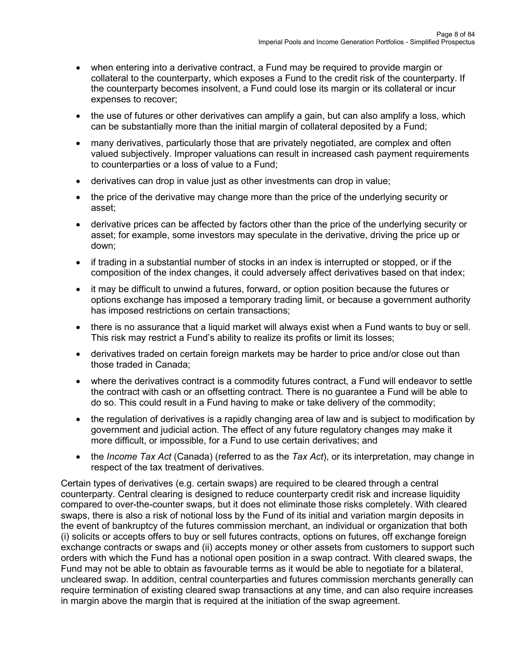- when entering into a derivative contract, a Fund may be required to provide margin or collateral to the counterparty, which exposes a Fund to the credit risk of the counterparty. If the counterparty becomes insolvent, a Fund could lose its margin or its collateral or incur expenses to recover;
- the use of futures or other derivatives can amplify a gain, but can also amplify a loss, which can be substantially more than the initial margin of collateral deposited by a Fund;
- many derivatives, particularly those that are privately negotiated, are complex and often valued subjectively. Improper valuations can result in increased cash payment requirements to counterparties or a loss of value to a Fund;
- derivatives can drop in value just as other investments can drop in value;
- the price of the derivative may change more than the price of the underlying security or asset;
- derivative prices can be affected by factors other than the price of the underlying security or asset; for example, some investors may speculate in the derivative, driving the price up or down;
- if trading in a substantial number of stocks in an index is interrupted or stopped, or if the composition of the index changes, it could adversely affect derivatives based on that index;
- it may be difficult to unwind a futures, forward, or option position because the futures or options exchange has imposed a temporary trading limit, or because a government authority has imposed restrictions on certain transactions;
- there is no assurance that a liquid market will always exist when a Fund wants to buy or sell. This risk may restrict a Fund's ability to realize its profits or limit its losses;
- derivatives traded on certain foreign markets may be harder to price and/or close out than those traded in Canada;
- where the derivatives contract is a commodity futures contract, a Fund will endeavor to settle the contract with cash or an offsetting contract. There is no guarantee a Fund will be able to do so. This could result in a Fund having to make or take delivery of the commodity;
- the regulation of derivatives is a rapidly changing area of law and is subject to modification by government and judicial action. The effect of any future regulatory changes may make it more difficult, or impossible, for a Fund to use certain derivatives; and
- the *Income Tax Act* (Canada) (referred to as the *Tax Act*), or its interpretation, may change in respect of the tax treatment of derivatives.

Certain types of derivatives (e.g. certain swaps) are required to be cleared through a central counterparty. Central clearing is designed to reduce counterparty credit risk and increase liquidity compared to over-the-counter swaps, but it does not eliminate those risks completely. With cleared swaps, there is also a risk of notional loss by the Fund of its initial and variation margin deposits in the event of bankruptcy of the futures commission merchant, an individual or organization that both (i) solicits or accepts offers to buy or sell futures contracts, options on futures, off exchange foreign exchange contracts or swaps and (ii) accepts money or other assets from customers to support such orders with which the Fund has a notional open position in a swap contract. With cleared swaps, the Fund may not be able to obtain as favourable terms as it would be able to negotiate for a bilateral, uncleared swap. In addition, central counterparties and futures commission merchants generally can require termination of existing cleared swap transactions at any time, and can also require increases in margin above the margin that is required at the initiation of the swap agreement.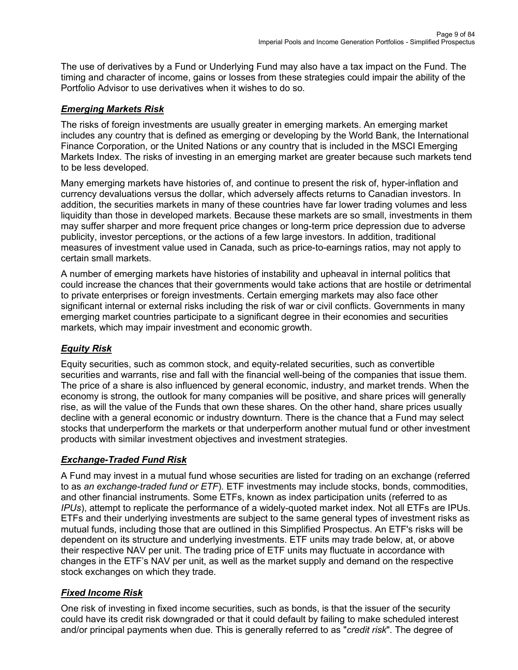The use of derivatives by a Fund or Underlying Fund may also have a tax impact on the Fund. The timing and character of income, gains or losses from these strategies could impair the ability of the Portfolio Advisor to use derivatives when it wishes to do so.

## *Emerging Markets Risk*

The risks of foreign investments are usually greater in emerging markets. An emerging market includes any country that is defined as emerging or developing by the World Bank, the International Finance Corporation, or the United Nations or any country that is included in the MSCI Emerging Markets Index. The risks of investing in an emerging market are greater because such markets tend to be less developed.

Many emerging markets have histories of, and continue to present the risk of, hyper-inflation and currency devaluations versus the dollar, which adversely affects returns to Canadian investors. In addition, the securities markets in many of these countries have far lower trading volumes and less liquidity than those in developed markets. Because these markets are so small, investments in them may suffer sharper and more frequent price changes or long-term price depression due to adverse publicity, investor perceptions, or the actions of a few large investors. In addition, traditional measures of investment value used in Canada, such as price-to-earnings ratios, may not apply to certain small markets.

A number of emerging markets have histories of instability and upheaval in internal politics that could increase the chances that their governments would take actions that are hostile or detrimental to private enterprises or foreign investments. Certain emerging markets may also face other significant internal or external risks including the risk of war or civil conflicts. Governments in many emerging market countries participate to a significant degree in their economies and securities markets, which may impair investment and economic growth.

# *Equity Risk*

Equity securities, such as common stock, and equity-related securities, such as convertible securities and warrants, rise and fall with the financial well-being of the companies that issue them. The price of a share is also influenced by general economic, industry, and market trends. When the economy is strong, the outlook for many companies will be positive, and share prices will generally rise, as will the value of the Funds that own these shares. On the other hand, share prices usually decline with a general economic or industry downturn. There is the chance that a Fund may select stocks that underperform the markets or that underperform another mutual fund or other investment products with similar investment objectives and investment strategies.

# *Exchange-Traded Fund Risk*

A Fund may invest in a mutual fund whose securities are listed for trading on an exchange (referred to as *an exchange-traded fund or ETF*). ETF investments may include stocks, bonds, commodities, and other financial instruments. Some ETFs, known as index participation units (referred to as *IPUs*), attempt to replicate the performance of a widely-quoted market index. Not all ETFs are IPUs. ETFs and their underlying investments are subject to the same general types of investment risks as mutual funds, including those that are outlined in this Simplified Prospectus. An ETF's risks will be dependent on its structure and underlying investments. ETF units may trade below, at, or above their respective NAV per unit. The trading price of ETF units may fluctuate in accordance with changes in the ETF's NAV per unit, as well as the market supply and demand on the respective stock exchanges on which they trade.

# *Fixed Income Risk*

One risk of investing in fixed income securities, such as bonds, is that the issuer of the security could have its credit risk downgraded or that it could default by failing to make scheduled interest and/or principal payments when due. This is generally referred to as "*credit risk*". The degree of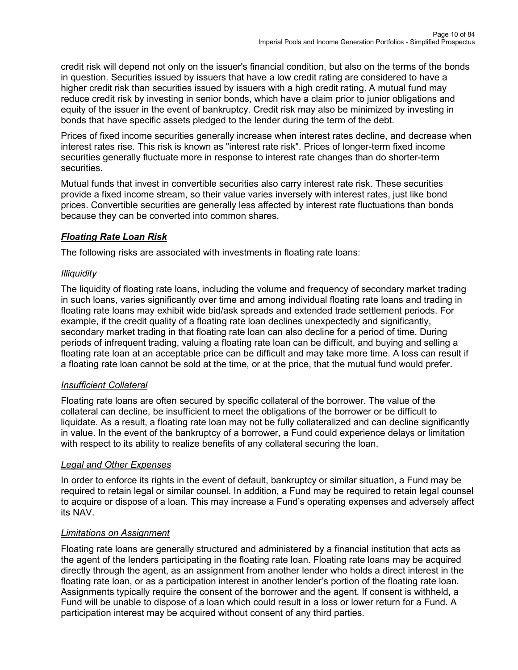credit risk will depend not only on the issuer's financial condition, but also on the terms of the bonds in question. Securities issued by issuers that have a low credit rating are considered to have a higher credit risk than securities issued by issuers with a high credit rating. A mutual fund may reduce credit risk by investing in senior bonds, which have a claim prior to junior obligations and equity of the issuer in the event of bankruptcy. Credit risk may also be minimized by investing in bonds that have specific assets pledged to the lender during the term of the debt.

Prices of fixed income securities generally increase when interest rates decline, and decrease when interest rates rise. This risk is known as "interest rate risk". Prices of longer-term fixed income securities generally fluctuate more in response to interest rate changes than do shorter-term securities.

Mutual funds that invest in convertible securities also carry interest rate risk. These securities provide a fixed income stream, so their value varies inversely with interest rates, just like bond prices. Convertible securities are generally less affected by interest rate fluctuations than bonds because they can be converted into common shares.

## *Floating Rate Loan Risk*

The following risks are associated with investments in floating rate loans:

## *Illiquidity*

The liquidity of floating rate loans, including the volume and frequency of secondary market trading in such loans, varies significantly over time and among individual floating rate loans and trading in floating rate loans may exhibit wide bid/ask spreads and extended trade settlement periods. For example, if the credit quality of a floating rate loan declines unexpectedly and significantly, secondary market trading in that floating rate loan can also decline for a period of time. During periods of infrequent trading, valuing a floating rate loan can be difficult, and buying and selling a floating rate loan at an acceptable price can be difficult and may take more time. A loss can result if a floating rate loan cannot be sold at the time, or at the price, that the mutual fund would prefer.

## *Insufficient Collateral*

Floating rate loans are often secured by specific collateral of the borrower. The value of the collateral can decline, be insufficient to meet the obligations of the borrower or be difficult to liquidate. As a result, a floating rate loan may not be fully collateralized and can decline significantly in value. In the event of the bankruptcy of a borrower, a Fund could experience delays or limitation with respect to its ability to realize benefits of any collateral securing the loan.

## *Legal and Other Expenses*

In order to enforce its rights in the event of default, bankruptcy or similar situation, a Fund may be required to retain legal or similar counsel. In addition, a Fund may be required to retain legal counsel to acquire or dispose of a loan. This may increase a Fund's operating expenses and adversely affect its NAV.

## *Limitations on Assignment*

Floating rate loans are generally structured and administered by a financial institution that acts as the agent of the lenders participating in the floating rate loan. Floating rate loans may be acquired directly through the agent, as an assignment from another lender who holds a direct interest in the floating rate loan, or as a participation interest in another lender's portion of the floating rate loan. Assignments typically require the consent of the borrower and the agent. If consent is withheld, a Fund will be unable to dispose of a loan which could result in a loss or lower return for a Fund. A participation interest may be acquired without consent of any third parties.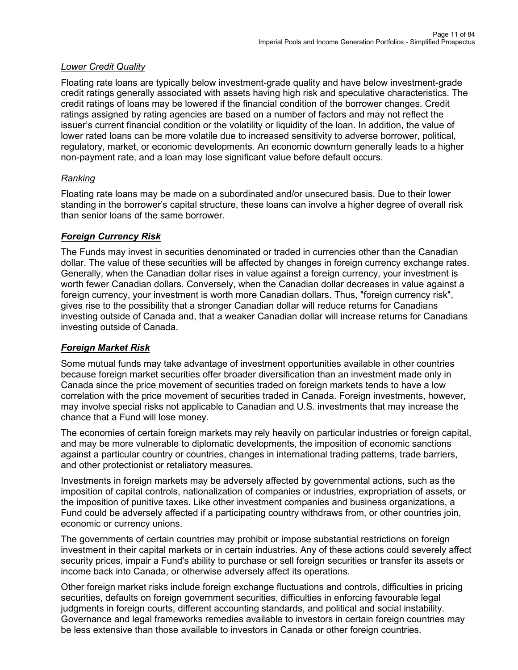### *Lower Credit Quality*

Floating rate loans are typically below investment-grade quality and have below investment-grade credit ratings generally associated with assets having high risk and speculative characteristics. The credit ratings of loans may be lowered if the financial condition of the borrower changes. Credit ratings assigned by rating agencies are based on a number of factors and may not reflect the issuer's current financial condition or the volatility or liquidity of the loan. In addition, the value of lower rated loans can be more volatile due to increased sensitivity to adverse borrower, political, regulatory, market, or economic developments. An economic downturn generally leads to a higher non-payment rate, and a loan may lose significant value before default occurs.

### *Ranking*

Floating rate loans may be made on a subordinated and/or unsecured basis. Due to their lower standing in the borrower's capital structure, these loans can involve a higher degree of overall risk than senior loans of the same borrower.

### *Foreign Currency Risk*

The Funds may invest in securities denominated or traded in currencies other than the Canadian dollar. The value of these securities will be affected by changes in foreign currency exchange rates. Generally, when the Canadian dollar rises in value against a foreign currency, your investment is worth fewer Canadian dollars. Conversely, when the Canadian dollar decreases in value against a foreign currency, your investment is worth more Canadian dollars. Thus, "foreign currency risk", gives rise to the possibility that a stronger Canadian dollar will reduce returns for Canadians investing outside of Canada and, that a weaker Canadian dollar will increase returns for Canadians investing outside of Canada.

## *Foreign Market Risk*

Some mutual funds may take advantage of investment opportunities available in other countries because foreign market securities offer broader diversification than an investment made only in Canada since the price movement of securities traded on foreign markets tends to have a low correlation with the price movement of securities traded in Canada. Foreign investments, however, may involve special risks not applicable to Canadian and U.S. investments that may increase the chance that a Fund will lose money.

The economies of certain foreign markets may rely heavily on particular industries or foreign capital, and may be more vulnerable to diplomatic developments, the imposition of economic sanctions against a particular country or countries, changes in international trading patterns, trade barriers, and other protectionist or retaliatory measures.

Investments in foreign markets may be adversely affected by governmental actions, such as the imposition of capital controls, nationalization of companies or industries, expropriation of assets, or the imposition of punitive taxes. Like other investment companies and business organizations, a Fund could be adversely affected if a participating country withdraws from, or other countries join, economic or currency unions.

The governments of certain countries may prohibit or impose substantial restrictions on foreign investment in their capital markets or in certain industries. Any of these actions could severely affect security prices, impair a Fund's ability to purchase or sell foreign securities or transfer its assets or income back into Canada, or otherwise adversely affect its operations.

Other foreign market risks include foreign exchange fluctuations and controls, difficulties in pricing securities, defaults on foreign government securities, difficulties in enforcing favourable legal judgments in foreign courts, different accounting standards, and political and social instability. Governance and legal frameworks remedies available to investors in certain foreign countries may be less extensive than those available to investors in Canada or other foreign countries.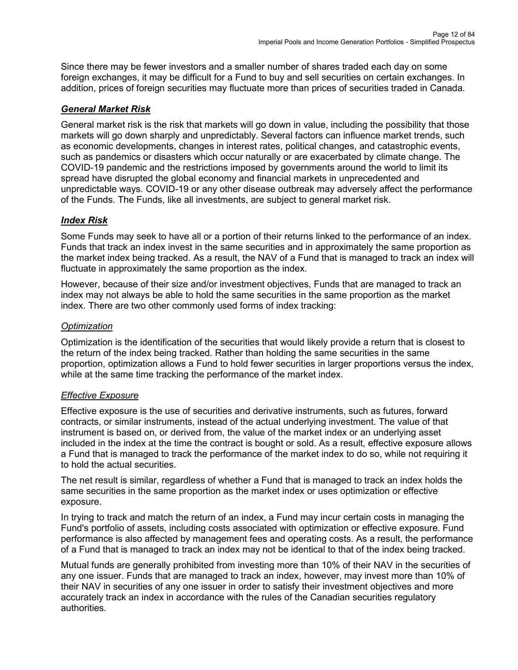Since there may be fewer investors and a smaller number of shares traded each day on some foreign exchanges, it may be difficult for a Fund to buy and sell securities on certain exchanges. In addition, prices of foreign securities may fluctuate more than prices of securities traded in Canada.

## *General Market Risk*

General market risk is the risk that markets will go down in value, including the possibility that those markets will go down sharply and unpredictably. Several factors can influence market trends, such as economic developments, changes in interest rates, political changes, and catastrophic events, such as pandemics or disasters which occur naturally or are exacerbated by climate change. The COVID-19 pandemic and the restrictions imposed by governments around the world to limit its spread have disrupted the global economy and financial markets in unprecedented and unpredictable ways. COVID-19 or any other disease outbreak may adversely affect the performance of the Funds. The Funds, like all investments, are subject to general market risk.

## *Index Risk*

Some Funds may seek to have all or a portion of their returns linked to the performance of an index. Funds that track an index invest in the same securities and in approximately the same proportion as the market index being tracked. As a result, the NAV of a Fund that is managed to track an index will fluctuate in approximately the same proportion as the index.

However, because of their size and/or investment objectives, Funds that are managed to track an index may not always be able to hold the same securities in the same proportion as the market index. There are two other commonly used forms of index tracking:

## *Optimization*

Optimization is the identification of the securities that would likely provide a return that is closest to the return of the index being tracked. Rather than holding the same securities in the same proportion, optimization allows a Fund to hold fewer securities in larger proportions versus the index, while at the same time tracking the performance of the market index.

## *Effective Exposure*

Effective exposure is the use of securities and derivative instruments, such as futures, forward contracts, or similar instruments, instead of the actual underlying investment. The value of that instrument is based on, or derived from, the value of the market index or an underlying asset included in the index at the time the contract is bought or sold. As a result, effective exposure allows a Fund that is managed to track the performance of the market index to do so, while not requiring it to hold the actual securities.

The net result is similar, regardless of whether a Fund that is managed to track an index holds the same securities in the same proportion as the market index or uses optimization or effective exposure.

In trying to track and match the return of an index, a Fund may incur certain costs in managing the Fund's portfolio of assets, including costs associated with optimization or effective exposure. Fund performance is also affected by management fees and operating costs. As a result, the performance of a Fund that is managed to track an index may not be identical to that of the index being tracked.

Mutual funds are generally prohibited from investing more than 10% of their NAV in the securities of any one issuer. Funds that are managed to track an index, however, may invest more than 10% of their NAV in securities of any one issuer in order to satisfy their investment objectives and more accurately track an index in accordance with the rules of the Canadian securities regulatory authorities.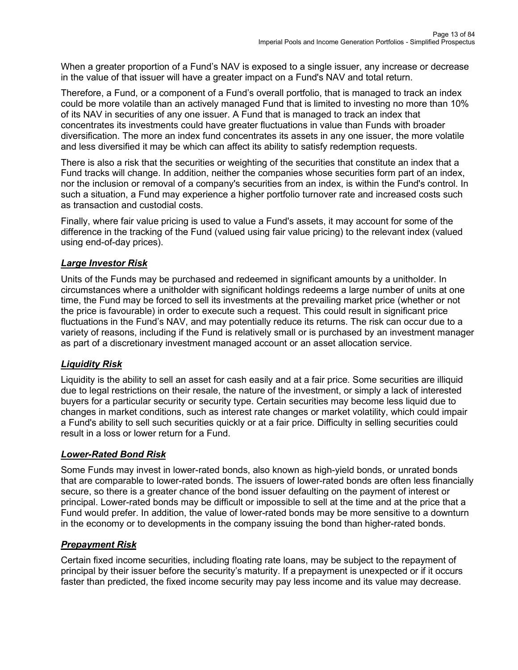When a greater proportion of a Fund's NAV is exposed to a single issuer, any increase or decrease in the value of that issuer will have a greater impact on a Fund's NAV and total return.

Therefore, a Fund, or a component of a Fund's overall portfolio, that is managed to track an index could be more volatile than an actively managed Fund that is limited to investing no more than 10% of its NAV in securities of any one issuer. A Fund that is managed to track an index that concentrates its investments could have greater fluctuations in value than Funds with broader diversification. The more an index fund concentrates its assets in any one issuer, the more volatile and less diversified it may be which can affect its ability to satisfy redemption requests.

There is also a risk that the securities or weighting of the securities that constitute an index that a Fund tracks will change. In addition, neither the companies whose securities form part of an index, nor the inclusion or removal of a company's securities from an index, is within the Fund's control. In such a situation, a Fund may experience a higher portfolio turnover rate and increased costs such as transaction and custodial costs.

Finally, where fair value pricing is used to value a Fund's assets, it may account for some of the difference in the tracking of the Fund (valued using fair value pricing) to the relevant index (valued using end-of-day prices).

## *Large Investor Risk*

Units of the Funds may be purchased and redeemed in significant amounts by a unitholder. In circumstances where a unitholder with significant holdings redeems a large number of units at one time, the Fund may be forced to sell its investments at the prevailing market price (whether or not the price is favourable) in order to execute such a request. This could result in significant price fluctuations in the Fund's NAV, and may potentially reduce its returns. The risk can occur due to a variety of reasons, including if the Fund is relatively small or is purchased by an investment manager as part of a discretionary investment managed account or an asset allocation service.

# *Liquidity Risk*

Liquidity is the ability to sell an asset for cash easily and at a fair price. Some securities are illiquid due to legal restrictions on their resale, the nature of the investment, or simply a lack of interested buyers for a particular security or security type. Certain securities may become less liquid due to changes in market conditions, such as interest rate changes or market volatility, which could impair a Fund's ability to sell such securities quickly or at a fair price. Difficulty in selling securities could result in a loss or lower return for a Fund.

## *Lower-Rated Bond Risk*

Some Funds may invest in lower-rated bonds, also known as high-yield bonds, or unrated bonds that are comparable to lower-rated bonds. The issuers of lower-rated bonds are often less financially secure, so there is a greater chance of the bond issuer defaulting on the payment of interest or principal. Lower-rated bonds may be difficult or impossible to sell at the time and at the price that a Fund would prefer. In addition, the value of lower-rated bonds may be more sensitive to a downturn in the economy or to developments in the company issuing the bond than higher-rated bonds.

# *Prepayment Risk*

Certain fixed income securities, including floating rate loans, may be subject to the repayment of principal by their issuer before the security's maturity. If a prepayment is unexpected or if it occurs faster than predicted, the fixed income security may pay less income and its value may decrease.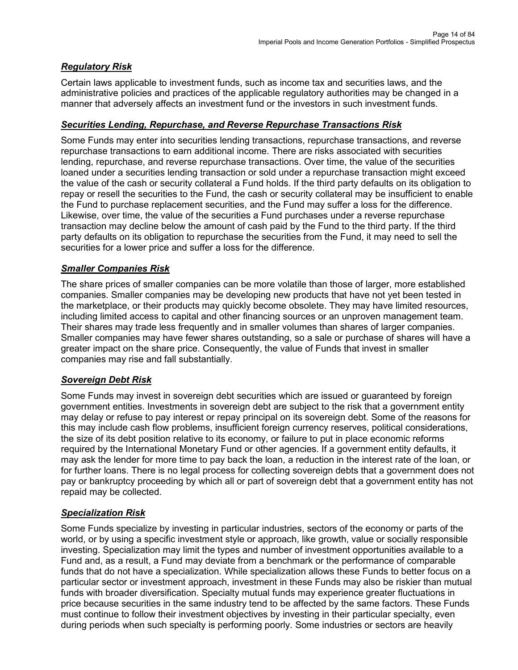## *Regulatory Risk*

Certain laws applicable to investment funds, such as income tax and securities laws, and the administrative policies and practices of the applicable regulatory authorities may be changed in a manner that adversely affects an investment fund or the investors in such investment funds.

### *Securities Lending, Repurchase, and Reverse Repurchase Transactions Risk*

Some Funds may enter into securities lending transactions, repurchase transactions, and reverse repurchase transactions to earn additional income. There are risks associated with securities lending, repurchase, and reverse repurchase transactions. Over time, the value of the securities loaned under a securities lending transaction or sold under a repurchase transaction might exceed the value of the cash or security collateral a Fund holds. If the third party defaults on its obligation to repay or resell the securities to the Fund, the cash or security collateral may be insufficient to enable the Fund to purchase replacement securities, and the Fund may suffer a loss for the difference. Likewise, over time, the value of the securities a Fund purchases under a reverse repurchase transaction may decline below the amount of cash paid by the Fund to the third party. If the third party defaults on its obligation to repurchase the securities from the Fund, it may need to sell the securities for a lower price and suffer a loss for the difference.

### *Smaller Companies Risk*

The share prices of smaller companies can be more volatile than those of larger, more established companies. Smaller companies may be developing new products that have not yet been tested in the marketplace, or their products may quickly become obsolete. They may have limited resources, including limited access to capital and other financing sources or an unproven management team. Their shares may trade less frequently and in smaller volumes than shares of larger companies. Smaller companies may have fewer shares outstanding, so a sale or purchase of shares will have a greater impact on the share price. Consequently, the value of Funds that invest in smaller companies may rise and fall substantially.

## *Sovereign Debt Risk*

Some Funds may invest in sovereign debt securities which are issued or guaranteed by foreign government entities. Investments in sovereign debt are subject to the risk that a government entity may delay or refuse to pay interest or repay principal on its sovereign debt. Some of the reasons for this may include cash flow problems, insufficient foreign currency reserves, political considerations, the size of its debt position relative to its economy, or failure to put in place economic reforms required by the International Monetary Fund or other agencies. If a government entity defaults, it may ask the lender for more time to pay back the loan, a reduction in the interest rate of the loan, or for further loans. There is no legal process for collecting sovereign debts that a government does not pay or bankruptcy proceeding by which all or part of sovereign debt that a government entity has not repaid may be collected.

## *Specialization Risk*

Some Funds specialize by investing in particular industries, sectors of the economy or parts of the world, or by using a specific investment style or approach, like growth, value or socially responsible investing. Specialization may limit the types and number of investment opportunities available to a Fund and, as a result, a Fund may deviate from a benchmark or the performance of comparable funds that do not have a specialization. While specialization allows these Funds to better focus on a particular sector or investment approach, investment in these Funds may also be riskier than mutual funds with broader diversification. Specialty mutual funds may experience greater fluctuations in price because securities in the same industry tend to be affected by the same factors. These Funds must continue to follow their investment objectives by investing in their particular specialty, even during periods when such specialty is performing poorly. Some industries or sectors are heavily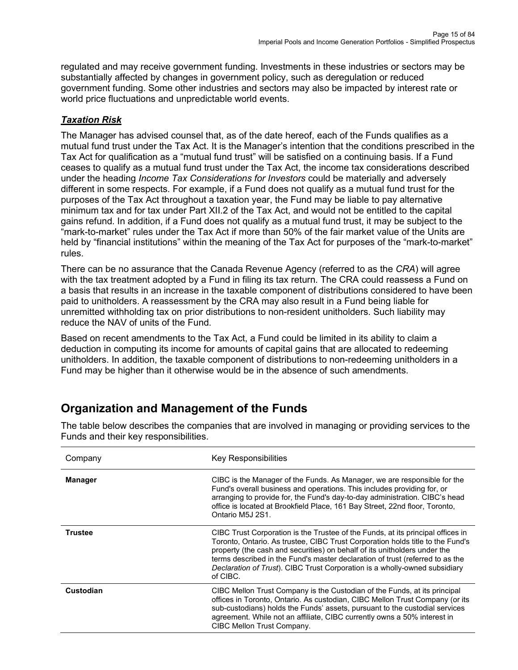regulated and may receive government funding. Investments in these industries or sectors may be substantially affected by changes in government policy, such as deregulation or reduced government funding. Some other industries and sectors may also be impacted by interest rate or world price fluctuations and unpredictable world events.

## *Taxation Risk*

The Manager has advised counsel that, as of the date hereof, each of the Funds qualifies as a mutual fund trust under the Tax Act. It is the Manager's intention that the conditions prescribed in the Tax Act for qualification as a "mutual fund trust" will be satisfied on a continuing basis. If a Fund ceases to qualify as a mutual fund trust under the Tax Act, the income tax considerations described under the heading *Income Tax Considerations for Investors* could be materially and adversely different in some respects. For example, if a Fund does not qualify as a mutual fund trust for the purposes of the Tax Act throughout a taxation year, the Fund may be liable to pay alternative minimum tax and for tax under Part XII.2 of the Tax Act, and would not be entitled to the capital gains refund. In addition, if a Fund does not qualify as a mutual fund trust, it may be subject to the "mark-to-market" rules under the Tax Act if more than 50% of the fair market value of the Units are held by "financial institutions" within the meaning of the Tax Act for purposes of the "mark-to-market" rules.

There can be no assurance that the Canada Revenue Agency (referred to as the *CRA*) will agree with the tax treatment adopted by a Fund in filing its tax return. The CRA could reassess a Fund on a basis that results in an increase in the taxable component of distributions considered to have been paid to unitholders. A reassessment by the CRA may also result in a Fund being liable for unremitted withholding tax on prior distributions to non-resident unitholders. Such liability may reduce the NAV of units of the Fund.

Based on recent amendments to the Tax Act, a Fund could be limited in its ability to claim a deduction in computing its income for amounts of capital gains that are allocated to redeeming unitholders. In addition, the taxable component of distributions to non-redeeming unitholders in a Fund may be higher than it otherwise would be in the absence of such amendments.

# <span id="page-14-0"></span>**Organization and Management of the Funds**

| Company        | <b>Key Responsibilities</b>                                                                                                                                                                                                                                                                                                                                                                                               |
|----------------|---------------------------------------------------------------------------------------------------------------------------------------------------------------------------------------------------------------------------------------------------------------------------------------------------------------------------------------------------------------------------------------------------------------------------|
| <b>Manager</b> | CIBC is the Manager of the Funds. As Manager, we are responsible for the<br>Fund's overall business and operations. This includes providing for, or<br>arranging to provide for, the Fund's day-to-day administration. CIBC's head<br>office is located at Brookfield Place, 161 Bay Street, 22nd floor, Toronto,<br>Ontario M5J 2S1.                                                                                     |
| <b>Trustee</b> | CIBC Trust Corporation is the Trustee of the Funds, at its principal offices in<br>Toronto, Ontario. As trustee, CIBC Trust Corporation holds title to the Fund's<br>property (the cash and securities) on behalf of its unitholders under the<br>terms described in the Fund's master declaration of trust (referred to as the<br>Declaration of Trust). CIBC Trust Corporation is a wholly-owned subsidiary<br>of CIBC. |
| Custodian      | CIBC Mellon Trust Company is the Custodian of the Funds, at its principal<br>offices in Toronto, Ontario. As custodian, CIBC Mellon Trust Company (or its<br>sub-custodians) holds the Funds' assets, pursuant to the custodial services<br>agreement. While not an affiliate, CIBC currently owns a 50% interest in<br>CIBC Mellon Trust Company.                                                                        |

The table below describes the companies that are involved in managing or providing services to the Funds and their key responsibilities.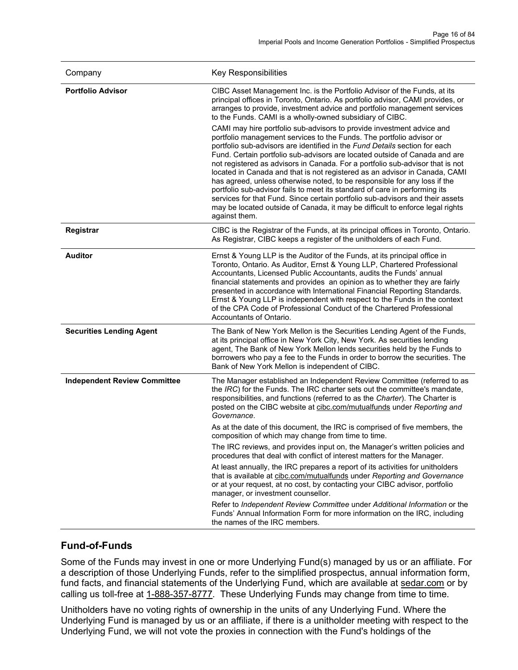| Company                             | <b>Key Responsibilities</b>                                                                                                                                                                                                                                                                                                                                                                                                                                                                                                                                                                                                                                                                                                                                                                                            |  |  |
|-------------------------------------|------------------------------------------------------------------------------------------------------------------------------------------------------------------------------------------------------------------------------------------------------------------------------------------------------------------------------------------------------------------------------------------------------------------------------------------------------------------------------------------------------------------------------------------------------------------------------------------------------------------------------------------------------------------------------------------------------------------------------------------------------------------------------------------------------------------------|--|--|
| <b>Portfolio Advisor</b>            | CIBC Asset Management Inc. is the Portfolio Advisor of the Funds, at its<br>principal offices in Toronto, Ontario. As portfolio advisor, CAMI provides, or<br>arranges to provide, investment advice and portfolio management services<br>to the Funds. CAMI is a wholly-owned subsidiary of CIBC.                                                                                                                                                                                                                                                                                                                                                                                                                                                                                                                     |  |  |
|                                     | CAMI may hire portfolio sub-advisors to provide investment advice and<br>portfolio management services to the Funds. The portfolio advisor or<br>portfolio sub-advisors are identified in the Fund Details section for each<br>Fund. Certain portfolio sub-advisors are located outside of Canada and are<br>not registered as advisors in Canada. For a portfolio sub-advisor that is not<br>located in Canada and that is not registered as an advisor in Canada, CAMI<br>has agreed, unless otherwise noted, to be responsible for any loss if the<br>portfolio sub-advisor fails to meet its standard of care in performing its<br>services for that Fund. Since certain portfolio sub-advisors and their assets<br>may be located outside of Canada, it may be difficult to enforce legal rights<br>against them. |  |  |
| <b>Registrar</b>                    | CIBC is the Registrar of the Funds, at its principal offices in Toronto, Ontario.<br>As Registrar, CIBC keeps a register of the unitholders of each Fund.                                                                                                                                                                                                                                                                                                                                                                                                                                                                                                                                                                                                                                                              |  |  |
| <b>Auditor</b>                      | Ernst & Young LLP is the Auditor of the Funds, at its principal office in<br>Toronto, Ontario. As Auditor, Ernst & Young LLP, Chartered Professional<br>Accountants, Licensed Public Accountants, audits the Funds' annual<br>financial statements and provides an opinion as to whether they are fairly<br>presented in accordance with International Financial Reporting Standards.<br>Ernst & Young LLP is independent with respect to the Funds in the context<br>of the CPA Code of Professional Conduct of the Chartered Professional<br>Accountants of Ontario.                                                                                                                                                                                                                                                 |  |  |
| <b>Securities Lending Agent</b>     | The Bank of New York Mellon is the Securities Lending Agent of the Funds,<br>at its principal office in New York City, New York. As securities lending<br>agent, The Bank of New York Mellon lends securities held by the Funds to<br>borrowers who pay a fee to the Funds in order to borrow the securities. The<br>Bank of New York Mellon is independent of CIBC.                                                                                                                                                                                                                                                                                                                                                                                                                                                   |  |  |
| <b>Independent Review Committee</b> | The Manager established an Independent Review Committee (referred to as<br>the IRC) for the Funds. The IRC charter sets out the committee's mandate,<br>responsibilities, and functions (referred to as the Charter). The Charter is<br>posted on the CIBC website at cibc.com/mutualfunds under Reporting and<br>Governance.                                                                                                                                                                                                                                                                                                                                                                                                                                                                                          |  |  |
|                                     | As at the date of this document, the IRC is comprised of five members, the<br>composition of which may change from time to time.                                                                                                                                                                                                                                                                                                                                                                                                                                                                                                                                                                                                                                                                                       |  |  |
|                                     | The IRC reviews, and provides input on, the Manager's written policies and<br>procedures that deal with conflict of interest matters for the Manager.                                                                                                                                                                                                                                                                                                                                                                                                                                                                                                                                                                                                                                                                  |  |  |
|                                     | At least annually, the IRC prepares a report of its activities for unitholders<br>that is available at cibc.com/mutualfunds under Reporting and Governance<br>or at your request, at no cost, by contacting your CIBC advisor, portfolio<br>manager, or investment counsellor.                                                                                                                                                                                                                                                                                                                                                                                                                                                                                                                                         |  |  |
|                                     | Refer to Independent Review Committee under Additional Information or the<br>Funds' Annual Information Form for more information on the IRC, including<br>the names of the IRC members.                                                                                                                                                                                                                                                                                                                                                                                                                                                                                                                                                                                                                                |  |  |

## **Fund-of-Funds**

Some of the Funds may invest in one or more Underlying Fund(s) managed by us or an affiliate. For a description of those Underlying Funds, refer to the simplified prospectus, annual information form, fund facts, and financial statements of the Underlying Fund, which are available at [sedar.com](http://www.sedar.com/) or by calling us toll-free at [1-888-357-8777.](tel:18883578777) These Underlying Funds may change from time to time.

Unitholders have no voting rights of ownership in the units of any Underlying Fund. Where the Underlying Fund is managed by us or an affiliate, if there is a unitholder meeting with respect to the Underlying Fund, we will not vote the proxies in connection with the Fund's holdings of the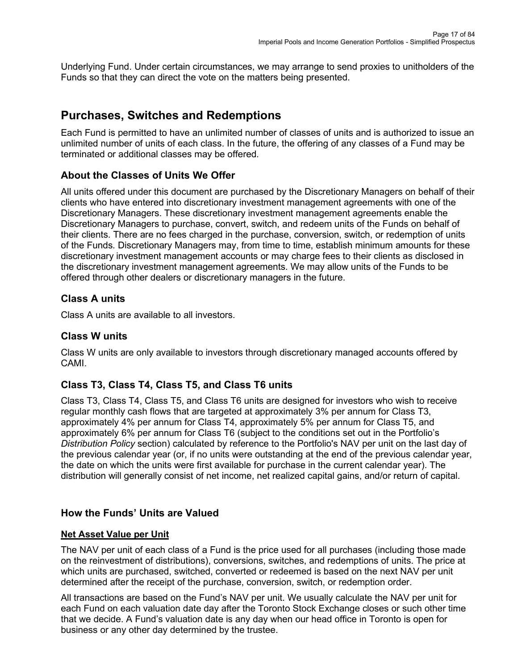Underlying Fund. Under certain circumstances, we may arrange to send proxies to unitholders of the Funds so that they can direct the vote on the matters being presented.

# <span id="page-16-0"></span>**Purchases, Switches and Redemptions**

Each Fund is permitted to have an unlimited number of classes of units and is authorized to issue an unlimited number of units of each class. In the future, the offering of any classes of a Fund may be terminated or additional classes may be offered.

# **About the Classes of Units We Offer**

All units offered under this document are purchased by the Discretionary Managers on behalf of their clients who have entered into discretionary investment management agreements with one of the Discretionary Managers. These discretionary investment management agreements enable the Discretionary Managers to purchase, convert, switch, and redeem units of the Funds on behalf of their clients. There are no fees charged in the purchase, conversion, switch, or redemption of units of the Funds. Discretionary Managers may, from time to time, establish minimum amounts for these discretionary investment management accounts or may charge fees to their clients as disclosed in the discretionary investment management agreements. We may allow units of the Funds to be offered through other dealers or discretionary managers in the future.

## **Class A units**

Class A units are available to all investors.

## **Class W units**

Class W units are only available to investors through discretionary managed accounts offered by CAMI.

# **Class T3, Class T4, Class T5, and Class T6 units**

Class T3, Class T4, Class T5, and Class T6 units are designed for investors who wish to receive regular monthly cash flows that are targeted at approximately 3% per annum for Class T3, approximately 4% per annum for Class T4, approximately 5% per annum for Class T5, and approximately 6% per annum for Class T6 (subject to the conditions set out in the Portfolio's *Distribution Policy* section) calculated by reference to the Portfolio's NAV per unit on the last day of the previous calendar year (or, if no units were outstanding at the end of the previous calendar year, the date on which the units were first available for purchase in the current calendar year). The distribution will generally consist of net income, net realized capital gains, and/or return of capital.

# **How the Funds' Units are Valued**

## **Net Asset Value per Unit**

The NAV per unit of each class of a Fund is the price used for all purchases (including those made on the reinvestment of distributions), conversions, switches, and redemptions of units. The price at which units are purchased, switched, converted or redeemed is based on the next NAV per unit determined after the receipt of the purchase, conversion, switch, or redemption order.

All transactions are based on the Fund's NAV per unit. We usually calculate the NAV per unit for each Fund on each valuation date day after the Toronto Stock Exchange closes or such other time that we decide. A Fund's valuation date is any day when our head office in Toronto is open for business or any other day determined by the trustee.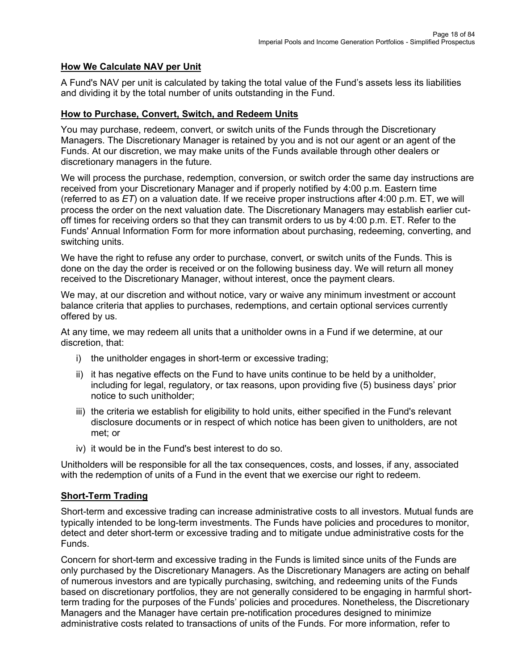### **How We Calculate NAV per Unit**

A Fund's NAV per unit is calculated by taking the total value of the Fund's assets less its liabilities and dividing it by the total number of units outstanding in the Fund.

#### **How to Purchase, Convert, Switch, and Redeem Units**

You may purchase, redeem, convert, or switch units of the Funds through the Discretionary Managers. The Discretionary Manager is retained by you and is not our agent or an agent of the Funds. At our discretion, we may make units of the Funds available through other dealers or discretionary managers in the future.

We will process the purchase, redemption, conversion, or switch order the same day instructions are received from your Discretionary Manager and if properly notified by 4:00 p.m. Eastern time (referred to as *ET*) on a valuation date. If we receive proper instructions after 4:00 p.m. ET, we will process the order on the next valuation date. The Discretionary Managers may establish earlier cutoff times for receiving orders so that they can transmit orders to us by 4:00 p.m. ET. Refer to the Funds' Annual Information Form for more information about purchasing, redeeming, converting, and switching units.

We have the right to refuse any order to purchase, convert, or switch units of the Funds. This is done on the day the order is received or on the following business day. We will return all money received to the Discretionary Manager, without interest, once the payment clears.

We may, at our discretion and without notice, vary or waive any minimum investment or account balance criteria that applies to purchases, redemptions, and certain optional services currently offered by us.

At any time, we may redeem all units that a unitholder owns in a Fund if we determine, at our discretion, that:

- i) the unitholder engages in short-term or excessive trading;
- ii) it has negative effects on the Fund to have units continue to be held by a unitholder, including for legal, regulatory, or tax reasons, upon providing five (5) business days' prior notice to such unitholder;
- iii) the criteria we establish for eligibility to hold units, either specified in the Fund's relevant disclosure documents or in respect of which notice has been given to unitholders, are not met; or
- iv) it would be in the Fund's best interest to do so.

Unitholders will be responsible for all the tax consequences, costs, and losses, if any, associated with the redemption of units of a Fund in the event that we exercise our right to redeem.

#### **Short-Term Trading**

Short-term and excessive trading can increase administrative costs to all investors. Mutual funds are typically intended to be long-term investments. The Funds have policies and procedures to monitor, detect and deter short-term or excessive trading and to mitigate undue administrative costs for the Funds.

Concern for short-term and excessive trading in the Funds is limited since units of the Funds are only purchased by the Discretionary Managers. As the Discretionary Managers are acting on behalf of numerous investors and are typically purchasing, switching, and redeeming units of the Funds based on discretionary portfolios, they are not generally considered to be engaging in harmful shortterm trading for the purposes of the Funds' policies and procedures. Nonetheless, the Discretionary Managers and the Manager have certain pre-notification procedures designed to minimize administrative costs related to transactions of units of the Funds. For more information, refer to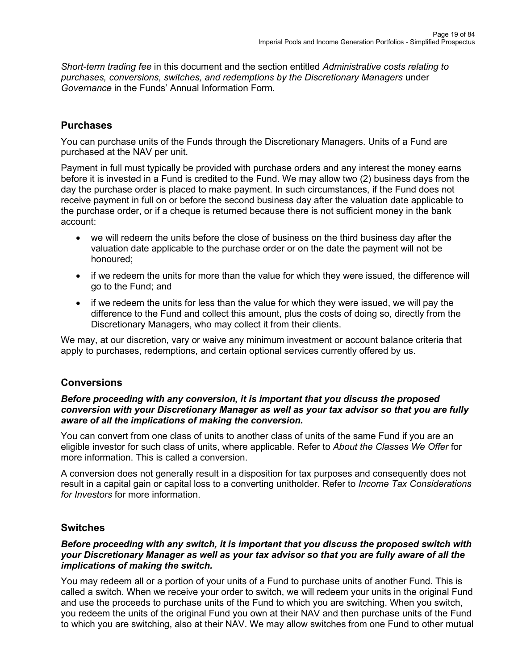*Short-term trading fee* in this document and the section entitled *Administrative costs relating to purchases, conversions, switches, and redemptions by the Discretionary Managers* under *Governance* in the Funds' Annual Information Form.

## **Purchases**

You can purchase units of the Funds through the Discretionary Managers. Units of a Fund are purchased at the NAV per unit.

Payment in full must typically be provided with purchase orders and any interest the money earns before it is invested in a Fund is credited to the Fund. We may allow two (2) business days from the day the purchase order is placed to make payment. In such circumstances, if the Fund does not receive payment in full on or before the second business day after the valuation date applicable to the purchase order, or if a cheque is returned because there is not sufficient money in the bank account:

- we will redeem the units before the close of business on the third business day after the valuation date applicable to the purchase order or on the date the payment will not be honoured;
- if we redeem the units for more than the value for which they were issued, the difference will go to the Fund; and
- if we redeem the units for less than the value for which they were issued, we will pay the difference to the Fund and collect this amount, plus the costs of doing so, directly from the Discretionary Managers, who may collect it from their clients.

We may, at our discretion, vary or waive any minimum investment or account balance criteria that apply to purchases, redemptions, and certain optional services currently offered by us.

## **Conversions**

#### *Before proceeding with any conversion, it is important that you discuss the proposed conversion with your Discretionary Manager as well as your tax advisor so that you are fully aware of all the implications of making the conversion.*

You can convert from one class of units to another class of units of the same Fund if you are an eligible investor for such class of units, where applicable. Refer to *About the Classes We Offer* for more information. This is called a conversion.

A conversion does not generally result in a disposition for tax purposes and consequently does not result in a capital gain or capital loss to a converting unitholder. Refer to *Income Tax Considerations for Investors* for more information.

## **Switches**

#### *Before proceeding with any switch, it is important that you discuss the proposed switch with your Discretionary Manager as well as your tax advisor so that you are fully aware of all the implications of making the switch.*

You may redeem all or a portion of your units of a Fund to purchase units of another Fund. This is called a switch. When we receive your order to switch, we will redeem your units in the original Fund and use the proceeds to purchase units of the Fund to which you are switching. When you switch, you redeem the units of the original Fund you own at their NAV and then purchase units of the Fund to which you are switching, also at their NAV. We may allow switches from one Fund to other mutual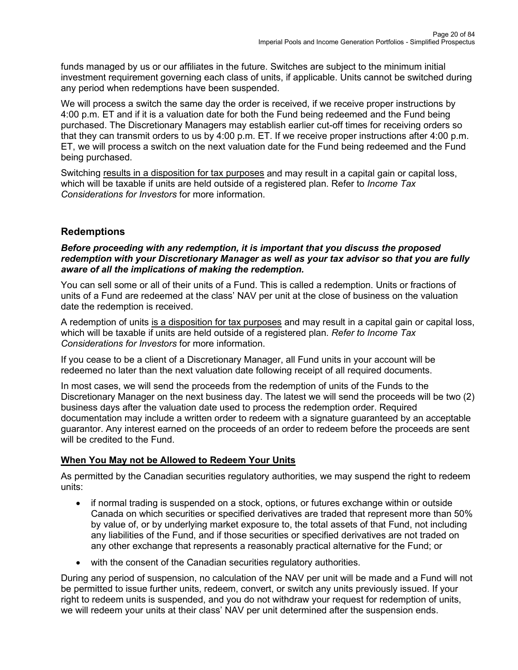funds managed by us or our affiliates in the future. Switches are subject to the minimum initial investment requirement governing each class of units, if applicable. Units cannot be switched during any period when redemptions have been suspended.

We will process a switch the same day the order is received, if we receive proper instructions by 4:00 p.m. ET and if it is a valuation date for both the Fund being redeemed and the Fund being purchased. The Discretionary Managers may establish earlier cut-off times for receiving orders so that they can transmit orders to us by 4:00 p.m. ET. If we receive proper instructions after 4:00 p.m. ET, we will process a switch on the next valuation date for the Fund being redeemed and the Fund being purchased.

Switching results in a disposition for tax purposes and may result in a capital gain or capital loss, which will be taxable if units are held outside of a registered plan. Refer to *Income Tax Considerations for Investors* for more information.

# **Redemptions**

#### *Before proceeding with any redemption, it is important that you discuss the proposed redemption with your Discretionary Manager as well as your tax advisor so that you are fully aware of all the implications of making the redemption.*

You can sell some or all of their units of a Fund. This is called a redemption. Units or fractions of units of a Fund are redeemed at the class' NAV per unit at the close of business on the valuation date the redemption is received.

A redemption of units is a disposition for tax purposes and may result in a capital gain or capital loss, which will be taxable if units are held outside of a registered plan. *Refer to Income Tax Considerations for Investors* for more information.

If you cease to be a client of a Discretionary Manager, all Fund units in your account will be redeemed no later than the next valuation date following receipt of all required documents.

In most cases, we will send the proceeds from the redemption of units of the Funds to the Discretionary Manager on the next business day. The latest we will send the proceeds will be two (2) business days after the valuation date used to process the redemption order. Required documentation may include a written order to redeem with a signature guaranteed by an acceptable guarantor. Any interest earned on the proceeds of an order to redeem before the proceeds are sent will be credited to the Fund.

## **When You May not be Allowed to Redeem Your Units**

As permitted by the Canadian securities regulatory authorities, we may suspend the right to redeem units:

- if normal trading is suspended on a stock, options, or futures exchange within or outside Canada on which securities or specified derivatives are traded that represent more than 50% by value of, or by underlying market exposure to, the total assets of that Fund, not including any liabilities of the Fund, and if those securities or specified derivatives are not traded on any other exchange that represents a reasonably practical alternative for the Fund; or
- with the consent of the Canadian securities regulatory authorities.

During any period of suspension, no calculation of the NAV per unit will be made and a Fund will not be permitted to issue further units, redeem, convert, or switch any units previously issued. If your right to redeem units is suspended, and you do not withdraw your request for redemption of units, we will redeem your units at their class' NAV per unit determined after the suspension ends.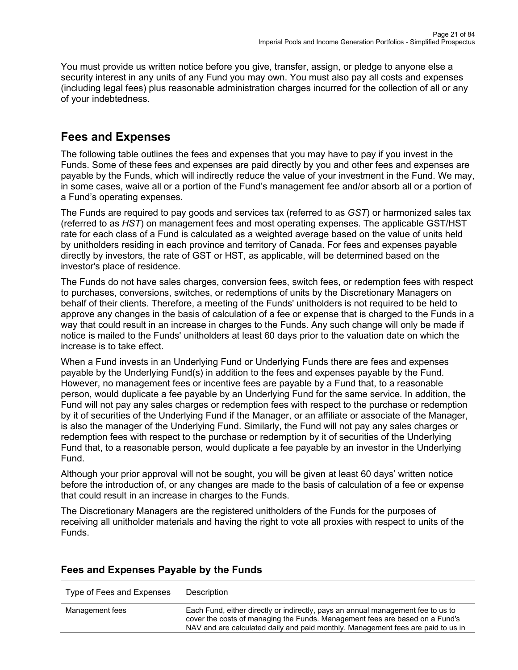You must provide us written notice before you give, transfer, assign, or pledge to anyone else a security interest in any units of any Fund you may own. You must also pay all costs and expenses (including legal fees) plus reasonable administration charges incurred for the collection of all or any of your indebtedness.

# <span id="page-20-0"></span>**Fees and Expenses**

The following table outlines the fees and expenses that you may have to pay if you invest in the Funds. Some of these fees and expenses are paid directly by you and other fees and expenses are payable by the Funds, which will indirectly reduce the value of your investment in the Fund. We may, in some cases, waive all or a portion of the Fund's management fee and/or absorb all or a portion of a Fund's operating expenses.

The Funds are required to pay goods and services tax (referred to as *GST*) or harmonized sales tax (referred to as *HST*) on management fees and most operating expenses. The applicable GST/HST rate for each class of a Fund is calculated as a weighted average based on the value of units held by unitholders residing in each province and territory of Canada. For fees and expenses payable directly by investors, the rate of GST or HST, as applicable, will be determined based on the investor's place of residence.

The Funds do not have sales charges, conversion fees, switch fees, or redemption fees with respect to purchases, conversions, switches, or redemptions of units by the Discretionary Managers on behalf of their clients. Therefore, a meeting of the Funds' unitholders is not required to be held to approve any changes in the basis of calculation of a fee or expense that is charged to the Funds in a way that could result in an increase in charges to the Funds. Any such change will only be made if notice is mailed to the Funds' unitholders at least 60 days prior to the valuation date on which the increase is to take effect.

When a Fund invests in an Underlying Fund or Underlying Funds there are fees and expenses payable by the Underlying Fund(s) in addition to the fees and expenses payable by the Fund. However, no management fees or incentive fees are payable by a Fund that, to a reasonable person, would duplicate a fee payable by an Underlying Fund for the same service. In addition, the Fund will not pay any sales charges or redemption fees with respect to the purchase or redemption by it of securities of the Underlying Fund if the Manager, or an affiliate or associate of the Manager, is also the manager of the Underlying Fund. Similarly, the Fund will not pay any sales charges or redemption fees with respect to the purchase or redemption by it of securities of the Underlying Fund that, to a reasonable person, would duplicate a fee payable by an investor in the Underlying Fund.

Although your prior approval will not be sought, you will be given at least 60 days' written notice before the introduction of, or any changes are made to the basis of calculation of a fee or expense that could result in an increase in charges to the Funds.

The Discretionary Managers are the registered unitholders of the Funds for the purposes of receiving all unitholder materials and having the right to vote all proxies with respect to units of the Funds.

| Type of Fees and Expenses | Description                                                                                                                                                                                                                                          |
|---------------------------|------------------------------------------------------------------------------------------------------------------------------------------------------------------------------------------------------------------------------------------------------|
| Management fees           | Each Fund, either directly or indirectly, pays an annual management fee to us to<br>cover the costs of managing the Funds. Management fees are based on a Fund's<br>NAV and are calculated daily and paid monthly. Management fees are paid to us in |

# **Fees and Expenses Payable by the Funds**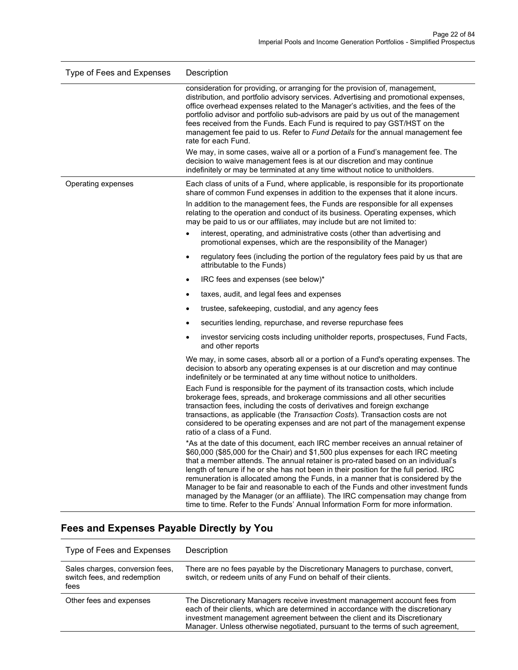| Type of Fees and Expenses | Description                                                                                                                                                                                                                                                                                                                                                                                                                                                                                                                                                                                                                                                                                     |  |  |  |  |
|---------------------------|-------------------------------------------------------------------------------------------------------------------------------------------------------------------------------------------------------------------------------------------------------------------------------------------------------------------------------------------------------------------------------------------------------------------------------------------------------------------------------------------------------------------------------------------------------------------------------------------------------------------------------------------------------------------------------------------------|--|--|--|--|
|                           | consideration for providing, or arranging for the provision of, management,<br>distribution, and portfolio advisory services. Advertising and promotional expenses,<br>office overhead expenses related to the Manager's activities, and the fees of the<br>portfolio advisor and portfolio sub-advisors are paid by us out of the management<br>fees received from the Funds. Each Fund is required to pay GST/HST on the<br>management fee paid to us. Refer to Fund Details for the annual management fee<br>rate for each Fund.                                                                                                                                                             |  |  |  |  |
|                           | We may, in some cases, waive all or a portion of a Fund's management fee. The<br>decision to waive management fees is at our discretion and may continue<br>indefinitely or may be terminated at any time without notice to unitholders.                                                                                                                                                                                                                                                                                                                                                                                                                                                        |  |  |  |  |
| Operating expenses        | Each class of units of a Fund, where applicable, is responsible for its proportionate<br>share of common Fund expenses in addition to the expenses that it alone incurs.                                                                                                                                                                                                                                                                                                                                                                                                                                                                                                                        |  |  |  |  |
|                           | In addition to the management fees, the Funds are responsible for all expenses<br>relating to the operation and conduct of its business. Operating expenses, which<br>may be paid to us or our affiliates, may include but are not limited to:                                                                                                                                                                                                                                                                                                                                                                                                                                                  |  |  |  |  |
|                           | interest, operating, and administrative costs (other than advertising and<br>promotional expenses, which are the responsibility of the Manager)                                                                                                                                                                                                                                                                                                                                                                                                                                                                                                                                                 |  |  |  |  |
|                           | regulatory fees (including the portion of the regulatory fees paid by us that are<br>$\bullet$<br>attributable to the Funds)                                                                                                                                                                                                                                                                                                                                                                                                                                                                                                                                                                    |  |  |  |  |
|                           | IRC fees and expenses (see below)*<br>٠                                                                                                                                                                                                                                                                                                                                                                                                                                                                                                                                                                                                                                                         |  |  |  |  |
|                           | taxes, audit, and legal fees and expenses                                                                                                                                                                                                                                                                                                                                                                                                                                                                                                                                                                                                                                                       |  |  |  |  |
|                           | trustee, safekeeping, custodial, and any agency fees<br>٠                                                                                                                                                                                                                                                                                                                                                                                                                                                                                                                                                                                                                                       |  |  |  |  |
|                           | securities lending, repurchase, and reverse repurchase fees                                                                                                                                                                                                                                                                                                                                                                                                                                                                                                                                                                                                                                     |  |  |  |  |
|                           | investor servicing costs including unitholder reports, prospectuses, Fund Facts,<br>٠<br>and other reports                                                                                                                                                                                                                                                                                                                                                                                                                                                                                                                                                                                      |  |  |  |  |
|                           | We may, in some cases, absorb all or a portion of a Fund's operating expenses. The<br>decision to absorb any operating expenses is at our discretion and may continue<br>indefinitely or be terminated at any time without notice to unitholders.                                                                                                                                                                                                                                                                                                                                                                                                                                               |  |  |  |  |
|                           | Each Fund is responsible for the payment of its transaction costs, which include<br>brokerage fees, spreads, and brokerage commissions and all other securities<br>transaction fees, including the costs of derivatives and foreign exchange<br>transactions, as applicable (the <i>Transaction Costs</i> ). Transaction costs are not<br>considered to be operating expenses and are not part of the management expense<br>ratio of a class of a Fund.                                                                                                                                                                                                                                         |  |  |  |  |
|                           | *As at the date of this document, each IRC member receives an annual retainer of<br>\$60,000 (\$85,000 for the Chair) and \$1,500 plus expenses for each IRC meeting<br>that a member attends. The annual retainer is pro-rated based on an individual's<br>length of tenure if he or she has not been in their position for the full period. IRC<br>remuneration is allocated among the Funds, in a manner that is considered by the<br>Manager to be fair and reasonable to each of the Funds and other investment funds<br>managed by the Manager (or an affiliate). The IRC compensation may change from<br>time to time. Refer to the Funds' Annual Information Form for more information. |  |  |  |  |

| Type of Fees and Expenses                                              | Description                                                                                                                                                                                                                                                                                                                  |
|------------------------------------------------------------------------|------------------------------------------------------------------------------------------------------------------------------------------------------------------------------------------------------------------------------------------------------------------------------------------------------------------------------|
| Sales charges, conversion fees,<br>switch fees, and redemption<br>fees | There are no fees payable by the Discretionary Managers to purchase, convert,<br>switch, or redeem units of any Fund on behalf of their clients.                                                                                                                                                                             |
| Other fees and expenses                                                | The Discretionary Managers receive investment management account fees from<br>each of their clients, which are determined in accordance with the discretionary<br>investment management agreement between the client and its Discretionary<br>Manager. Unless otherwise negotiated, pursuant to the terms of such agreement, |

# **Fees and Expenses Payable Directly by You**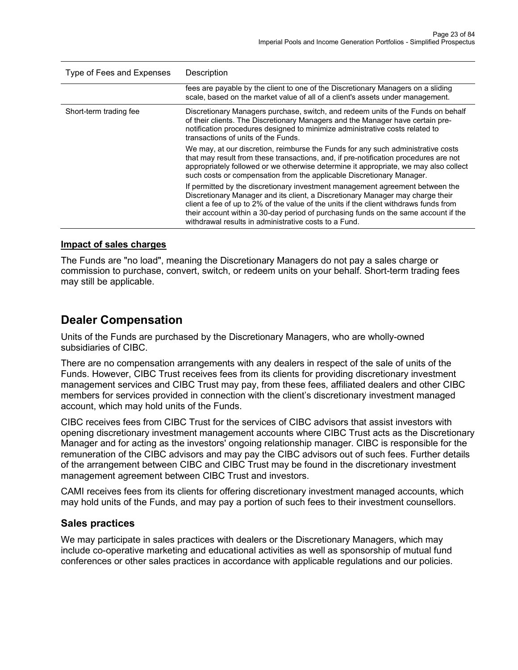| Type of Fees and Expenses | Description                                                                                                                                                                                                                                                                                                                                                                                              |  |  |  |
|---------------------------|----------------------------------------------------------------------------------------------------------------------------------------------------------------------------------------------------------------------------------------------------------------------------------------------------------------------------------------------------------------------------------------------------------|--|--|--|
|                           | fees are payable by the client to one of the Discretionary Managers on a sliding<br>scale, based on the market value of all of a client's assets under management.                                                                                                                                                                                                                                       |  |  |  |
| Short-term trading fee    | Discretionary Managers purchase, switch, and redeem units of the Funds on behalf<br>of their clients. The Discretionary Managers and the Manager have certain pre-<br>notification procedures designed to minimize administrative costs related to<br>transactions of units of the Funds.                                                                                                                |  |  |  |
|                           | We may, at our discretion, reimburse the Funds for any such administrative costs<br>that may result from these transactions, and, if pre-notification procedures are not<br>appropriately followed or we otherwise determine it appropriate, we may also collect<br>such costs or compensation from the applicable Discretionary Manager.                                                                |  |  |  |
|                           | If permitted by the discretionary investment management agreement between the<br>Discretionary Manager and its client, a Discretionary Manager may charge their<br>client a fee of up to 2% of the value of the units if the client withdraws funds from<br>their account within a 30-day period of purchasing funds on the same account if the<br>withdrawal results in administrative costs to a Fund. |  |  |  |

#### **Impact of sales charges**

The Funds are "no load", meaning the Discretionary Managers do not pay a sales charge or commission to purchase, convert, switch, or redeem units on your behalf. Short-term trading fees may still be applicable.

# <span id="page-22-0"></span>**Dealer Compensation**

Units of the Funds are purchased by the Discretionary Managers, who are wholly-owned subsidiaries of CIBC.

There are no compensation arrangements with any dealers in respect of the sale of units of the Funds. However, CIBC Trust receives fees from its clients for providing discretionary investment management services and CIBC Trust may pay, from these fees, affiliated dealers and other CIBC members for services provided in connection with the client's discretionary investment managed account, which may hold units of the Funds.

CIBC receives fees from CIBC Trust for the services of CIBC advisors that assist investors with opening discretionary investment management accounts where CIBC Trust acts as the Discretionary Manager and for acting as the investors' ongoing relationship manager. CIBC is responsible for the remuneration of the CIBC advisors and may pay the CIBC advisors out of such fees. Further details of the arrangement between CIBC and CIBC Trust may be found in the discretionary investment management agreement between CIBC Trust and investors.

CAMI receives fees from its clients for offering discretionary investment managed accounts, which may hold units of the Funds, and may pay a portion of such fees to their investment counsellors.

#### **Sales practices**

We may participate in sales practices with dealers or the Discretionary Managers, which may include co-operative marketing and educational activities as well as sponsorship of mutual fund conferences or other sales practices in accordance with applicable regulations and our policies.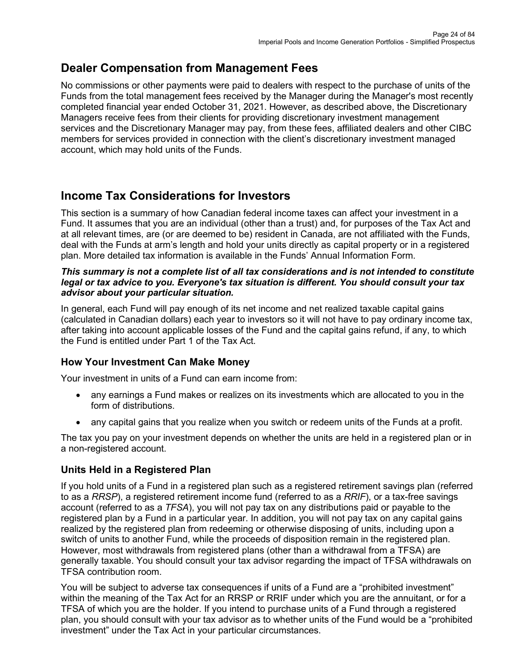# <span id="page-23-0"></span>**Dealer Compensation from Management Fees**

No commissions or other payments were paid to dealers with respect to the purchase of units of the Funds from the total management fees received by the Manager during the Manager's most recently completed financial year ended October 31, 2021. However, as described above, the Discretionary Managers receive fees from their clients for providing discretionary investment management services and the Discretionary Manager may pay, from these fees, affiliated dealers and other CIBC members for services provided in connection with the client's discretionary investment managed account, which may hold units of the Funds.

# <span id="page-23-1"></span>**Income Tax Considerations for Investors**

This section is a summary of how Canadian federal income taxes can affect your investment in a Fund. It assumes that you are an individual (other than a trust) and, for purposes of the Tax Act and at all relevant times, are (or are deemed to be) resident in Canada, are not affiliated with the Funds, deal with the Funds at arm's length and hold your units directly as capital property or in a registered plan. More detailed tax information is available in the Funds' Annual Information Form.

#### *This summary is not a complete list of all tax considerations and is not intended to constitute legal or tax advice to you. Everyone's tax situation is different. You should consult your tax advisor about your particular situation.*

In general, each Fund will pay enough of its net income and net realized taxable capital gains (calculated in Canadian dollars) each year to investors so it will not have to pay ordinary income tax, after taking into account applicable losses of the Fund and the capital gains refund, if any, to which the Fund is entitled under Part 1 of the Tax Act.

# **How Your Investment Can Make Money**

Your investment in units of a Fund can earn income from:

- any earnings a Fund makes or realizes on its investments which are allocated to you in the form of distributions.
- any capital gains that you realize when you switch or redeem units of the Funds at a profit.

The tax you pay on your investment depends on whether the units are held in a registered plan or in a non-registered account.

# **Units Held in a Registered Plan**

If you hold units of a Fund in a registered plan such as a registered retirement savings plan (referred to as a *RRSP*), a registered retirement income fund (referred to as a *RRIF*), or a tax-free savings account (referred to as a *TFSA*), you will not pay tax on any distributions paid or payable to the registered plan by a Fund in a particular year. In addition, you will not pay tax on any capital gains realized by the registered plan from redeeming or otherwise disposing of units, including upon a switch of units to another Fund, while the proceeds of disposition remain in the registered plan. However, most withdrawals from registered plans (other than a withdrawal from a TFSA) are generally taxable. You should consult your tax advisor regarding the impact of TFSA withdrawals on TFSA contribution room.

You will be subject to adverse tax consequences if units of a Fund are a "prohibited investment" within the meaning of the Tax Act for an RRSP or RRIF under which you are the annuitant, or for a TFSA of which you are the holder. If you intend to purchase units of a Fund through a registered plan, you should consult with your tax advisor as to whether units of the Fund would be a "prohibited investment" under the Tax Act in your particular circumstances.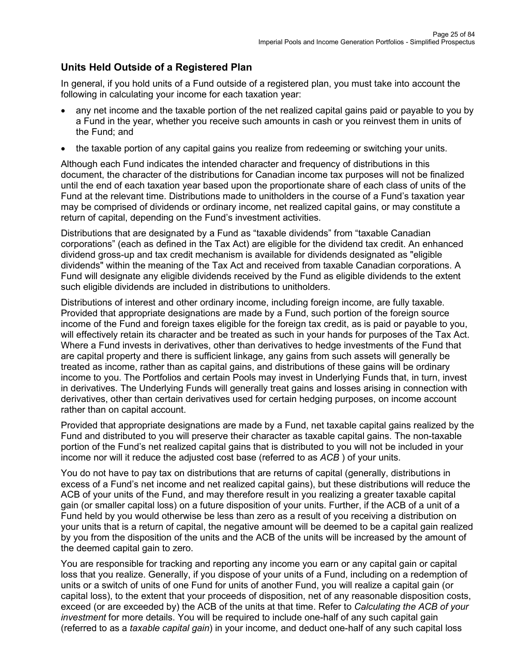# **Units Held Outside of a Registered Plan**

In general, if you hold units of a Fund outside of a registered plan, you must take into account the following in calculating your income for each taxation year:

- any net income and the taxable portion of the net realized capital gains paid or payable to you by a Fund in the year, whether you receive such amounts in cash or you reinvest them in units of the Fund; and
- the taxable portion of any capital gains you realize from redeeming or switching your units.

Although each Fund indicates the intended character and frequency of distributions in this document, the character of the distributions for Canadian income tax purposes will not be finalized until the end of each taxation year based upon the proportionate share of each class of units of the Fund at the relevant time. Distributions made to unitholders in the course of a Fund's taxation year may be comprised of dividends or ordinary income, net realized capital gains, or may constitute a return of capital, depending on the Fund's investment activities.

Distributions that are designated by a Fund as "taxable dividends" from "taxable Canadian corporations" (each as defined in the Tax Act) are eligible for the dividend tax credit. An enhanced dividend gross-up and tax credit mechanism is available for dividends designated as "eligible dividends" within the meaning of the Tax Act and received from taxable Canadian corporations. A Fund will designate any eligible dividends received by the Fund as eligible dividends to the extent such eligible dividends are included in distributions to unitholders.

Distributions of interest and other ordinary income, including foreign income, are fully taxable. Provided that appropriate designations are made by a Fund, such portion of the foreign source income of the Fund and foreign taxes eligible for the foreign tax credit, as is paid or payable to you, will effectively retain its character and be treated as such in your hands for purposes of the Tax Act. Where a Fund invests in derivatives, other than derivatives to hedge investments of the Fund that are capital property and there is sufficient linkage, any gains from such assets will generally be treated as income, rather than as capital gains, and distributions of these gains will be ordinary income to you. The Portfolios and certain Pools may invest in Underlying Funds that, in turn, invest in derivatives. The Underlying Funds will generally treat gains and losses arising in connection with derivatives, other than certain derivatives used for certain hedging purposes, on income account rather than on capital account.

Provided that appropriate designations are made by a Fund, net taxable capital gains realized by the Fund and distributed to you will preserve their character as taxable capital gains. The non-taxable portion of the Fund's net realized capital gains that is distributed to you will not be included in your income nor will it reduce the adjusted cost base (referred to as *ACB* ) of your units.

You do not have to pay tax on distributions that are returns of capital (generally, distributions in excess of a Fund's net income and net realized capital gains), but these distributions will reduce the ACB of your units of the Fund, and may therefore result in you realizing a greater taxable capital gain (or smaller capital loss) on a future disposition of your units. Further, if the ACB of a unit of a Fund held by you would otherwise be less than zero as a result of you receiving a distribution on your units that is a return of capital, the negative amount will be deemed to be a capital gain realized by you from the disposition of the units and the ACB of the units will be increased by the amount of the deemed capital gain to zero.

You are responsible for tracking and reporting any income you earn or any capital gain or capital loss that you realize. Generally, if you dispose of your units of a Fund, including on a redemption of units or a switch of units of one Fund for units of another Fund, you will realize a capital gain (or capital loss), to the extent that your proceeds of disposition, net of any reasonable disposition costs, exceed (or are exceeded by) the ACB of the units at that time. Refer to *Calculating the ACB of your investment* for more details. You will be required to include one-half of any such capital gain (referred to as a *taxable capital gain*) in your income, and deduct one-half of any such capital loss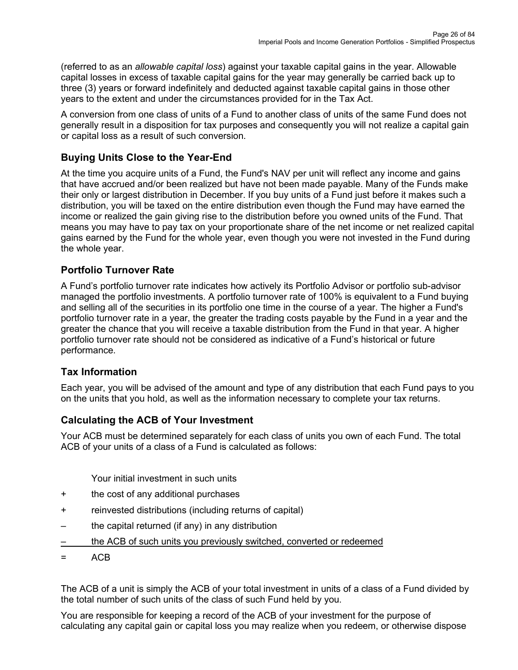(referred to as an *allowable capital loss*) against your taxable capital gains in the year. Allowable capital losses in excess of taxable capital gains for the year may generally be carried back up to three (3) years or forward indefinitely and deducted against taxable capital gains in those other years to the extent and under the circumstances provided for in the Tax Act.

A conversion from one class of units of a Fund to another class of units of the same Fund does not generally result in a disposition for tax purposes and consequently you will not realize a capital gain or capital loss as a result of such conversion.

# **Buying Units Close to the Year-End**

At the time you acquire units of a Fund, the Fund's NAV per unit will reflect any income and gains that have accrued and/or been realized but have not been made payable. Many of the Funds make their only or largest distribution in December. If you buy units of a Fund just before it makes such a distribution, you will be taxed on the entire distribution even though the Fund may have earned the income or realized the gain giving rise to the distribution before you owned units of the Fund. That means you may have to pay tax on your proportionate share of the net income or net realized capital gains earned by the Fund for the whole year, even though you were not invested in the Fund during the whole year.

# **Portfolio Turnover Rate**

A Fund's portfolio turnover rate indicates how actively its Portfolio Advisor or portfolio sub-advisor managed the portfolio investments. A portfolio turnover rate of 100% is equivalent to a Fund buying and selling all of the securities in its portfolio one time in the course of a year. The higher a Fund's portfolio turnover rate in a year, the greater the trading costs payable by the Fund in a year and the greater the chance that you will receive a taxable distribution from the Fund in that year. A higher portfolio turnover rate should not be considered as indicative of a Fund's historical or future performance.

# **Tax Information**

Each year, you will be advised of the amount and type of any distribution that each Fund pays to you on the units that you hold, as well as the information necessary to complete your tax returns.

# **Calculating the ACB of Your Investment**

Your ACB must be determined separately for each class of units you own of each Fund. The total ACB of your units of a class of a Fund is calculated as follows:

Your initial investment in such units

- + the cost of any additional purchases
- + reinvested distributions (including returns of capital)
- the capital returned (if any) in any distribution
- the ACB of such units you previously switched, converted or redeemed
- = ACB

The ACB of a unit is simply the ACB of your total investment in units of a class of a Fund divided by the total number of such units of the class of such Fund held by you.

You are responsible for keeping a record of the ACB of your investment for the purpose of calculating any capital gain or capital loss you may realize when you redeem, or otherwise dispose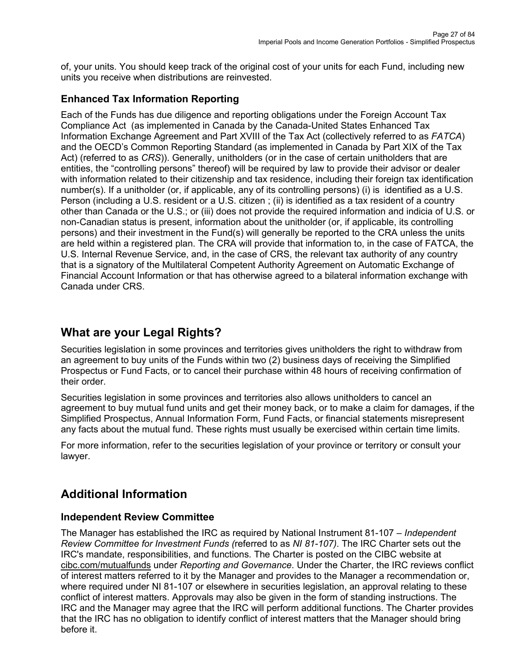of, your units. You should keep track of the original cost of your units for each Fund, including new units you receive when distributions are reinvested.

# **Enhanced Tax Information Reporting**

Each of the Funds has due diligence and reporting obligations under the Foreign Account Tax Compliance Act (as implemented in Canada by the Canada-United States Enhanced Tax Information Exchange Agreement and Part XVIII of the Tax Act (collectively referred to as *FATCA*) and the OECD's Common Reporting Standard (as implemented in Canada by Part XIX of the Tax Act) (referred to as *CRS*)). Generally, unitholders (or in the case of certain unitholders that are entities, the "controlling persons" thereof) will be required by law to provide their advisor or dealer with information related to their citizenship and tax residence, including their foreign tax identification number(s). If a unitholder (or, if applicable, any of its controlling persons) (i) is identified as a U.S. Person (including a U.S. resident or a U.S. citizen ; (ii) is identified as a tax resident of a country other than Canada or the U.S.; or (iii) does not provide the required information and indicia of U.S. or non-Canadian status is present, information about the unitholder (or, if applicable, its controlling persons) and their investment in the Fund(s) will generally be reported to the CRA unless the units are held within a registered plan. The CRA will provide that information to, in the case of FATCA, the U.S. Internal Revenue Service, and, in the case of CRS, the relevant tax authority of any country that is a signatory of the Multilateral Competent Authority Agreement on Automatic Exchange of Financial Account Information or that has otherwise agreed to a bilateral information exchange with Canada under CRS.

# <span id="page-26-0"></span>**What are your Legal Rights?**

Securities legislation in some provinces and territories gives unitholders the right to withdraw from an agreement to buy units of the Funds within two (2) business days of receiving the Simplified Prospectus or Fund Facts, or to cancel their purchase within 48 hours of receiving confirmation of their order.

Securities legislation in some provinces and territories also allows unitholders to cancel an agreement to buy mutual fund units and get their money back, or to make a claim for damages, if the Simplified Prospectus, Annual Information Form, Fund Facts, or financial statements misrepresent any facts about the mutual fund. These rights must usually be exercised within certain time limits.

For more information, refer to the securities legislation of your province or territory or consult your lawyer.

# <span id="page-26-1"></span>**Additional Information**

# **Independent Review Committee**

The Manager has established the IRC as required by National Instrument 81-107 – *Independent Review Committee for Investment Funds (*referred to as *NI 81-107)*. The IRC Charter sets out the IRC's mandate, responsibilities, and functions. The Charter is posted on the CIBC website at [cibc.com/mutualfunds](http://www.cibc.com/mutualfunds) under *Reporting and Governance*. Under the Charter, the IRC reviews conflict of interest matters referred to it by the Manager and provides to the Manager a recommendation or, where required under NI 81-107 or elsewhere in securities legislation, an approval relating to these conflict of interest matters. Approvals may also be given in the form of standing instructions. The IRC and the Manager may agree that the IRC will perform additional functions. The Charter provides that the IRC has no obligation to identify conflict of interest matters that the Manager should bring before it.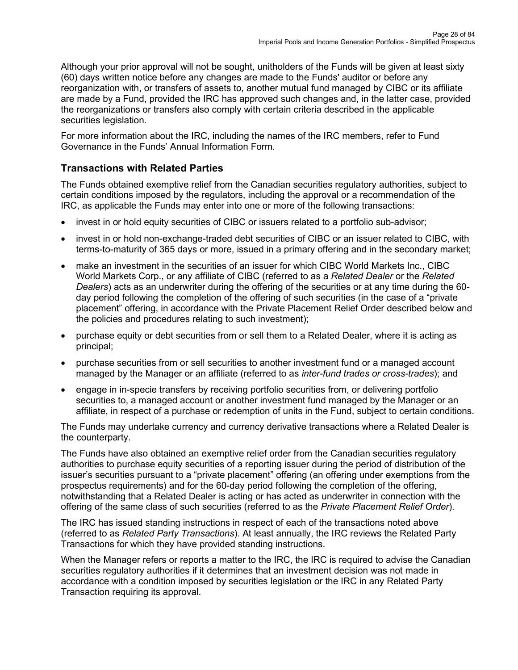Although your prior approval will not be sought, unitholders of the Funds will be given at least sixty (60) days written notice before any changes are made to the Funds' auditor or before any reorganization with, or transfers of assets to, another mutual fund managed by CIBC or its affiliate are made by a Fund, provided the IRC has approved such changes and, in the latter case, provided the reorganizations or transfers also comply with certain criteria described in the applicable securities legislation.

For more information about the IRC, including the names of the IRC members, refer to Fund Governance in the Funds' Annual Information Form.

# **Transactions with Related Parties**

The Funds obtained exemptive relief from the Canadian securities regulatory authorities, subject to certain conditions imposed by the regulators, including the approval or a recommendation of the IRC, as applicable the Funds may enter into one or more of the following transactions:

- invest in or hold equity securities of CIBC or issuers related to a portfolio sub-advisor;
- invest in or hold non-exchange-traded debt securities of CIBC or an issuer related to CIBC, with terms-to-maturity of 365 days or more, issued in a primary offering and in the secondary market;
- make an investment in the securities of an issuer for which CIBC World Markets Inc., CIBC World Markets Corp., or any affiliate of CIBC (referred to as a *Related Dealer* or the *Related Dealers*) acts as an underwriter during the offering of the securities or at any time during the 60 day period following the completion of the offering of such securities (in the case of a "private placement" offering, in accordance with the Private Placement Relief Order described below and the policies and procedures relating to such investment);
- purchase equity or debt securities from or sell them to a Related Dealer, where it is acting as principal;
- purchase securities from or sell securities to another investment fund or a managed account managed by the Manager or an affiliate (referred to as *inter-fund trades or cross-trades*); and
- engage in in-specie transfers by receiving portfolio securities from, or delivering portfolio securities to, a managed account or another investment fund managed by the Manager or an affiliate, in respect of a purchase or redemption of units in the Fund, subject to certain conditions.

The Funds may undertake currency and currency derivative transactions where a Related Dealer is the counterparty.

The Funds have also obtained an exemptive relief order from the Canadian securities regulatory authorities to purchase equity securities of a reporting issuer during the period of distribution of the issuer's securities pursuant to a "private placement" offering (an offering under exemptions from the prospectus requirements) and for the 60-day period following the completion of the offering, notwithstanding that a Related Dealer is acting or has acted as underwriter in connection with the offering of the same class of such securities (referred to as the *Private Placement Relief Order*).

The IRC has issued standing instructions in respect of each of the transactions noted above (referred to as *Related Party Transactions*). At least annually, the IRC reviews the Related Party Transactions for which they have provided standing instructions.

When the Manager refers or reports a matter to the IRC, the IRC is required to advise the Canadian securities regulatory authorities if it determines that an investment decision was not made in accordance with a condition imposed by securities legislation or the IRC in any Related Party Transaction requiring its approval.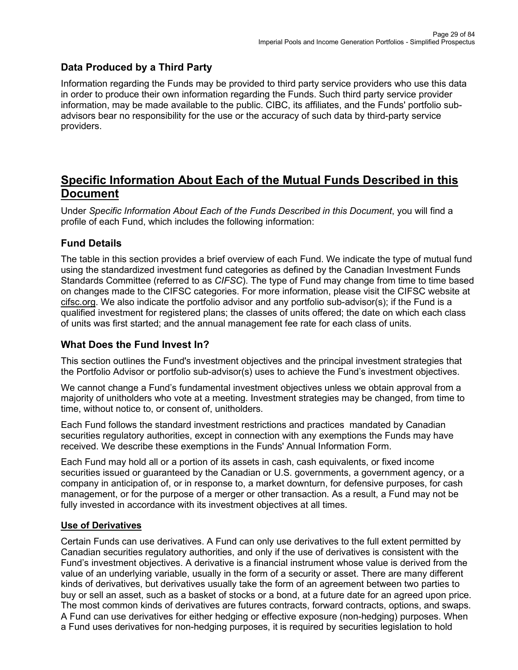# **Data Produced by a Third Party**

Information regarding the Funds may be provided to third party service providers who use this data in order to produce their own information regarding the Funds. Such third party service provider information, may be made available to the public. CIBC, its affiliates, and the Funds' portfolio subadvisors bear no responsibility for the use or the accuracy of such data by third-party service providers.

# <span id="page-28-0"></span>**Specific Information About Each of the Mutual Funds Described in this Document**

Under *Specific Information About Each of the Funds Described in this Document*, you will find a profile of each Fund, which includes the following information:

# **Fund Details**

The table in this section provides a brief overview of each Fund. We indicate the type of mutual fund using the standardized investment fund categories as defined by the Canadian Investment Funds Standards Committee (referred to as *CIFSC*). The type of Fund may change from time to time based on changes made to the CIFSC categories. For more information, please visit the CIFSC website at [cifsc.org.](http://www.cifsc.org/) We also indicate the portfolio advisor and any portfolio sub-advisor(s); if the Fund is a qualified investment for registered plans; the classes of units offered; the date on which each class of units was first started; and the annual management fee rate for each class of units.

# **What Does the Fund Invest In?**

This section outlines the Fund's investment objectives and the principal investment strategies that the Portfolio Advisor or portfolio sub-advisor(s) uses to achieve the Fund's investment objectives.

We cannot change a Fund's fundamental investment objectives unless we obtain approval from a majority of unitholders who vote at a meeting. Investment strategies may be changed, from time to time, without notice to, or consent of, unitholders.

Each Fund follows the standard investment restrictions and practices mandated by Canadian securities regulatory authorities, except in connection with any exemptions the Funds may have received. We describe these exemptions in the Funds' Annual Information Form.

Each Fund may hold all or a portion of its assets in cash, cash equivalents, or fixed income securities issued or guaranteed by the Canadian or U.S. governments, a government agency, or a company in anticipation of, or in response to, a market downturn, for defensive purposes, for cash management, or for the purpose of a merger or other transaction. As a result, a Fund may not be fully invested in accordance with its investment objectives at all times.

# **Use of Derivatives**

Certain Funds can use derivatives. A Fund can only use derivatives to the full extent permitted by Canadian securities regulatory authorities, and only if the use of derivatives is consistent with the Fund's investment objectives. A derivative is a financial instrument whose value is derived from the value of an underlying variable, usually in the form of a security or asset. There are many different kinds of derivatives, but derivatives usually take the form of an agreement between two parties to buy or sell an asset, such as a basket of stocks or a bond, at a future date for an agreed upon price. The most common kinds of derivatives are futures contracts, forward contracts, options, and swaps. A Fund can use derivatives for either hedging or effective exposure (non-hedging) purposes. When a Fund uses derivatives for non-hedging purposes, it is required by securities legislation to hold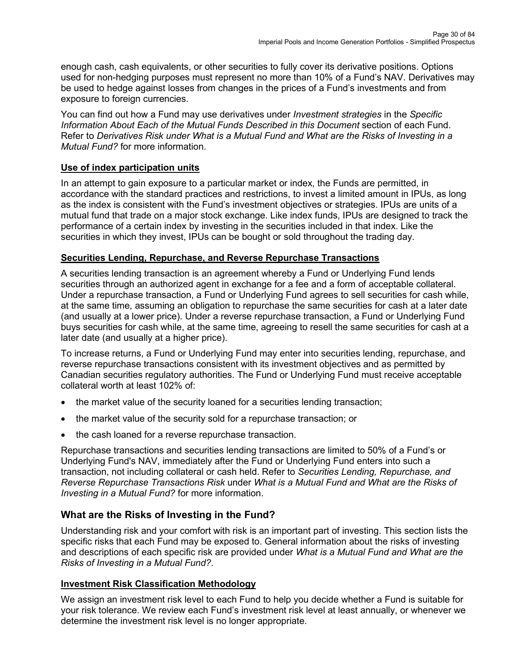enough cash, cash equivalents, or other securities to fully cover its derivative positions. Options used for non-hedging purposes must represent no more than 10% of a Fund's NAV. Derivatives may be used to hedge against losses from changes in the prices of a Fund's investments and from exposure to foreign currencies.

You can find out how a Fund may use derivatives under *Investment strategies* in the *Specific Information About Each of the Mutual Funds Described in this Document* section of each Fund. Refer to *Derivatives Risk under What is a Mutual Fund and What are the Risks of Investing in a Mutual Fund?* for more information.

## **Use of index participation units**

In an attempt to gain exposure to a particular market or index, the Funds are permitted, in accordance with the standard practices and restrictions, to invest a limited amount in IPUs, as long as the index is consistent with the Fund's investment objectives or strategies. IPUs are units of a mutual fund that trade on a major stock exchange. Like index funds, IPUs are designed to track the performance of a certain index by investing in the securities included in that index. Like the securities in which they invest, IPUs can be bought or sold throughout the trading day.

## **Securities Lending, Repurchase, and Reverse Repurchase Transactions**

A securities lending transaction is an agreement whereby a Fund or Underlying Fund lends securities through an authorized agent in exchange for a fee and a form of acceptable collateral. Under a repurchase transaction, a Fund or Underlying Fund agrees to sell securities for cash while, at the same time, assuming an obligation to repurchase the same securities for cash at a later date (and usually at a lower price). Under a reverse repurchase transaction, a Fund or Underlying Fund buys securities for cash while, at the same time, agreeing to resell the same securities for cash at a later date (and usually at a higher price).

To increase returns, a Fund or Underlying Fund may enter into securities lending, repurchase, and reverse repurchase transactions consistent with its investment objectives and as permitted by Canadian securities regulatory authorities. The Fund or Underlying Fund must receive acceptable collateral worth at least 102% of:

- the market value of the security loaned for a securities lending transaction;
- the market value of the security sold for a repurchase transaction; or
- the cash loaned for a reverse repurchase transaction.

Repurchase transactions and securities lending transactions are limited to 50% of a Fund's or Underlying Fund's NAV, immediately after the Fund or Underlying Fund enters into such a transaction, not including collateral or cash held. Refer to *Securities Lending, Repurchase, and Reverse Repurchase Transactions Risk* under *What is a Mutual Fund and What are the Risks of Investing in a Mutual Fund?* for more information.

# **What are the Risks of Investing in the Fund?**

Understanding risk and your comfort with risk is an important part of investing. This section lists the specific risks that each Fund may be exposed to. General information about the risks of investing and descriptions of each specific risk are provided under *What is a Mutual Fund and What are the Risks of Investing in a Mutual Fund?*.

# **Investment Risk Classification Methodology**

We assign an investment risk level to each Fund to help you decide whether a Fund is suitable for your risk tolerance. We review each Fund's investment risk level at least annually, or whenever we determine the investment risk level is no longer appropriate.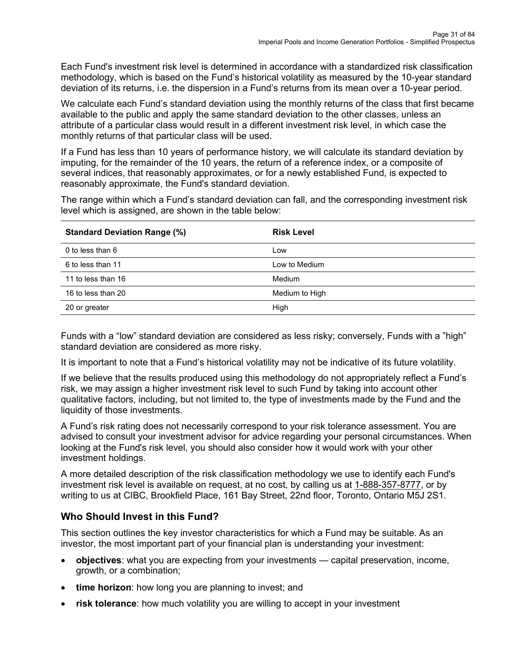Each Fund's investment risk level is determined in accordance with a standardized risk classification methodology, which is based on the Fund's historical volatility as measured by the 10-year standard deviation of its returns, i.e. the dispersion in a Fund's returns from its mean over a 10-year period.

We calculate each Fund's standard deviation using the monthly returns of the class that first became available to the public and apply the same standard deviation to the other classes, unless an attribute of a particular class would result in a different investment risk level, in which case the monthly returns of that particular class will be used.

If a Fund has less than 10 years of performance history, we will calculate its standard deviation by imputing, for the remainder of the 10 years, the return of a reference index, or a composite of several indices, that reasonably approximates, or for a newly established Fund, is expected to reasonably approximate, the Fund's standard deviation.

The range within which a Fund's standard deviation can fall, and the corresponding investment risk level which is assigned, are shown in the table below:

| <b>Standard Deviation Range (%)</b> | <b>Risk Level</b> |
|-------------------------------------|-------------------|
| 0 to less than $6$                  | Low               |
| 6 to less than 11                   | Low to Medium     |
| 11 to less than 16                  | Medium            |
| 16 to less than 20                  | Medium to High    |
| 20 or greater                       | High              |

Funds with a "low" standard deviation are considered as less risky; conversely, Funds with a "high" standard deviation are considered as more risky.

It is important to note that a Fund's historical volatility may not be indicative of its future volatility.

If we believe that the results produced using this methodology do not appropriately reflect a Fund's risk, we may assign a higher investment risk level to such Fund by taking into account other qualitative factors, including, but not limited to, the type of investments made by the Fund and the liquidity of those investments.

A Fund's risk rating does not necessarily correspond to your risk tolerance assessment. You are advised to consult your investment advisor for advice regarding your personal circumstances. When looking at the Fund's risk level, you should also consider how it would work with your other investment holdings.

A more detailed description of the risk classification methodology we use to identify each Fund's investment risk level is available on request, at no cost, by calling us at [1-888-357-8777,](tel:18883578777) or by writing to us at CIBC, Brookfield Place, 161 Bay Street, 22nd floor, Toronto, Ontario M5J 2S1.

# **Who Should Invest in this Fund?**

This section outlines the key investor characteristics for which a Fund may be suitable. As an investor, the most important part of your financial plan is understanding your investment:

- **objectives**: what you are expecting from your investments capital preservation, income, growth, or a combination;
- **time horizon**: how long you are planning to invest; and
- **risk tolerance**: how much volatility you are willing to accept in your investment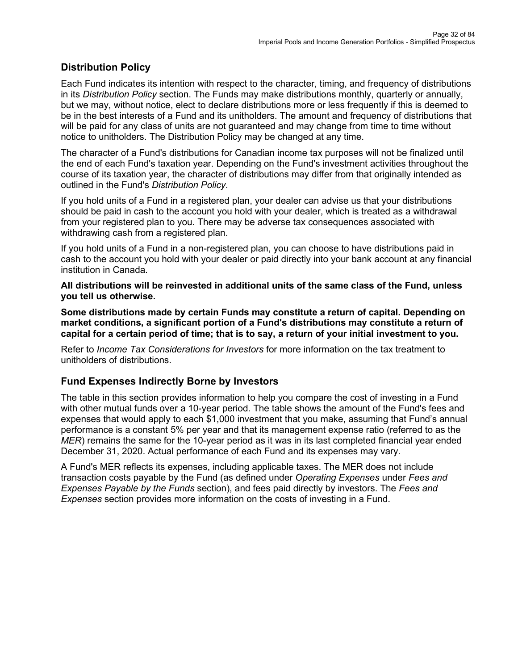## **Distribution Policy**

Each Fund indicates its intention with respect to the character, timing, and frequency of distributions in its *Distribution Policy* section. The Funds may make distributions monthly, quarterly or annually, but we may, without notice, elect to declare distributions more or less frequently if this is deemed to be in the best interests of a Fund and its unitholders. The amount and frequency of distributions that will be paid for any class of units are not guaranteed and may change from time to time without notice to unitholders. The Distribution Policy may be changed at any time.

The character of a Fund's distributions for Canadian income tax purposes will not be finalized until the end of each Fund's taxation year. Depending on the Fund's investment activities throughout the course of its taxation year, the character of distributions may differ from that originally intended as outlined in the Fund's *Distribution Policy*.

If you hold units of a Fund in a registered plan, your dealer can advise us that your distributions should be paid in cash to the account you hold with your dealer, which is treated as a withdrawal from your registered plan to you. There may be adverse tax consequences associated with withdrawing cash from a registered plan.

If you hold units of a Fund in a non-registered plan, you can choose to have distributions paid in cash to the account you hold with your dealer or paid directly into your bank account at any financial institution in Canada.

**All distributions will be reinvested in additional units of the same class of the Fund, unless you tell us otherwise.**

**Some distributions made by certain Funds may constitute a return of capital. Depending on market conditions, a significant portion of a Fund's distributions may constitute a return of capital for a certain period of time; that is to say, a return of your initial investment to you.**

Refer to *Income Tax Considerations for Investors* for more information on the tax treatment to unitholders of distributions.

## **Fund Expenses Indirectly Borne by Investors**

The table in this section provides information to help you compare the cost of investing in a Fund with other mutual funds over a 10-year period. The table shows the amount of the Fund's fees and expenses that would apply to each \$1,000 investment that you make, assuming that Fund's annual performance is a constant 5% per year and that its management expense ratio (referred to as the *MER*) remains the same for the 10-year period as it was in its last completed financial year ended December 31, 2020. Actual performance of each Fund and its expenses may vary.

A Fund's MER reflects its expenses, including applicable taxes. The MER does not include transaction costs payable by the Fund (as defined under *Operating Expenses* under *Fees and Expenses Payable by the Funds* section), and fees paid directly by investors. The *Fees and Expenses* section provides more information on the costs of investing in a Fund.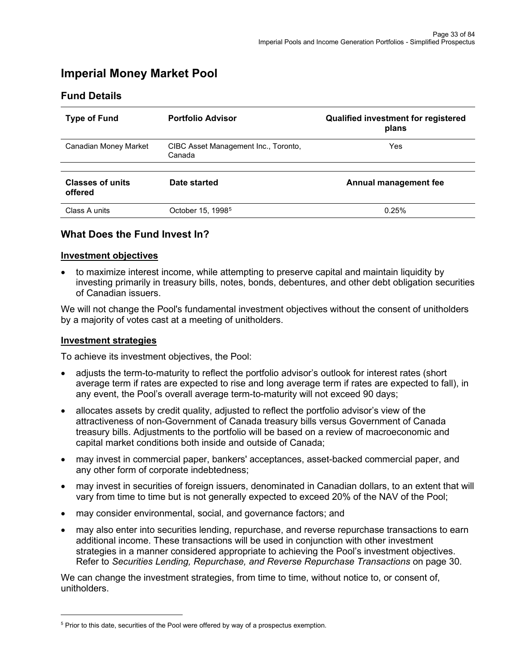# <span id="page-32-0"></span>**Imperial Money Market Pool**

### **Fund Details**

| <b>Type of Fund</b>                | <b>Portfolio Advisor</b>                       | <b>Qualified investment for registered</b><br>plans |
|------------------------------------|------------------------------------------------|-----------------------------------------------------|
| Canadian Money Market              | CIBC Asset Management Inc., Toronto,<br>Canada | Yes                                                 |
| <b>Classes of units</b><br>offered | Date started                                   | Annual management fee                               |
| Class A units                      | October 15, 1998 <sup>5</sup>                  | 0.25%                                               |

### **What Does the Fund Invest In?**

#### **Investment objectives**

• to maximize interest income, while attempting to preserve capital and maintain liquidity by investing primarily in treasury bills, notes, bonds, debentures, and other debt obligation securities of Canadian issuers.

We will not change the Pool's fundamental investment objectives without the consent of unitholders by a majority of votes cast at a meeting of unitholders.

#### **Investment strategies**

To achieve its investment objectives, the Pool:

- adjusts the term-to-maturity to reflect the portfolio advisor's outlook for interest rates (short average term if rates are expected to rise and long average term if rates are expected to fall), in any event, the Pool's overall average term-to-maturity will not exceed 90 days;
- allocates assets by credit quality, adjusted to reflect the portfolio advisor's view of the attractiveness of non-Government of Canada treasury bills versus Government of Canada treasury bills. Adjustments to the portfolio will be based on a review of macroeconomic and capital market conditions both inside and outside of Canada;
- may invest in commercial paper, bankers' acceptances, asset-backed commercial paper, and any other form of corporate indebtedness;
- may invest in securities of foreign issuers, denominated in Canadian dollars, to an extent that will vary from time to time but is not generally expected to exceed 20% of the NAV of the Pool;
- may consider environmental, social, and governance factors; and
- may also enter into securities lending, repurchase, and reverse repurchase transactions to earn additional income. These transactions will be used in conjunction with other investment strategies in a manner considered appropriate to achieving the Pool's investment objectives. Refer to *Securities Lending, Repurchase, and Reverse Repurchase Transactions* on page 30.

We can change the investment strategies, from time to time, without notice to, or consent of, unitholders.

<span id="page-32-1"></span><sup>5</sup> Prior to this date, securities of the Pool were offered by way of a prospectus exemption.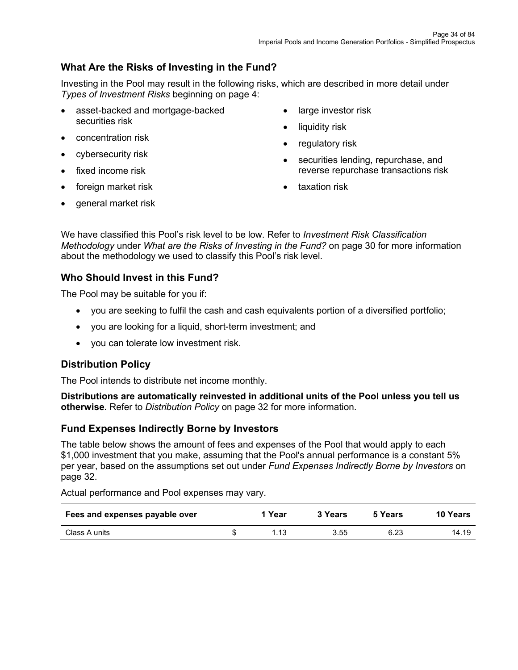# **What Are the Risks of Investing in the Fund?**

Investing in the Pool may result in the following risks, which are described in more detail under *Types of Investment Risks* beginning on page 4:

- asset-backed and mortgage-backed securities risk
- concentration risk
- cybersecurity risk
- fixed income risk
- foreign market risk
- large investor risk • liquidity risk
- 
- regulatory risk
- securities lending, repurchase, and reverse repurchase transactions risk
- taxation risk

• general market risk

We have classified this Pool's risk level to be low. Refer to *Investment Risk Classification Methodology* under *What are the Risks of Investing in the Fund?* on page 30 for more information about the methodology we used to classify this Pool's risk level.

## **Who Should Invest in this Fund?**

The Pool may be suitable for you if:

- you are seeking to fulfil the cash and cash equivalents portion of a diversified portfolio;
- you are looking for a liquid, short-term investment; and
- you can tolerate low investment risk.

## **Distribution Policy**

The Pool intends to distribute net income monthly.

**Distributions are automatically reinvested in additional units of the Pool unless you tell us otherwise.** Refer to *Distribution Policy* on page 32 for more information.

## **Fund Expenses Indirectly Borne by Investors**

The table below shows the amount of fees and expenses of the Pool that would apply to each \$1,000 investment that you make, assuming that the Pool's annual performance is a constant 5% per year, based on the assumptions set out under *Fund Expenses Indirectly Borne by Investors* on page 32.

Actual performance and Pool expenses may vary.

| Fees and expenses payable over | 1 Year | 3 Years | 5 Years | <b>10 Years</b> |
|--------------------------------|--------|---------|---------|-----------------|
| Class A units                  | 1.13   | 3.55    | 6.23    | 14.19           |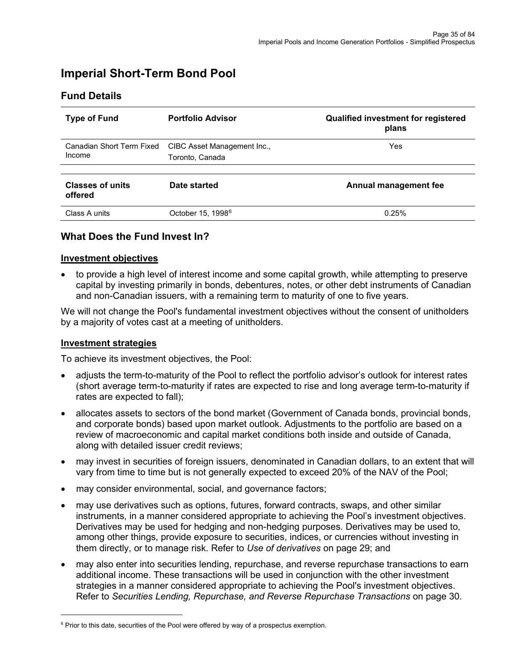# <span id="page-34-0"></span>**Imperial Short-Term Bond Pool**

| <b>Type of Fund</b>                 | <b>Portfolio Advisor</b>                       | <b>Qualified investment for registered</b><br>plans |
|-------------------------------------|------------------------------------------------|-----------------------------------------------------|
| Canadian Short Term Fixed<br>Income | CIBC Asset Management Inc.,<br>Toronto, Canada | Yes                                                 |
| <b>Classes of units</b><br>offered  | Date started                                   | Annual management fee                               |
| Class A units                       | October 15, 1998 <sup>6</sup>                  | 0.25%                                               |

## **Fund Details**

# **What Does the Fund Invest In?**

#### **Investment objectives**

• to provide a high level of interest income and some capital growth, while attempting to preserve capital by investing primarily in bonds, debentures, notes, or other debt instruments of Canadian and non-Canadian issuers, with a remaining term to maturity of one to five years.

We will not change the Pool's fundamental investment objectives without the consent of unitholders by a majority of votes cast at a meeting of unitholders.

#### **Investment strategies**

To achieve its investment objectives, the Pool:

- adjusts the term-to-maturity of the Pool to reflect the portfolio advisor's outlook for interest rates (short average term-to-maturity if rates are expected to rise and long average term-to-maturity if rates are expected to fall);
- allocates assets to sectors of the bond market (Government of Canada bonds, provincial bonds, and corporate bonds) based upon market outlook. Adjustments to the portfolio are based on a review of macroeconomic and capital market conditions both inside and outside of Canada, along with detailed issuer credit reviews;
- may invest in securities of foreign issuers, denominated in Canadian dollars, to an extent that will vary from time to time but is not generally expected to exceed 20% of the NAV of the Pool;
- may consider environmental, social, and governance factors;
- may use derivatives such as options, futures, forward contracts, swaps, and other similar instruments, in a manner considered appropriate to achieving the Pool's investment objectives. Derivatives may be used for hedging and non-hedging purposes. Derivatives may be used to, among other things, provide exposure to securities, indices, or currencies without investing in them directly, or to manage risk. Refer to *Use of derivatives* on page 29; and
- may also enter into securities lending, repurchase, and reverse repurchase transactions to earn additional income. These transactions will be used in conjunction with the other investment strategies in a manner considered appropriate to achieving the Pool's investment objectives. Refer to *Securities Lending, Repurchase, and Reverse Repurchase Transactions* on page 30.

<span id="page-34-1"></span> $6$  Prior to this date, securities of the Pool were offered by way of a prospectus exemption.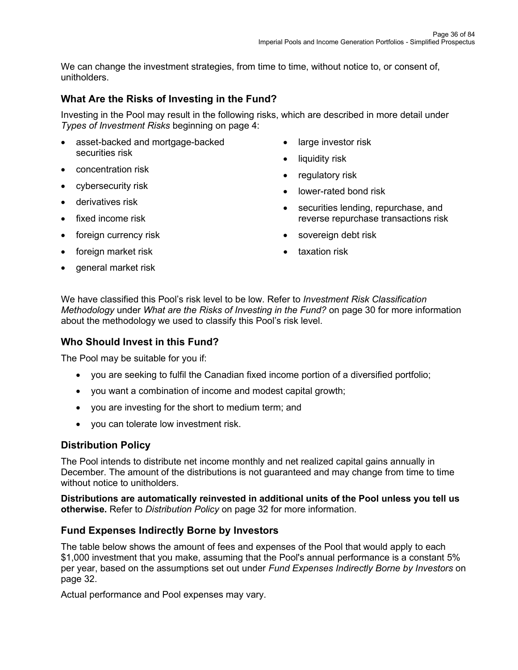We can change the investment strategies, from time to time, without notice to, or consent of, unitholders.

# **What Are the Risks of Investing in the Fund?**

Investing in the Pool may result in the following risks, which are described in more detail under *Types of Investment Risks* beginning on page 4:

- asset-backed and mortgage-backed securities risk
- concentration risk
- cybersecurity risk
- derivatives risk
- fixed income risk
- foreign currency risk
- foreign market risk
- general market risk
- large investor risk
- liquidity risk
- regulatory risk
- lower-rated bond risk
- securities lending, repurchase, and reverse repurchase transactions risk
- sovereign debt risk
- taxation risk

We have classified this Pool's risk level to be low. Refer to *Investment Risk Classification Methodology* under *What are the Risks of Investing in the Fund?* on page 30 for more information about the methodology we used to classify this Pool's risk level.

# **Who Should Invest in this Fund?**

The Pool may be suitable for you if:

- you are seeking to fulfil the Canadian fixed income portion of a diversified portfolio;
- you want a combination of income and modest capital growth;
- you are investing for the short to medium term; and
- you can tolerate low investment risk.

# **Distribution Policy**

The Pool intends to distribute net income monthly and net realized capital gains annually in December. The amount of the distributions is not guaranteed and may change from time to time without notice to unitholders.

**Distributions are automatically reinvested in additional units of the Pool unless you tell us otherwise.** Refer to *Distribution Policy* on page 32 for more information.

# **Fund Expenses Indirectly Borne by Investors**

The table below shows the amount of fees and expenses of the Pool that would apply to each \$1,000 investment that you make, assuming that the Pool's annual performance is a constant 5% per year, based on the assumptions set out under *Fund Expenses Indirectly Borne by Investors* on page 32.

Actual performance and Pool expenses may vary.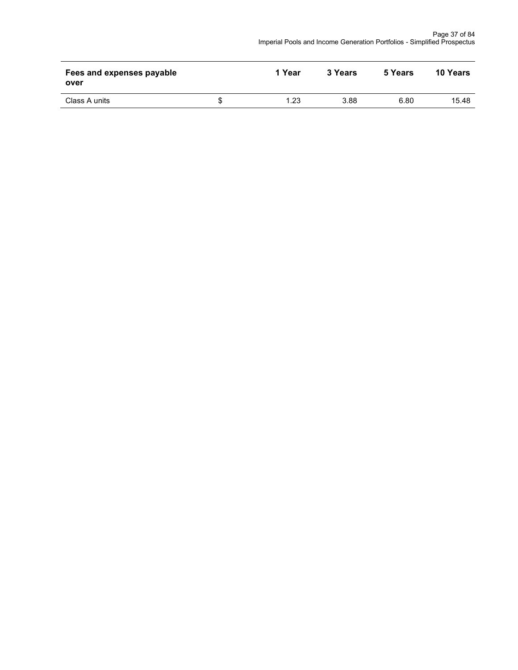| Fees and expenses payable<br>over | 1 Year | 3 Years | 5 Years | 10 Years |
|-----------------------------------|--------|---------|---------|----------|
| Class A units                     | 1.23   | 3.88    | 6.80    | 15.48    |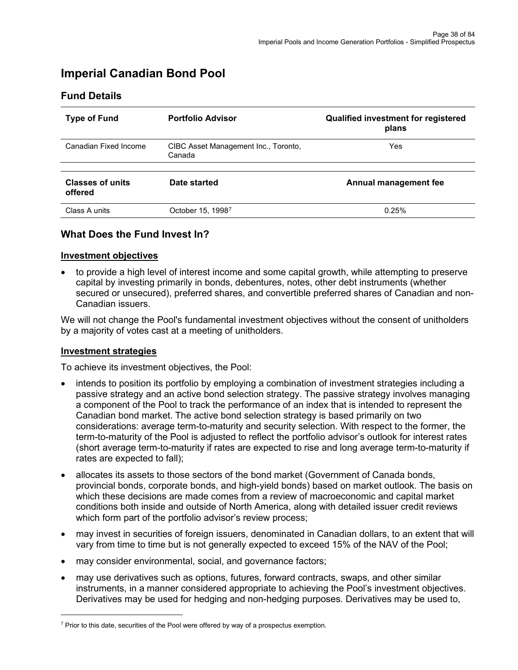# **Imperial Canadian Bond Pool**

## **Fund Details**

| <b>Type of Fund</b>                | <b>Portfolio Advisor</b>                       | <b>Qualified investment for registered</b><br>plans |
|------------------------------------|------------------------------------------------|-----------------------------------------------------|
| Canadian Fixed Income              | CIBC Asset Management Inc., Toronto,<br>Canada | Yes                                                 |
| <b>Classes of units</b><br>offered | Date started                                   | Annual management fee                               |
| Class A units                      | October 15, 19987                              | 0.25%                                               |

## **What Does the Fund Invest In?**

#### **Investment objectives**

• to provide a high level of interest income and some capital growth, while attempting to preserve capital by investing primarily in bonds, debentures, notes, other debt instruments (whether secured or unsecured), preferred shares, and convertible preferred shares of Canadian and non-Canadian issuers.

We will not change the Pool's fundamental investment objectives without the consent of unitholders by a majority of votes cast at a meeting of unitholders.

#### **Investment strategies**

- intends to position its portfolio by employing a combination of investment strategies including a passive strategy and an active bond selection strategy. The passive strategy involves managing a component of the Pool to track the performance of an index that is intended to represent the Canadian bond market. The active bond selection strategy is based primarily on two considerations: average term-to-maturity and security selection. With respect to the former, the term-to-maturity of the Pool is adjusted to reflect the portfolio advisor's outlook for interest rates (short average term-to-maturity if rates are expected to rise and long average term-to-maturity if rates are expected to fall);
- allocates its assets to those sectors of the bond market (Government of Canada bonds, provincial bonds, corporate bonds, and high-yield bonds) based on market outlook. The basis on which these decisions are made comes from a review of macroeconomic and capital market conditions both inside and outside of North America, along with detailed issuer credit reviews which form part of the portfolio advisor's review process;
- may invest in securities of foreign issuers, denominated in Canadian dollars, to an extent that will vary from time to time but is not generally expected to exceed 15% of the NAV of the Pool;
- may consider environmental, social, and governance factors;
- may use derivatives such as options, futures, forward contracts, swaps, and other similar instruments, in a manner considered appropriate to achieving the Pool's investment objectives. Derivatives may be used for hedging and non-hedging purposes. Derivatives may be used to,

<span id="page-37-0"></span> $7$  Prior to this date, securities of the Pool were offered by way of a prospectus exemption.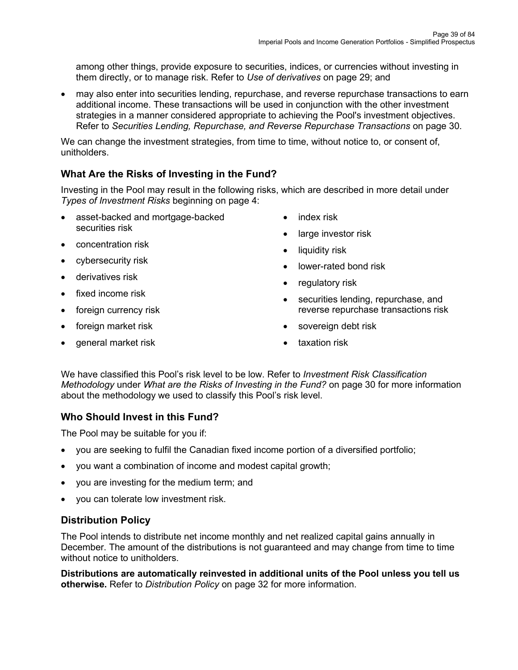among other things, provide exposure to securities, indices, or currencies without investing in them directly, or to manage risk. Refer to *Use of derivatives* on page 29; and

• may also enter into securities lending, repurchase, and reverse repurchase transactions to earn additional income. These transactions will be used in conjunction with the other investment strategies in a manner considered appropriate to achieving the Pool's investment objectives. Refer to *Securities Lending, Repurchase, and Reverse Repurchase Transactions* on page 30.

We can change the investment strategies, from time to time, without notice to, or consent of, unitholders.

# **What Are the Risks of Investing in the Fund?**

Investing in the Pool may result in the following risks, which are described in more detail under *Types of Investment Risks* beginning on page 4:

- asset-backed and mortgage-backed securities risk
- concentration risk
- cybersecurity risk
- derivatives risk
- fixed income risk
- foreign currency risk
- foreign market risk
- general market risk
- index risk
- large investor risk
- liquidity risk
- lower-rated bond risk
- regulatory risk
- securities lending, repurchase, and reverse repurchase transactions risk
- sovereign debt risk
- taxation risk

We have classified this Pool's risk level to be low. Refer to *Investment Risk Classification Methodology* under *What are the Risks of Investing in the Fund?* on page 30 for more information about the methodology we used to classify this Pool's risk level.

# **Who Should Invest in this Fund?**

The Pool may be suitable for you if:

- you are seeking to fulfil the Canadian fixed income portion of a diversified portfolio;
- you want a combination of income and modest capital growth;
- you are investing for the medium term; and
- you can tolerate low investment risk.

# **Distribution Policy**

The Pool intends to distribute net income monthly and net realized capital gains annually in December. The amount of the distributions is not guaranteed and may change from time to time without notice to unitholders.

**Distributions are automatically reinvested in additional units of the Pool unless you tell us otherwise.** Refer to *Distribution Policy* on page 32 for more information.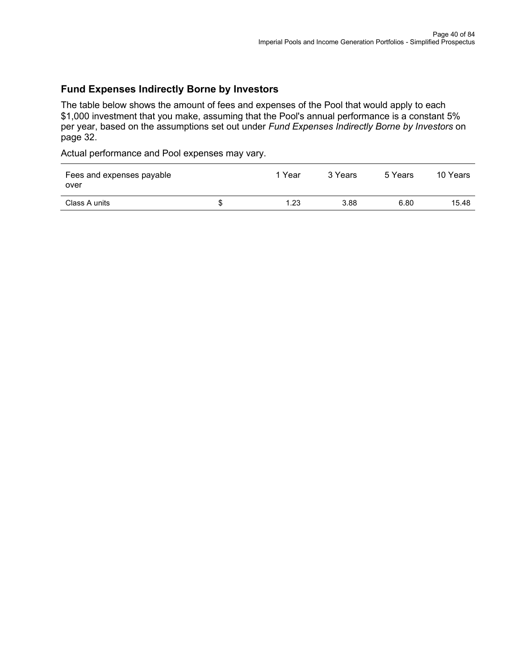## **Fund Expenses Indirectly Borne by Investors**

The table below shows the amount of fees and expenses of the Pool that would apply to each \$1,000 investment that you make, assuming that the Pool's annual performance is a constant 5% per year, based on the assumptions set out under *Fund Expenses Indirectly Borne by Investors* on page 32.

| Fees and expenses payable<br>over | 1 Year | 3 Years | 5 Years | 10 Years |
|-----------------------------------|--------|---------|---------|----------|
| Class A units                     | 1.23   | 3.88    | 6.80    | 15.48    |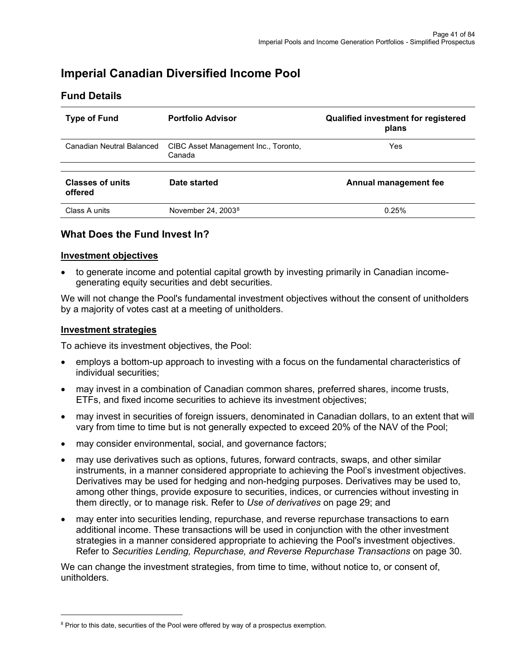# **Imperial Canadian Diversified Income Pool**

## **Fund Details**

| <b>Type of Fund</b>                | <b>Portfolio Advisor</b>                       | <b>Qualified investment for registered</b><br>plans |
|------------------------------------|------------------------------------------------|-----------------------------------------------------|
| Canadian Neutral Balanced          | CIBC Asset Management Inc., Toronto,<br>Canada | Yes                                                 |
| <b>Classes of units</b><br>offered | Date started                                   | Annual management fee                               |
| Class A units                      | November $24, 20038$                           | 0.25%                                               |

#### **What Does the Fund Invest In?**

#### **Investment objectives**

• to generate income and potential capital growth by investing primarily in Canadian incomegenerating equity securities and debt securities.

We will not change the Pool's fundamental investment objectives without the consent of unitholders by a majority of votes cast at a meeting of unitholders.

#### **Investment strategies**

To achieve its investment objectives, the Pool:

- employs a bottom-up approach to investing with a focus on the fundamental characteristics of individual securities;
- may invest in a combination of Canadian common shares, preferred shares, income trusts, ETFs, and fixed income securities to achieve its investment objectives;
- may invest in securities of foreign issuers, denominated in Canadian dollars, to an extent that will vary from time to time but is not generally expected to exceed 20% of the NAV of the Pool;
- may consider environmental, social, and governance factors;
- may use derivatives such as options, futures, forward contracts, swaps, and other similar instruments, in a manner considered appropriate to achieving the Pool's investment objectives. Derivatives may be used for hedging and non-hedging purposes. Derivatives may be used to, among other things, provide exposure to securities, indices, or currencies without investing in them directly, or to manage risk. Refer to *Use of derivatives* on page 29; and
- may enter into securities lending, repurchase, and reverse repurchase transactions to earn additional income. These transactions will be used in conjunction with the other investment strategies in a manner considered appropriate to achieving the Pool's investment objectives. Refer to *Securities Lending, Repurchase, and Reverse Repurchase Transactions* on page 30.

We can change the investment strategies, from time to time, without notice to, or consent of, unitholders.

<span id="page-40-0"></span><sup>&</sup>lt;sup>8</sup> Prior to this date, securities of the Pool were offered by way of a prospectus exemption.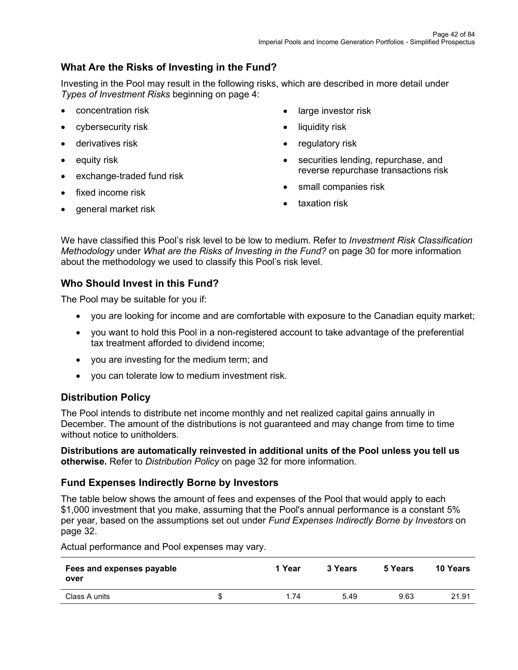# **What Are the Risks of Investing in the Fund?**

Investing in the Pool may result in the following risks, which are described in more detail under *Types of Investment Risks* beginning on page 4:

- concentration risk
- cybersecurity risk
- derivatives risk
- equity risk
- exchange-traded fund risk
- fixed income risk
- general market risk
- large investor risk
- liquidity risk
- regulatory risk
- securities lending, repurchase, and reverse repurchase transactions risk
- small companies risk
- taxation risk

We have classified this Pool's risk level to be low to medium. Refer to *Investment Risk Classification Methodology* under *What are the Risks of Investing in the Fund?* on page 30 for more information about the methodology we used to classify this Pool's risk level.

## **Who Should Invest in this Fund?**

The Pool may be suitable for you if:

- you are looking for income and are comfortable with exposure to the Canadian equity market;
- you want to hold this Pool in a non-registered account to take advantage of the preferential tax treatment afforded to dividend income;
- you are investing for the medium term; and
- you can tolerate low to medium investment risk.

## **Distribution Policy**

The Pool intends to distribute net income monthly and net realized capital gains annually in December. The amount of the distributions is not guaranteed and may change from time to time without notice to unitholders.

**Distributions are automatically reinvested in additional units of the Pool unless you tell us otherwise.** Refer to *Distribution Policy* on page 32 for more information.

## **Fund Expenses Indirectly Borne by Investors**

The table below shows the amount of fees and expenses of the Pool that would apply to each \$1,000 investment that you make, assuming that the Pool's annual performance is a constant 5% per year, based on the assumptions set out under *Fund Expenses Indirectly Borne by Investors* on page 32.

| Fees and expenses payable<br>over | 1 Year | 3 Years | 5 Years | 10 Years |
|-----------------------------------|--------|---------|---------|----------|
| Class A units                     | 1.74   | 5.49    | 9.63    | 21.91    |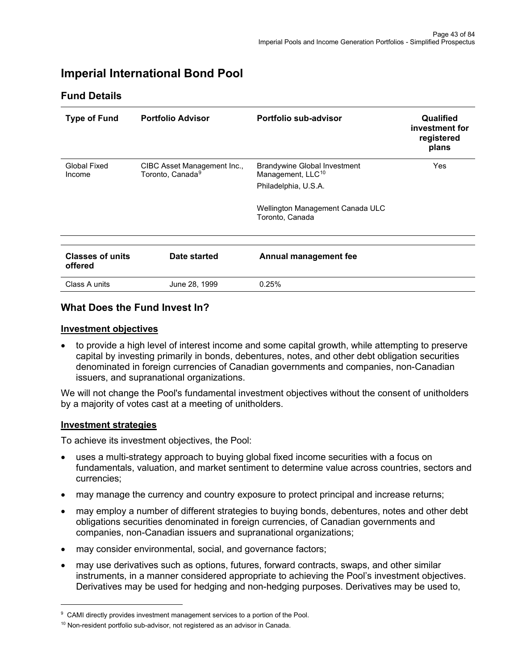# **Imperial International Bond Pool**

## **Fund Details**

| <b>Type of Fund</b>                | <b>Portfolio Advisor</b>                                    | Portfolio sub-advisor                                                | Qualified<br>investment for<br>registered<br>plans |
|------------------------------------|-------------------------------------------------------------|----------------------------------------------------------------------|----------------------------------------------------|
| Global Fixed<br>Income             | CIBC Asset Management Inc.,<br>Toronto, Canada <sup>9</sup> | <b>Brandywine Global Investment</b><br>Management, LLC <sup>10</sup> | Yes                                                |
|                                    |                                                             | Philadelphia, U.S.A.                                                 |                                                    |
|                                    |                                                             | Wellington Management Canada ULC<br>Toronto, Canada                  |                                                    |
|                                    |                                                             |                                                                      |                                                    |
| <b>Classes of units</b><br>offered | Date started                                                | Annual management fee                                                |                                                    |
| Class A units                      | June 28, 1999                                               | 0.25%                                                                |                                                    |

## **What Does the Fund Invest In?**

#### **Investment objectives**

• to provide a high level of interest income and some capital growth, while attempting to preserve capital by investing primarily in bonds, debentures, notes, and other debt obligation securities denominated in foreign currencies of Canadian governments and companies, non-Canadian issuers, and supranational organizations.

We will not change the Pool's fundamental investment objectives without the consent of unitholders by a majority of votes cast at a meeting of unitholders.

#### **Investment strategies**

- uses a multi-strategy approach to buying global fixed income securities with a focus on fundamentals, valuation, and market sentiment to determine value across countries, sectors and currencies;
- may manage the currency and country exposure to protect principal and increase returns;
- may employ a number of different strategies to buying bonds, debentures, notes and other debt obligations securities denominated in foreign currencies, of Canadian governments and companies, non-Canadian issuers and supranational organizations;
- may consider environmental, social, and governance factors;
- may use derivatives such as options, futures, forward contracts, swaps, and other similar instruments, in a manner considered appropriate to achieving the Pool's investment objectives. Derivatives may be used for hedging and non-hedging purposes. Derivatives may be used to,

<span id="page-42-0"></span><sup>&</sup>lt;sup>9</sup> CAMI directly provides investment management services to a portion of the Pool.

<span id="page-42-1"></span><sup>&</sup>lt;sup>10</sup> Non-resident portfolio sub-advisor, not registered as an advisor in Canada.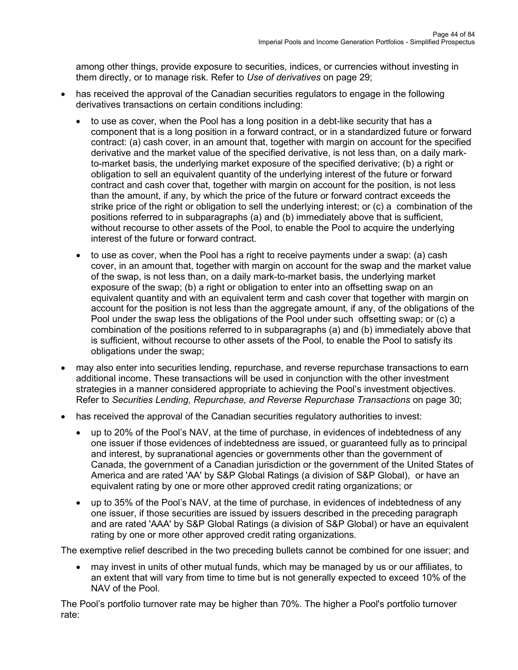among other things, provide exposure to securities, indices, or currencies without investing in them directly, or to manage risk. Refer to *Use of derivatives* on page 29;

- has received the approval of the Canadian securities regulators to engage in the following derivatives transactions on certain conditions including:
	- to use as cover, when the Pool has a long position in a debt-like security that has a component that is a long position in a forward contract, or in a standardized future or forward contract: (a) cash cover, in an amount that, together with margin on account for the specified derivative and the market value of the specified derivative, is not less than, on a daily markto-market basis, the underlying market exposure of the specified derivative; (b) a right or obligation to sell an equivalent quantity of the underlying interest of the future or forward contract and cash cover that, together with margin on account for the position, is not less than the amount, if any, by which the price of the future or forward contract exceeds the strike price of the right or obligation to sell the underlying interest; or (c) a combination of the positions referred to in subparagraphs (a) and (b) immediately above that is sufficient, without recourse to other assets of the Pool, to enable the Pool to acquire the underlying interest of the future or forward contract.
	- to use as cover, when the Pool has a right to receive payments under a swap: (a) cash cover, in an amount that, together with margin on account for the swap and the market value of the swap, is not less than, on a daily mark-to-market basis, the underlying market exposure of the swap; (b) a right or obligation to enter into an offsetting swap on an equivalent quantity and with an equivalent term and cash cover that together with margin on account for the position is not less than the aggregate amount, if any, of the obligations of the Pool under the swap less the obligations of the Pool under such offsetting swap; or (c) a combination of the positions referred to in subparagraphs (a) and (b) immediately above that is sufficient, without recourse to other assets of the Pool, to enable the Pool to satisfy its obligations under the swap;
- may also enter into securities lending, repurchase, and reverse repurchase transactions to earn additional income. These transactions will be used in conjunction with the other investment strategies in a manner considered appropriate to achieving the Pool's investment objectives. Refer to *Securities Lending, Repurchase, and Reverse Repurchase Transactions* on page 30;
- has received the approval of the Canadian securities regulatory authorities to invest:
	- up to 20% of the Pool's NAV, at the time of purchase, in evidences of indebtedness of any one issuer if those evidences of indebtedness are issued, or guaranteed fully as to principal and interest, by supranational agencies or governments other than the government of Canada, the government of a Canadian jurisdiction or the government of the United States of America and are rated 'AA' by S&P Global Ratings (a division of S&P Global), or have an equivalent rating by one or more other approved credit rating organizations; or
	- up to 35% of the Pool's NAV, at the time of purchase, in evidences of indebtedness of any one issuer, if those securities are issued by issuers described in the preceding paragraph and are rated 'AAA' by S&P Global Ratings (a division of S&P Global) or have an equivalent rating by one or more other approved credit rating organizations.

The exemptive relief described in the two preceding bullets cannot be combined for one issuer; and

• may invest in units of other mutual funds, which may be managed by us or our affiliates, to an extent that will vary from time to time but is not generally expected to exceed 10% of the NAV of the Pool.

The Pool's portfolio turnover rate may be higher than 70%. The higher a Pool's portfolio turnover rate: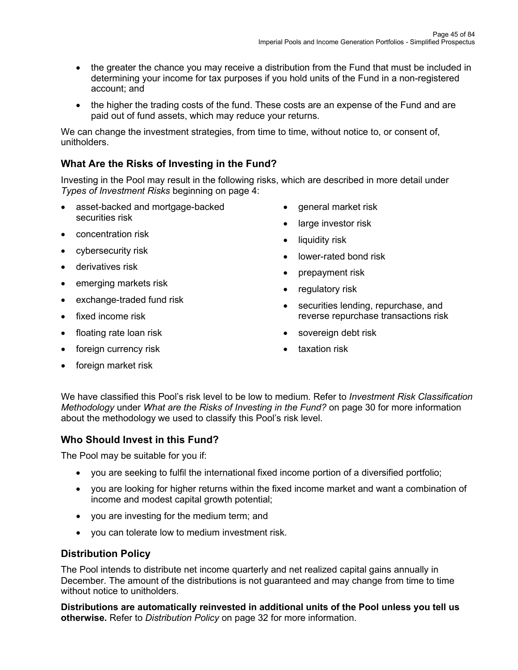- the greater the chance you may receive a distribution from the Fund that must be included in determining your income for tax purposes if you hold units of the Fund in a non-registered account; and
- the higher the trading costs of the fund. These costs are an expense of the Fund and are paid out of fund assets, which may reduce your returns.

We can change the investment strategies, from time to time, without notice to, or consent of, unitholders.

# **What Are the Risks of Investing in the Fund?**

Investing in the Pool may result in the following risks, which are described in more detail under *Types of Investment Risks* beginning on page 4:

- asset-backed and mortgage-backed securities risk
- concentration risk
- cybersecurity risk
- derivatives risk
- emerging markets risk
- exchange-traded fund risk
- fixed income risk
- floating rate loan risk
- foreign currency risk
- general market risk
- large investor risk
- liquidity risk
- lower-rated bond risk
- prepayment risk
- regulatory risk
- securities lending, repurchase, and reverse repurchase transactions risk
- sovereign debt risk
- taxation risk

• foreign market risk

We have classified this Pool's risk level to be low to medium. Refer to *Investment Risk Classification Methodology* under *What are the Risks of Investing in the Fund?* on page 30 for more information about the methodology we used to classify this Pool's risk level.

## **Who Should Invest in this Fund?**

The Pool may be suitable for you if:

- you are seeking to fulfil the international fixed income portion of a diversified portfolio;
- you are looking for higher returns within the fixed income market and want a combination of income and modest capital growth potential;
- you are investing for the medium term; and
- you can tolerate low to medium investment risk.

## **Distribution Policy**

The Pool intends to distribute net income quarterly and net realized capital gains annually in December. The amount of the distributions is not guaranteed and may change from time to time without notice to unitholders.

**Distributions are automatically reinvested in additional units of the Pool unless you tell us otherwise.** Refer to *Distribution Policy* on page 32 for more information.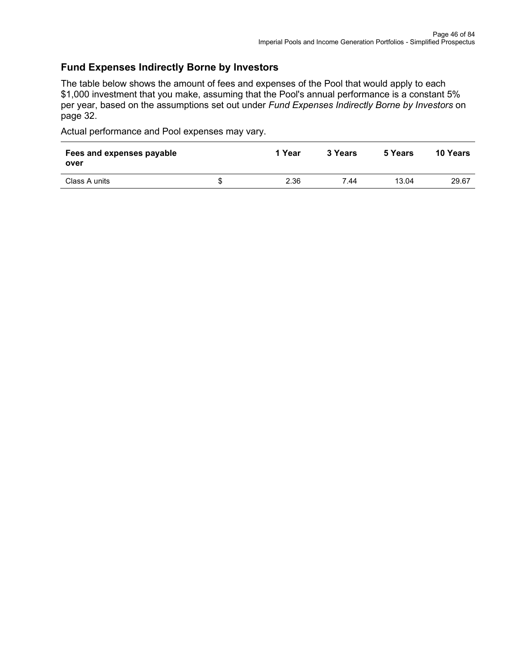## **Fund Expenses Indirectly Borne by Investors**

The table below shows the amount of fees and expenses of the Pool that would apply to each \$1,000 investment that you make, assuming that the Pool's annual performance is a constant 5% per year, based on the assumptions set out under *Fund Expenses Indirectly Borne by Investors* on page 32.

| Fees and expenses payable<br>over | 1 Year | 3 Years | 5 Years | <b>10 Years</b> |
|-----------------------------------|--------|---------|---------|-----------------|
| Class A units                     | 2.36   | 7.44    | 13.04   | 29.67           |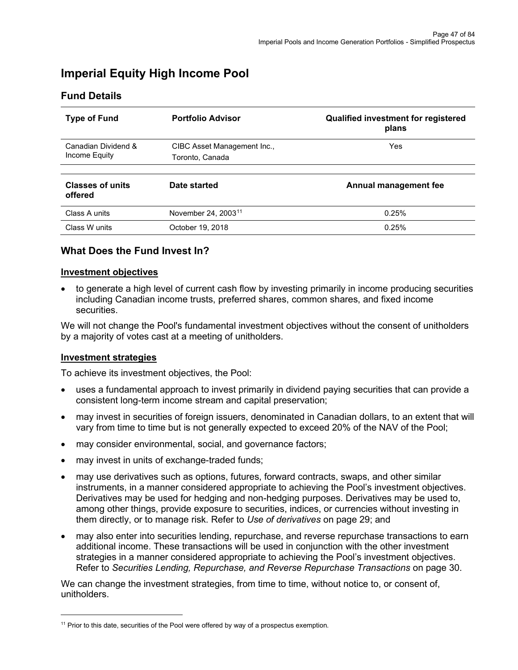# **Imperial Equity High Income Pool**

| <b>Type of Fund</b>                  | <b>Portfolio Advisor</b>        | <b>Qualified investment for registered</b><br>plans |
|--------------------------------------|---------------------------------|-----------------------------------------------------|
| Canadian Dividend &<br>Income Equity | CIBC Asset Management Inc.,     | Yes                                                 |
|                                      | Toronto, Canada                 |                                                     |
| <b>Classes of units</b><br>offered   | Date started                    | Annual management fee                               |
| Class A units                        | November 24, 2003 <sup>11</sup> | 0.25%                                               |
| Class W units                        | October 19, 2018                | 0.25%                                               |

# **Fund Details**

# **What Does the Fund Invest In?**

#### **Investment objectives**

• to generate a high level of current cash flow by investing primarily in income producing securities including Canadian income trusts, preferred shares, common shares, and fixed income securities.

We will not change the Pool's fundamental investment objectives without the consent of unitholders by a majority of votes cast at a meeting of unitholders.

#### **Investment strategies**

To achieve its investment objectives, the Pool:

- uses a fundamental approach to invest primarily in dividend paying securities that can provide a consistent long-term income stream and capital preservation;
- may invest in securities of foreign issuers, denominated in Canadian dollars, to an extent that will vary from time to time but is not generally expected to exceed 20% of the NAV of the Pool;
- may consider environmental, social, and governance factors;
- may invest in units of exchange-traded funds;
- may use derivatives such as options, futures, forward contracts, swaps, and other similar instruments, in a manner considered appropriate to achieving the Pool's investment objectives. Derivatives may be used for hedging and non-hedging purposes. Derivatives may be used to, among other things, provide exposure to securities, indices, or currencies without investing in them directly, or to manage risk. Refer to *Use of derivatives* on page 29; and
- may also enter into securities lending, repurchase, and reverse repurchase transactions to earn additional income. These transactions will be used in conjunction with the other investment strategies in a manner considered appropriate to achieving the Pool's investment objectives. Refer to *Securities Lending, Repurchase, and Reverse Repurchase Transactions* on page 30.

We can change the investment strategies, from time to time, without notice to, or consent of, unitholders.

<span id="page-46-0"></span> $11$  Prior to this date, securities of the Pool were offered by way of a prospectus exemption.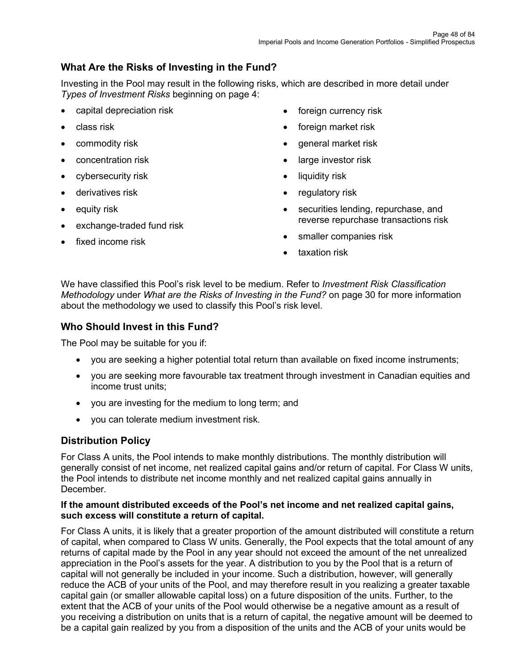# **What Are the Risks of Investing in the Fund?**

Investing in the Pool may result in the following risks, which are described in more detail under *Types of Investment Risks* beginning on page 4:

- capital depreciation risk
- class risk
- commodity risk
- concentration risk
- cybersecurity risk
- derivatives risk
- equity risk
- exchange-traded fund risk
- fixed income risk
- foreign currency risk
- foreign market risk
- general market risk
- large investor risk
- liquidity risk
- regulatory risk
- securities lending, repurchase, and reverse repurchase transactions risk
- smaller companies risk
- taxation risk

We have classified this Pool's risk level to be medium. Refer to *Investment Risk Classification Methodology* under *What are the Risks of Investing in the Fund?* on page 30 for more information about the methodology we used to classify this Pool's risk level.

## **Who Should Invest in this Fund?**

The Pool may be suitable for you if:

- you are seeking a higher potential total return than available on fixed income instruments;
- you are seeking more favourable tax treatment through investment in Canadian equities and income trust units;
- you are investing for the medium to long term; and
- you can tolerate medium investment risk.

## **Distribution Policy**

For Class A units, the Pool intends to make monthly distributions. The monthly distribution will generally consist of net income, net realized capital gains and/or return of capital. For Class W units, the Pool intends to distribute net income monthly and net realized capital gains annually in December.

#### **If the amount distributed exceeds of the Pool's net income and net realized capital gains, such excess will constitute a return of capital.**

For Class A units, it is likely that a greater proportion of the amount distributed will constitute a return of capital, when compared to Class W units. Generally, the Pool expects that the total amount of any returns of capital made by the Pool in any year should not exceed the amount of the net unrealized appreciation in the Pool's assets for the year. A distribution to you by the Pool that is a return of capital will not generally be included in your income. Such a distribution, however, will generally reduce the ACB of your units of the Pool, and may therefore result in you realizing a greater taxable capital gain (or smaller allowable capital loss) on a future disposition of the units. Further, to the extent that the ACB of your units of the Pool would otherwise be a negative amount as a result of you receiving a distribution on units that is a return of capital, the negative amount will be deemed to be a capital gain realized by you from a disposition of the units and the ACB of your units would be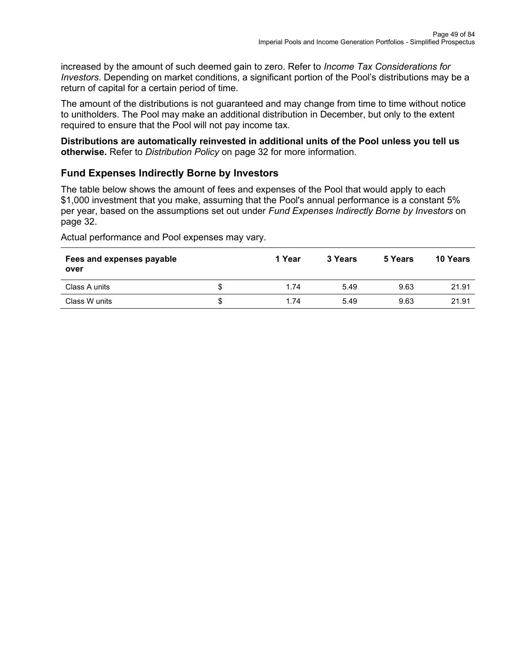increased by the amount of such deemed gain to zero. Refer to *Income Tax Considerations for Investors*. Depending on market conditions, a significant portion of the Pool's distributions may be a return of capital for a certain period of time.

The amount of the distributions is not guaranteed and may change from time to time without notice to unitholders. The Pool may make an additional distribution in December, but only to the extent required to ensure that the Pool will not pay income tax.

#### **Distributions are automatically reinvested in additional units of the Pool unless you tell us otherwise.** Refer to *Distribution Policy* on page 32 for more information.

# **Fund Expenses Indirectly Borne by Investors**

The table below shows the amount of fees and expenses of the Pool that would apply to each \$1,000 investment that you make, assuming that the Pool's annual performance is a constant 5% per year, based on the assumptions set out under *Fund Expenses Indirectly Borne by Investors* on page 32.

| Fees and expenses payable<br>over |    | 1 Year | 3 Years | 5 Years | 10 Years |
|-----------------------------------|----|--------|---------|---------|----------|
| Class A units                     | S  | 1.74   | 5.49    | 9.63    | 21.91    |
| Class W units                     | \$ | 1.74   | 5.49    | 9.63    | 21.91    |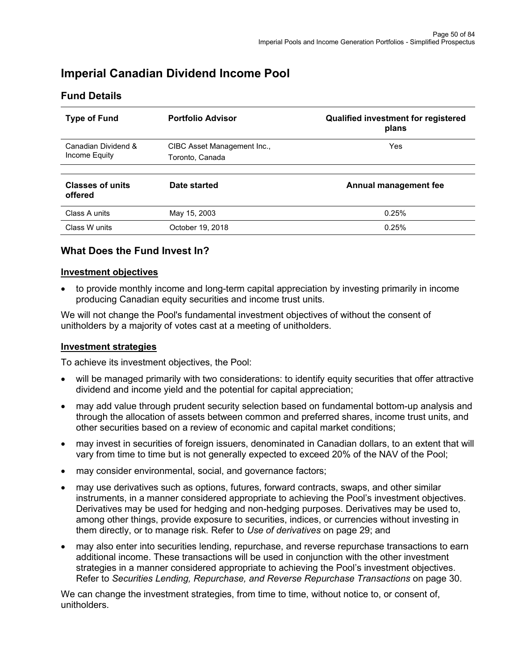# **Imperial Canadian Dividend Income Pool**

| <b>Type of Fund</b>                | <b>Portfolio Advisor</b>    | <b>Qualified investment for registered</b><br>plans |
|------------------------------------|-----------------------------|-----------------------------------------------------|
| Canadian Dividend &                | CIBC Asset Management Inc., | <b>Yes</b>                                          |
| Income Equity                      | Toronto, Canada             |                                                     |
| <b>Classes of units</b><br>offered | Date started                | Annual management fee                               |
| Class A units                      | May 15, 2003                | 0.25%                                               |
| Class W units                      | October 19, 2018            | 0.25%                                               |

# **Fund Details**

# **What Does the Fund Invest In?**

#### **Investment objectives**

• to provide monthly income and long-term capital appreciation by investing primarily in income producing Canadian equity securities and income trust units.

We will not change the Pool's fundamental investment objectives of without the consent of unitholders by a majority of votes cast at a meeting of unitholders.

#### **Investment strategies**

To achieve its investment objectives, the Pool:

- will be managed primarily with two considerations: to identify equity securities that offer attractive dividend and income yield and the potential for capital appreciation;
- may add value through prudent security selection based on fundamental bottom-up analysis and through the allocation of assets between common and preferred shares, income trust units, and other securities based on a review of economic and capital market conditions;
- may invest in securities of foreign issuers, denominated in Canadian dollars, to an extent that will vary from time to time but is not generally expected to exceed 20% of the NAV of the Pool;
- may consider environmental, social, and governance factors;
- may use derivatives such as options, futures, forward contracts, swaps, and other similar instruments, in a manner considered appropriate to achieving the Pool's investment objectives. Derivatives may be used for hedging and non-hedging purposes. Derivatives may be used to, among other things, provide exposure to securities, indices, or currencies without investing in them directly, or to manage risk. Refer to *Use of derivatives* on page 29; and
- may also enter into securities lending, repurchase, and reverse repurchase transactions to earn additional income. These transactions will be used in conjunction with the other investment strategies in a manner considered appropriate to achieving the Pool's investment objectives. Refer to *Securities Lending, Repurchase, and Reverse Repurchase Transactions* on page 30.

We can change the investment strategies, from time to time, without notice to, or consent of, unitholders.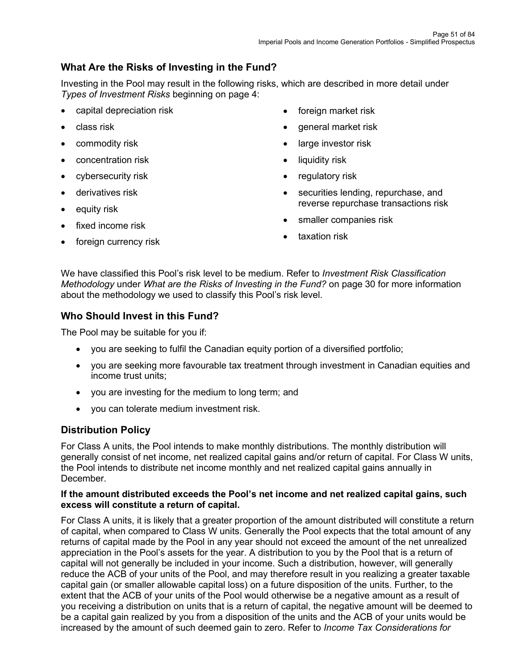# **What Are the Risks of Investing in the Fund?**

Investing in the Pool may result in the following risks, which are described in more detail under *Types of Investment Risks* beginning on page 4:

- capital depreciation risk
- class risk
- commodity risk
- concentration risk
- cybersecurity risk
- derivatives risk
- equity risk
- fixed income risk
- foreign currency risk
- foreign market risk
- general market risk
- large investor risk
- liquidity risk
- regulatory risk
- securities lending, repurchase, and reverse repurchase transactions risk
- smaller companies risk
- taxation risk

We have classified this Pool's risk level to be medium. Refer to *Investment Risk Classification Methodology* under *What are the Risks of Investing in the Fund?* on page 30 for more information about the methodology we used to classify this Pool's risk level.

## **Who Should Invest in this Fund?**

The Pool may be suitable for you if:

- you are seeking to fulfil the Canadian equity portion of a diversified portfolio;
- you are seeking more favourable tax treatment through investment in Canadian equities and income trust units;
- you are investing for the medium to long term; and
- you can tolerate medium investment risk.

# **Distribution Policy**

For Class A units, the Pool intends to make monthly distributions. The monthly distribution will generally consist of net income, net realized capital gains and/or return of capital. For Class W units, the Pool intends to distribute net income monthly and net realized capital gains annually in December.

#### **If the amount distributed exceeds the Pool's net income and net realized capital gains, such excess will constitute a return of capital.**

For Class A units, it is likely that a greater proportion of the amount distributed will constitute a return of capital, when compared to Class W units. Generally the Pool expects that the total amount of any returns of capital made by the Pool in any year should not exceed the amount of the net unrealized appreciation in the Pool's assets for the year. A distribution to you by the Pool that is a return of capital will not generally be included in your income. Such a distribution, however, will generally reduce the ACB of your units of the Pool, and may therefore result in you realizing a greater taxable capital gain (or smaller allowable capital loss) on a future disposition of the units. Further, to the extent that the ACB of your units of the Pool would otherwise be a negative amount as a result of you receiving a distribution on units that is a return of capital, the negative amount will be deemed to be a capital gain realized by you from a disposition of the units and the ACB of your units would be increased by the amount of such deemed gain to zero. Refer to *Income Tax Considerations for*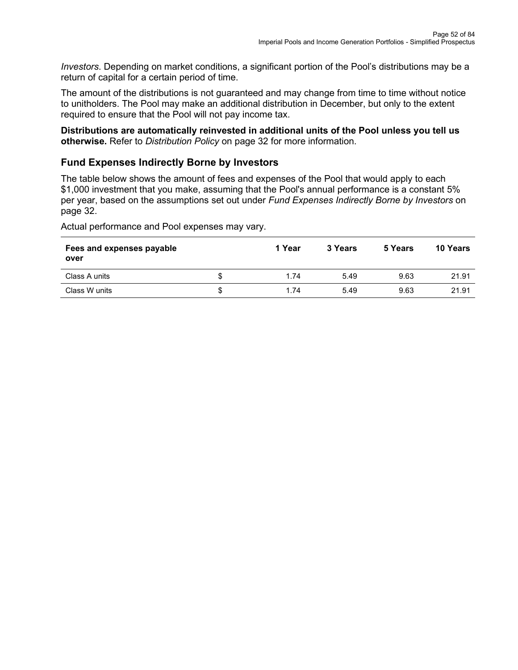*Investors*. Depending on market conditions, a significant portion of the Pool's distributions may be a return of capital for a certain period of time.

The amount of the distributions is not guaranteed and may change from time to time without notice to unitholders. The Pool may make an additional distribution in December, but only to the extent required to ensure that the Pool will not pay income tax.

**Distributions are automatically reinvested in additional units of the Pool unless you tell us otherwise.** Refer to *Distribution Policy* on page 32 for more information.

## **Fund Expenses Indirectly Borne by Investors**

The table below shows the amount of fees and expenses of the Pool that would apply to each \$1,000 investment that you make, assuming that the Pool's annual performance is a constant 5% per year, based on the assumptions set out under *Fund Expenses Indirectly Borne by Investors* on page 32.

| Fees and expenses payable<br>over |   | 1 Year | 3 Years | 5 Years | 10 Years |
|-----------------------------------|---|--------|---------|---------|----------|
| Class A units                     | S | 1.74   | 5.49    | 9.63    | 21.91    |
| Class W units                     | S | 1.74   | 5.49    | 9.63    | 21.91    |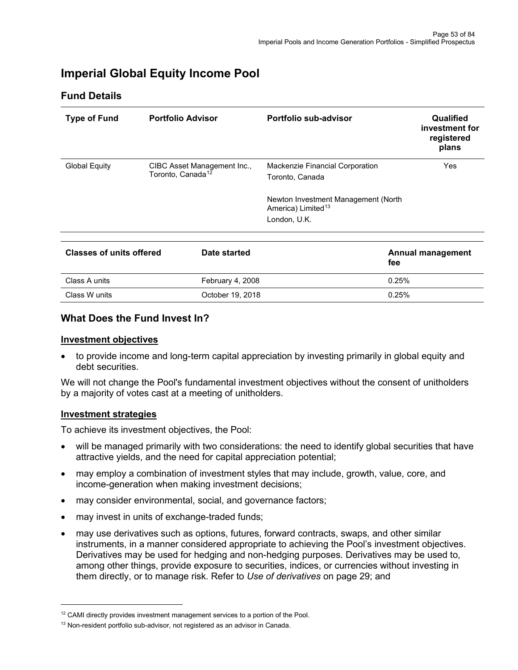# **Imperial Global Equity Income Pool**

## **Fund Details**

| <b>Type of Fund</b>             |                               | <b>Portfolio Advisor</b>    | Portfolio sub-advisor                                                                 | Qualified<br>investment for<br>registered<br>plans |
|---------------------------------|-------------------------------|-----------------------------|---------------------------------------------------------------------------------------|----------------------------------------------------|
| <b>Global Equity</b>            | Toronto, Canada <sup>12</sup> | CIBC Asset Management Inc., | Mackenzie Financial Corporation<br>Toronto, Canada                                    | Yes                                                |
|                                 |                               |                             | Newton Investment Management (North<br>America) Limited <sup>13</sup><br>London, U.K. |                                                    |
|                                 |                               |                             |                                                                                       |                                                    |
| <b>Classes of units offered</b> |                               | Date started                | fee                                                                                   | <b>Annual management</b>                           |
| Class A units                   |                               | February 4, 2008            |                                                                                       | 0.25%                                              |
| Class W units                   |                               | October 19, 2018            |                                                                                       | 0.25%                                              |

## **What Does the Fund Invest In?**

#### **Investment objectives**

• to provide income and long-term capital appreciation by investing primarily in global equity and debt securities.

We will not change the Pool's fundamental investment objectives without the consent of unitholders by a majority of votes cast at a meeting of unitholders.

#### **Investment strategies**

- will be managed primarily with two considerations: the need to identify global securities that have attractive yields, and the need for capital appreciation potential;
- may employ a combination of investment styles that may include, growth, value, core, and income-generation when making investment decisions;
- may consider environmental, social, and governance factors;
- may invest in units of exchange-traded funds;
- may use derivatives such as options, futures, forward contracts, swaps, and other similar instruments, in a manner considered appropriate to achieving the Pool's investment objectives. Derivatives may be used for hedging and non-hedging purposes. Derivatives may be used to, among other things, provide exposure to securities, indices, or currencies without investing in them directly, or to manage risk. Refer to *Use of derivatives* on page 29; and

<span id="page-52-0"></span><sup>&</sup>lt;sup>12</sup> CAMI directly provides investment management services to a portion of the Pool.

<span id="page-52-1"></span><sup>&</sup>lt;sup>13</sup> Non-resident portfolio sub-advisor, not registered as an advisor in Canada.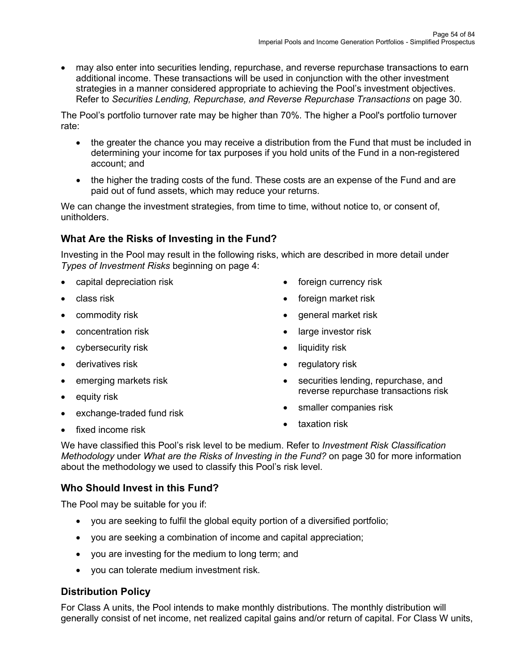• may also enter into securities lending, repurchase, and reverse repurchase transactions to earn additional income. These transactions will be used in conjunction with the other investment strategies in a manner considered appropriate to achieving the Pool's investment objectives. Refer to *Securities Lending, Repurchase, and Reverse Repurchase Transactions* on page 30.

The Pool's portfolio turnover rate may be higher than 70%. The higher a Pool's portfolio turnover rate:

- the greater the chance you may receive a distribution from the Fund that must be included in determining your income for tax purposes if you hold units of the Fund in a non-registered account; and
- the higher the trading costs of the fund. These costs are an expense of the Fund and are paid out of fund assets, which may reduce your returns.

We can change the investment strategies, from time to time, without notice to, or consent of, unitholders.

# **What Are the Risks of Investing in the Fund?**

Investing in the Pool may result in the following risks, which are described in more detail under *Types of Investment Risks* beginning on page 4:

- capital depreciation risk
- class risk
- commodity risk
- concentration risk
- cybersecurity risk
- derivatives risk
- emerging markets risk
- equity risk
- exchange-traded fund risk
- foreign currency risk
- foreign market risk
- general market risk
- large investor risk
- liquidity risk
- regulatory risk
- securities lending, repurchase, and reverse repurchase transactions risk
- smaller companies risk
- taxation risk

fixed income risk

We have classified this Pool's risk level to be medium. Refer to *Investment Risk Classification Methodology* under *What are the Risks of Investing in the Fund?* on page 30 for more information about the methodology we used to classify this Pool's risk level.

# **Who Should Invest in this Fund?**

The Pool may be suitable for you if:

- you are seeking to fulfil the global equity portion of a diversified portfolio;
- you are seeking a combination of income and capital appreciation;
- you are investing for the medium to long term; and
- you can tolerate medium investment risk.

# **Distribution Policy**

For Class A units, the Pool intends to make monthly distributions. The monthly distribution will generally consist of net income, net realized capital gains and/or return of capital. For Class W units,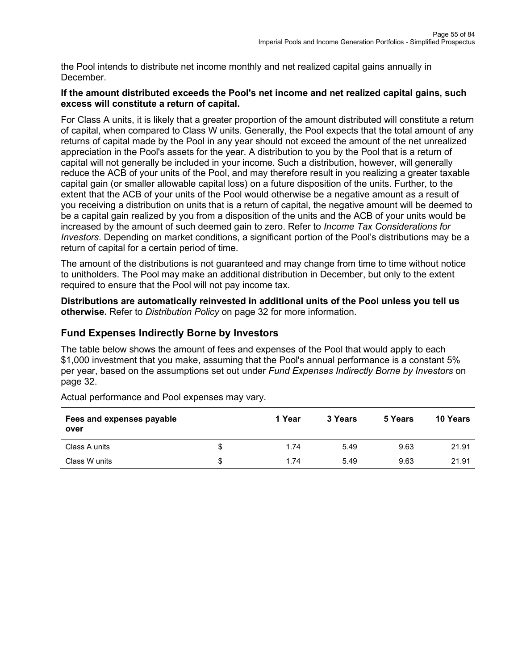the Pool intends to distribute net income monthly and net realized capital gains annually in December.

#### **If the amount distributed exceeds the Pool's net income and net realized capital gains, such excess will constitute a return of capital.**

For Class A units, it is likely that a greater proportion of the amount distributed will constitute a return of capital, when compared to Class W units. Generally, the Pool expects that the total amount of any returns of capital made by the Pool in any year should not exceed the amount of the net unrealized appreciation in the Pool's assets for the year. A distribution to you by the Pool that is a return of capital will not generally be included in your income. Such a distribution, however, will generally reduce the ACB of your units of the Pool, and may therefore result in you realizing a greater taxable capital gain (or smaller allowable capital loss) on a future disposition of the units. Further, to the extent that the ACB of your units of the Pool would otherwise be a negative amount as a result of you receiving a distribution on units that is a return of capital, the negative amount will be deemed to be a capital gain realized by you from a disposition of the units and the ACB of your units would be increased by the amount of such deemed gain to zero. Refer to *Income Tax Considerations for Investors*. Depending on market conditions, a significant portion of the Pool's distributions may be a return of capital for a certain period of time.

The amount of the distributions is not guaranteed and may change from time to time without notice to unitholders. The Pool may make an additional distribution in December, but only to the extent required to ensure that the Pool will not pay income tax.

**Distributions are automatically reinvested in additional units of the Pool unless you tell us otherwise.** Refer to *Distribution Policy* on page 32 for more information.

## **Fund Expenses Indirectly Borne by Investors**

The table below shows the amount of fees and expenses of the Pool that would apply to each \$1,000 investment that you make, assuming that the Pool's annual performance is a constant 5% per year, based on the assumptions set out under *Fund Expenses Indirectly Borne by Investors* on page 32.

| Fees and expenses payable<br>over |   | 1 Year | 3 Years | 5 Years | 10 Years |
|-----------------------------------|---|--------|---------|---------|----------|
| Class A units                     |   | 1.74   | 5.49    | 9.63    | 21.91    |
| Class W units                     | S | 1.74   | 5.49    | 9.63    | 21.91    |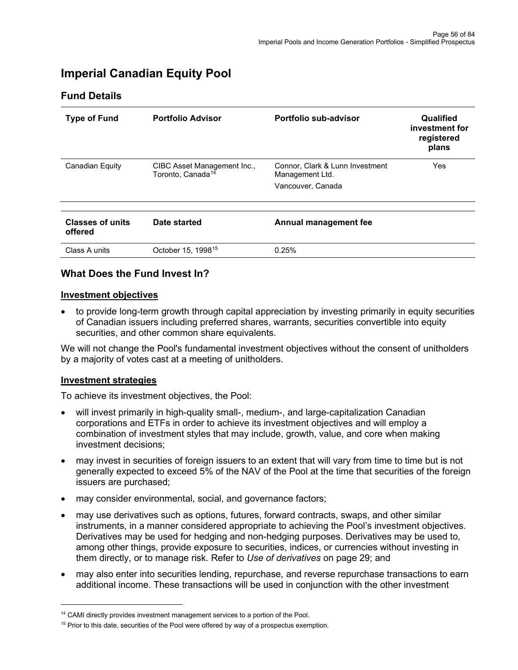# **Imperial Canadian Equity Pool**

## **Fund Details**

| <b>Type of Fund</b>                | <b>Portfolio Advisor</b>                                     | Portfolio sub-advisor                                                   | Qualified<br>investment for<br>registered<br>plans |
|------------------------------------|--------------------------------------------------------------|-------------------------------------------------------------------------|----------------------------------------------------|
| <b>Canadian Equity</b>             | CIBC Asset Management Inc.,<br>Toronto, Canada <sup>14</sup> | Connor, Clark & Lunn Investment<br>Management Ltd.<br>Vancouver, Canada | Yes                                                |
| <b>Classes of units</b><br>offered | Date started                                                 | Annual management fee                                                   |                                                    |
| Class A units                      | October 15, 1998 <sup>15</sup>                               | 0.25%                                                                   |                                                    |

## **What Does the Fund Invest In?**

#### **Investment objectives**

• to provide long-term growth through capital appreciation by investing primarily in equity securities of Canadian issuers including preferred shares, warrants, securities convertible into equity securities, and other common share equivalents.

We will not change the Pool's fundamental investment objectives without the consent of unitholders by a majority of votes cast at a meeting of unitholders.

#### **Investment strategies**

- will invest primarily in high-quality small-, medium-, and large-capitalization Canadian corporations and ETFs in order to achieve its investment objectives and will employ a combination of investment styles that may include, growth, value, and core when making investment decisions;
- may invest in securities of foreign issuers to an extent that will vary from time to time but is not generally expected to exceed 5% of the NAV of the Pool at the time that securities of the foreign issuers are purchased;
- may consider environmental, social, and governance factors;
- may use derivatives such as options, futures, forward contracts, swaps, and other similar instruments, in a manner considered appropriate to achieving the Pool's investment objectives. Derivatives may be used for hedging and non-hedging purposes. Derivatives may be used to, among other things, provide exposure to securities, indices, or currencies without investing in them directly, or to manage risk. Refer to *Use of derivatives* on page 29; and
- may also enter into securities lending, repurchase, and reverse repurchase transactions to earn additional income. These transactions will be used in conjunction with the other investment

<span id="page-55-0"></span><sup>&</sup>lt;sup>14</sup> CAMI directly provides investment management services to a portion of the Pool.

<span id="page-55-1"></span><sup>&</sup>lt;sup>15</sup> Prior to this date, securities of the Pool were offered by way of a prospectus exemption.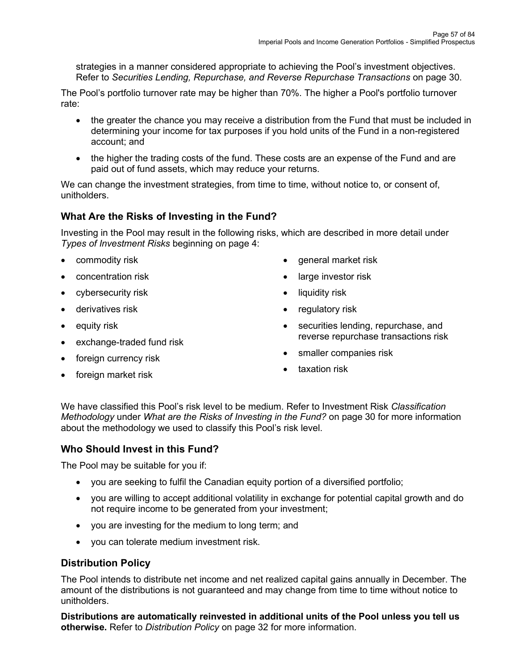strategies in a manner considered appropriate to achieving the Pool's investment objectives. Refer to *Securities Lending, Repurchase, and Reverse Repurchase Transactions* on page 30.

The Pool's portfolio turnover rate may be higher than 70%. The higher a Pool's portfolio turnover rate:

- the greater the chance you may receive a distribution from the Fund that must be included in determining your income for tax purposes if you hold units of the Fund in a non-registered account; and
- the higher the trading costs of the fund. These costs are an expense of the Fund and are paid out of fund assets, which may reduce your returns.

We can change the investment strategies, from time to time, without notice to, or consent of, unitholders.

# **What Are the Risks of Investing in the Fund?**

Investing in the Pool may result in the following risks, which are described in more detail under *Types of Investment Risks* beginning on page 4:

- commodity risk
- concentration risk
- cybersecurity risk
- derivatives risk
- equity risk
- exchange-traded fund risk
- foreign currency risk
- foreign market risk
- general market risk
- large investor risk
- liquidity risk
- regulatory risk
- securities lending, repurchase, and reverse repurchase transactions risk
- smaller companies risk
- taxation risk

We have classified this Pool's risk level to be medium. Refer to Investment Risk *Classification Methodology* under *What are the Risks of Investing in the Fund?* on page 30 for more information about the methodology we used to classify this Pool's risk level.

## **Who Should Invest in this Fund?**

The Pool may be suitable for you if:

- you are seeking to fulfil the Canadian equity portion of a diversified portfolio;
- you are willing to accept additional volatility in exchange for potential capital growth and do not require income to be generated from your investment;
- you are investing for the medium to long term; and
- you can tolerate medium investment risk.

## **Distribution Policy**

The Pool intends to distribute net income and net realized capital gains annually in December. The amount of the distributions is not guaranteed and may change from time to time without notice to unitholders.

**Distributions are automatically reinvested in additional units of the Pool unless you tell us otherwise.** Refer to *Distribution Policy* on page 32 for more information.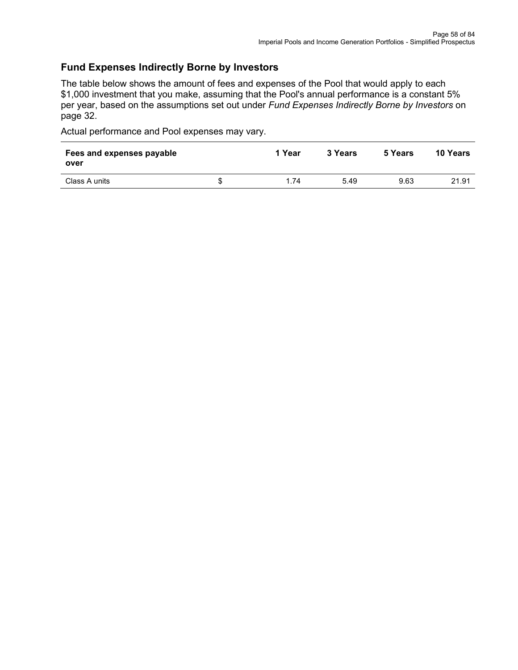## **Fund Expenses Indirectly Borne by Investors**

The table below shows the amount of fees and expenses of the Pool that would apply to each \$1,000 investment that you make, assuming that the Pool's annual performance is a constant 5% per year, based on the assumptions set out under *Fund Expenses Indirectly Borne by Investors* on page 32.

| Fees and expenses payable<br>over |    | 1 Year | 3 Years | 5 Years | <b>10 Years</b> |
|-----------------------------------|----|--------|---------|---------|-----------------|
| Class A units                     | S. | 1.74   | 5.49    | 9.63    | 21.91           |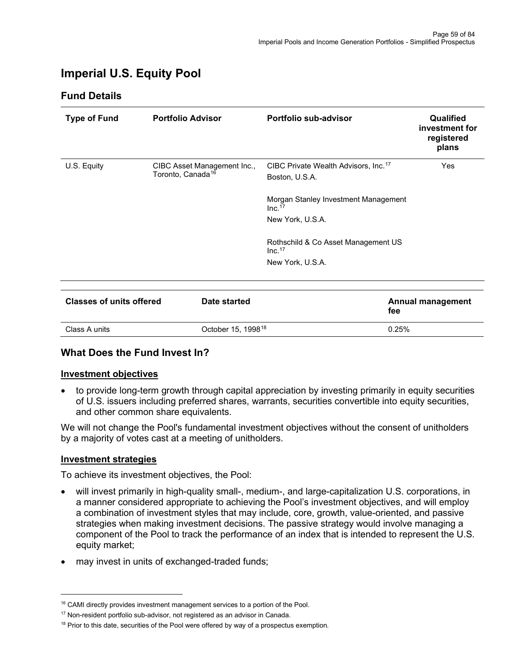# **Imperial U.S. Equity Pool**

## **Fund Details**

<span id="page-58-0"></span>

| <b>Type of Fund</b>             | <b>Portfolio Advisor</b>                                     | <b>Portfolio sub-advisor</b>                                       | Qualified<br>investment for<br>registered<br>plans |
|---------------------------------|--------------------------------------------------------------|--------------------------------------------------------------------|----------------------------------------------------|
| U.S. Equity                     | CIBC Asset Management Inc.,<br>Toronto, Canada <sup>16</sup> | CIBC Private Wealth Advisors, Inc. <sup>17</sup><br>Boston, U.S.A. | Yes                                                |
|                                 |                                                              | Morgan Stanley Investment Management<br>Inc. <sup>17</sup>         |                                                    |
|                                 |                                                              | New York, U.S.A.                                                   |                                                    |
|                                 |                                                              | Rothschild & Co Asset Management US<br>Inc. <sup>17</sup>          |                                                    |
|                                 |                                                              | New York, U.S.A.                                                   |                                                    |
|                                 |                                                              |                                                                    |                                                    |
| <b>Classes of units offered</b> | Date started                                                 | fee                                                                | Annual management                                  |
| Class A units                   | October 15, 1998 <sup>18</sup>                               | 0.25%                                                              |                                                    |

# **What Does the Fund Invest In?**

#### **Investment objectives**

• to provide long-term growth through capital appreciation by investing primarily in equity securities of U.S. issuers including preferred shares, warrants, securities convertible into equity securities, and other common share equivalents.

We will not change the Pool's fundamental investment objectives without the consent of unitholders by a majority of votes cast at a meeting of unitholders.

#### **Investment strategies**

- will invest primarily in high-quality small-, medium-, and large-capitalization U.S. corporations, in a manner considered appropriate to achieving the Pool's investment objectives, and will employ a combination of investment styles that may include, core, growth, value-oriented, and passive strategies when making investment decisions. The passive strategy would involve managing a component of the Pool to track the performance of an index that is intended to represent the U.S. equity market;
- may invest in units of exchanged-traded funds;

<span id="page-58-1"></span><sup>&</sup>lt;sup>16</sup> CAMI directly provides investment management services to a portion of the Pool.

<span id="page-58-2"></span><sup>&</sup>lt;sup>17</sup> Non-resident portfolio sub-advisor, not registered as an advisor in Canada.

<span id="page-58-3"></span> $18$  Prior to this date, securities of the Pool were offered by way of a prospectus exemption.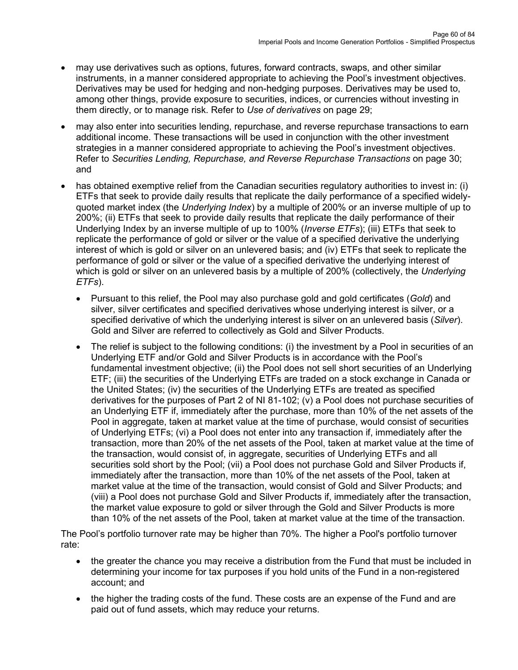- may use derivatives such as options, futures, forward contracts, swaps, and other similar instruments, in a manner considered appropriate to achieving the Pool's investment objectives. Derivatives may be used for hedging and non-hedging purposes. Derivatives may be used to, among other things, provide exposure to securities, indices, or currencies without investing in them directly, or to manage risk. Refer to *Use of derivatives* on page 29;
- may also enter into securities lending, repurchase, and reverse repurchase transactions to earn additional income. These transactions will be used in conjunction with the other investment strategies in a manner considered appropriate to achieving the Pool's investment objectives. Refer to *Securities Lending, Repurchase, and Reverse Repurchase Transactions* on page 30; and
- has obtained exemptive relief from the Canadian securities regulatory authorities to invest in: (i) ETFs that seek to provide daily results that replicate the daily performance of a specified widelyquoted market index (the *Underlying Index*) by a multiple of 200% or an inverse multiple of up to 200%; (ii) ETFs that seek to provide daily results that replicate the daily performance of their Underlying Index by an inverse multiple of up to 100% (*Inverse ETFs*); (iii) ETFs that seek to replicate the performance of gold or silver or the value of a specified derivative the underlying interest of which is gold or silver on an unlevered basis; and (iv) ETFs that seek to replicate the performance of gold or silver or the value of a specified derivative the underlying interest of which is gold or silver on an unlevered basis by a multiple of 200% (collectively, the *Underlying ETFs*).
	- Pursuant to this relief, the Pool may also purchase gold and gold certificates (*Gold*) and silver, silver certificates and specified derivatives whose underlying interest is silver, or a specified derivative of which the underlying interest is silver on an unlevered basis (*Silver*). Gold and Silver are referred to collectively as Gold and Silver Products.
	- The relief is subject to the following conditions: (i) the investment by a Pool in securities of an Underlying ETF and/or Gold and Silver Products is in accordance with the Pool's fundamental investment objective; (ii) the Pool does not sell short securities of an Underlying ETF; (iii) the securities of the Underlying ETFs are traded on a stock exchange in Canada or the United States; (iv) the securities of the Underlying ETFs are treated as specified derivatives for the purposes of Part 2 of NI 81-102; (v) a Pool does not purchase securities of an Underlying ETF if, immediately after the purchase, more than 10% of the net assets of the Pool in aggregate, taken at market value at the time of purchase, would consist of securities of Underlying ETFs; (vi) a Pool does not enter into any transaction if, immediately after the transaction, more than 20% of the net assets of the Pool, taken at market value at the time of the transaction, would consist of, in aggregate, securities of Underlying ETFs and all securities sold short by the Pool; (vii) a Pool does not purchase Gold and Silver Products if, immediately after the transaction, more than 10% of the net assets of the Pool, taken at market value at the time of the transaction, would consist of Gold and Silver Products; and (viii) a Pool does not purchase Gold and Silver Products if, immediately after the transaction, the market value exposure to gold or silver through the Gold and Silver Products is more than 10% of the net assets of the Pool, taken at market value at the time of the transaction.

The Pool's portfolio turnover rate may be higher than 70%. The higher a Pool's portfolio turnover rate:

- the greater the chance you may receive a distribution from the Fund that must be included in determining your income for tax purposes if you hold units of the Fund in a non-registered account; and
- the higher the trading costs of the fund. These costs are an expense of the Fund and are paid out of fund assets, which may reduce your returns.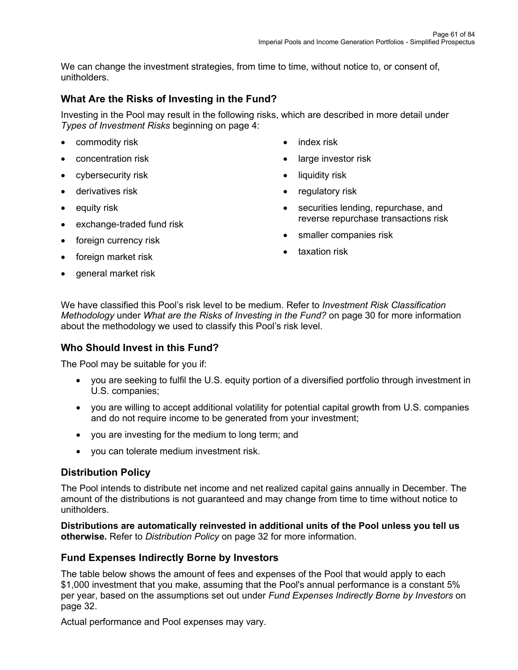We can change the investment strategies, from time to time, without notice to, or consent of, unitholders.

# **What Are the Risks of Investing in the Fund?**

Investing in the Pool may result in the following risks, which are described in more detail under *Types of Investment Risks* beginning on page 4:

- commodity risk
- concentration risk
- cybersecurity risk
- derivatives risk
- equity risk
- exchange-traded fund risk
- foreign currency risk
- foreign market risk
- general market risk
- index risk
- large investor risk
- liquidity risk
- regulatory risk
- securities lending, repurchase, and reverse repurchase transactions risk
- smaller companies risk
- taxation risk

We have classified this Pool's risk level to be medium. Refer to *Investment Risk Classification Methodology* under *What are the Risks of Investing in the Fund?* on page 30 for more information about the methodology we used to classify this Pool's risk level.

## **Who Should Invest in this Fund?**

The Pool may be suitable for you if:

- you are seeking to fulfil the U.S. equity portion of a diversified portfolio through investment in U.S. companies;
- you are willing to accept additional volatility for potential capital growth from U.S. companies and do not require income to be generated from your investment;
- you are investing for the medium to long term; and
- you can tolerate medium investment risk.

## **Distribution Policy**

The Pool intends to distribute net income and net realized capital gains annually in December. The amount of the distributions is not guaranteed and may change from time to time without notice to unitholders.

**Distributions are automatically reinvested in additional units of the Pool unless you tell us otherwise.** Refer to *Distribution Policy* on page 32 for more information.

## **Fund Expenses Indirectly Borne by Investors**

The table below shows the amount of fees and expenses of the Pool that would apply to each \$1,000 investment that you make, assuming that the Pool's annual performance is a constant 5% per year, based on the assumptions set out under *Fund Expenses Indirectly Borne by Investors* on page 32.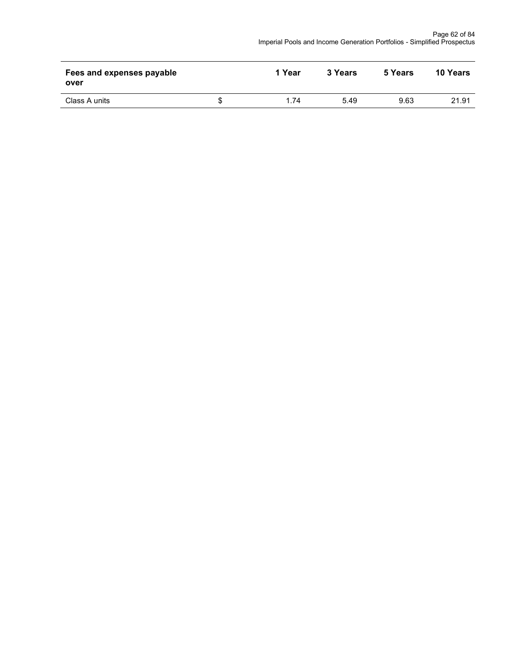| Fees and expenses payable<br>over | 1 Year | 3 Years | 5 Years | <b>10 Years</b> |
|-----------------------------------|--------|---------|---------|-----------------|
| Class A units                     | 1.74   | 5.49    | 9.63    | 21.91           |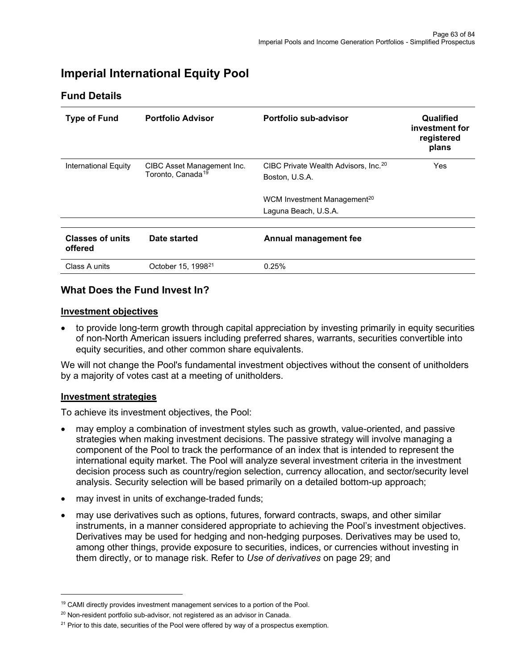# **Imperial International Equity Pool**

## **Fund Details**

<span id="page-62-0"></span>

| <b>Type of Fund</b>                | <b>Portfolio Advisor</b>                                    | Portfolio sub-advisor                                              | Qualified<br>investment for<br>registered<br>plans |
|------------------------------------|-------------------------------------------------------------|--------------------------------------------------------------------|----------------------------------------------------|
| International Equity               | CIBC Asset Management Inc.<br>Toronto, Canada <sup>19</sup> | CIBC Private Wealth Advisors, Inc. <sup>20</sup><br>Boston, U.S.A. | Yes                                                |
|                                    |                                                             | WCM Investment Management <sup>20</sup><br>Laguna Beach, U.S.A.    |                                                    |
| <b>Classes of units</b><br>offered | Date started                                                | Annual management fee                                              |                                                    |
| Class A units                      | October 15, 1998 <sup>21</sup>                              | 0.25%                                                              |                                                    |

#### **What Does the Fund Invest In?**

#### **Investment objectives**

• to provide long-term growth through capital appreciation by investing primarily in equity securities of non-North American issuers including preferred shares, warrants, securities convertible into equity securities, and other common share equivalents.

We will not change the Pool's fundamental investment objectives without the consent of unitholders by a majority of votes cast at a meeting of unitholders.

#### **Investment strategies**

- may employ a combination of investment styles such as growth, value-oriented, and passive strategies when making investment decisions. The passive strategy will involve managing a component of the Pool to track the performance of an index that is intended to represent the international equity market. The Pool will analyze several investment criteria in the investment decision process such as country/region selection, currency allocation, and sector/security level analysis. Security selection will be based primarily on a detailed bottom-up approach;
- may invest in units of exchange-traded funds;
- may use derivatives such as options, futures, forward contracts, swaps, and other similar instruments, in a manner considered appropriate to achieving the Pool's investment objectives. Derivatives may be used for hedging and non-hedging purposes. Derivatives may be used to, among other things, provide exposure to securities, indices, or currencies without investing in them directly, or to manage risk. Refer to *Use of derivatives* on page 29; and

<span id="page-62-1"></span><sup>&</sup>lt;sup>19</sup> CAMI directly provides investment management services to a portion of the Pool.

<span id="page-62-2"></span><sup>&</sup>lt;sup>20</sup> Non-resident portfolio sub-advisor, not registered as an advisor in Canada.

<span id="page-62-3"></span> $21$  Prior to this date, securities of the Pool were offered by way of a prospectus exemption.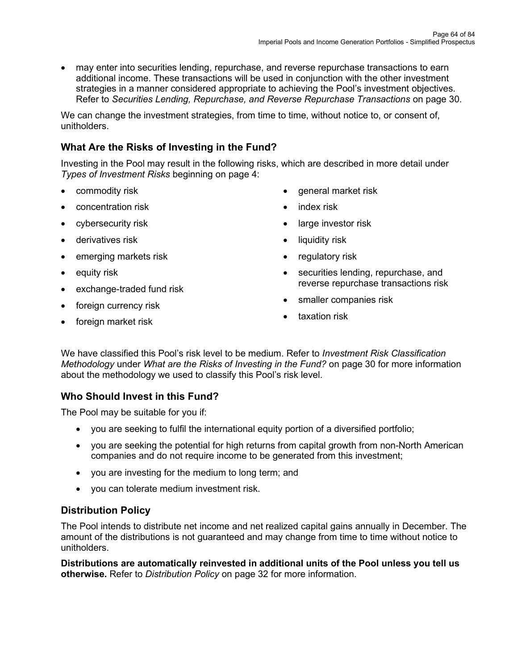• may enter into securities lending, repurchase, and reverse repurchase transactions to earn additional income. These transactions will be used in conjunction with the other investment strategies in a manner considered appropriate to achieving the Pool's investment objectives. Refer to *Securities Lending, Repurchase, and Reverse Repurchase Transactions* on page 30.

We can change the investment strategies, from time to time, without notice to, or consent of, unitholders.

# **What Are the Risks of Investing in the Fund?**

Investing in the Pool may result in the following risks, which are described in more detail under *Types of Investment Risks* beginning on page 4:

- commodity risk
- concentration risk
- cybersecurity risk
- derivatives risk
- emerging markets risk
- equity risk
- exchange-traded fund risk
- foreign currency risk
- foreign market risk
- general market risk
- index risk
- large investor risk
- liquidity risk
- regulatory risk
- securities lending, repurchase, and reverse repurchase transactions risk
- smaller companies risk
- taxation risk

We have classified this Pool's risk level to be medium. Refer to *Investment Risk Classification Methodology* under *What are the Risks of Investing in the Fund?* on page 30 for more information about the methodology we used to classify this Pool's risk level.

## **Who Should Invest in this Fund?**

The Pool may be suitable for you if:

- you are seeking to fulfil the international equity portion of a diversified portfolio;
- you are seeking the potential for high returns from capital growth from non-North American companies and do not require income to be generated from this investment;
- you are investing for the medium to long term; and
- you can tolerate medium investment risk.

## **Distribution Policy**

The Pool intends to distribute net income and net realized capital gains annually in December. The amount of the distributions is not guaranteed and may change from time to time without notice to unitholders.

**Distributions are automatically reinvested in additional units of the Pool unless you tell us otherwise.** Refer to *Distribution Policy* on page 32 for more information.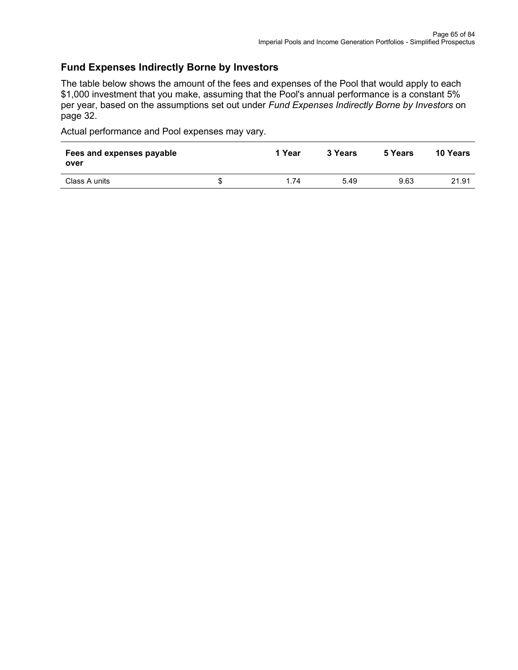## **Fund Expenses Indirectly Borne by Investors**

The table below shows the amount of the fees and expenses of the Pool that would apply to each \$1,000 investment that you make, assuming that the Pool's annual performance is a constant 5% per year, based on the assumptions set out under *Fund Expenses Indirectly Borne by Investors* on page 32.

| Fees and expenses payable<br>over | 1 Year | 3 Years | 5 Years | <b>10 Years</b> |
|-----------------------------------|--------|---------|---------|-----------------|
| Class A units                     | 1.74   | 5.49    | 9.63    | 21.91           |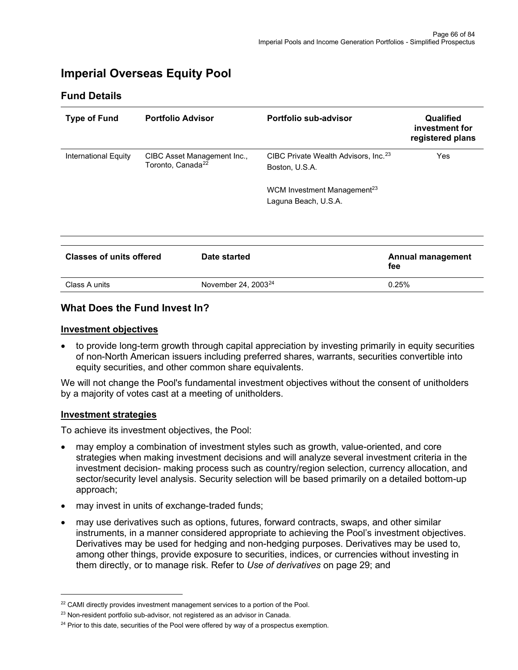# **Imperial Overseas Equity Pool**

## **Fund Details**

<span id="page-65-0"></span>

| <b>Type of Fund</b>             | <b>Portfolio Advisor</b>      |                             | Portfolio sub-advisor                                              | Qualified<br>investment for<br>registered plans |
|---------------------------------|-------------------------------|-----------------------------|--------------------------------------------------------------------|-------------------------------------------------|
| <b>International Equity</b>     | Toronto, Canada <sup>22</sup> | CIBC Asset Management Inc., | CIBC Private Wealth Advisors, Inc. <sup>23</sup><br>Boston, U.S.A. | <b>Yes</b>                                      |
|                                 |                               |                             | WCM Investment Management <sup>23</sup><br>Laguna Beach, U.S.A.    |                                                 |
| <b>Classes of units offered</b> |                               | Date started                |                                                                    | <b>Annual management</b><br>fee                 |
| Class A units                   |                               | November 24, $2003^{24}$    |                                                                    | 0.25%                                           |

#### **What Does the Fund Invest In?**

#### **Investment objectives**

• to provide long-term growth through capital appreciation by investing primarily in equity securities of non-North American issuers including preferred shares, warrants, securities convertible into equity securities, and other common share equivalents.

We will not change the Pool's fundamental investment objectives without the consent of unitholders by a majority of votes cast at a meeting of unitholders.

#### **Investment strategies**

- may employ a combination of investment styles such as growth, value-oriented, and core strategies when making investment decisions and will analyze several investment criteria in the investment decision- making process such as country/region selection, currency allocation, and sector/security level analysis. Security selection will be based primarily on a detailed bottom-up approach;
- may invest in units of exchange-traded funds;
- may use derivatives such as options, futures, forward contracts, swaps, and other similar instruments, in a manner considered appropriate to achieving the Pool's investment objectives. Derivatives may be used for hedging and non-hedging purposes. Derivatives may be used to, among other things, provide exposure to securities, indices, or currencies without investing in them directly, or to manage risk. Refer to *Use of derivatives* on page 29; and

<span id="page-65-1"></span><sup>&</sup>lt;sup>22</sup> CAMI directly provides investment management services to a portion of the Pool.

<span id="page-65-2"></span><sup>&</sup>lt;sup>23</sup> Non-resident portfolio sub-advisor, not registered as an advisor in Canada.

<span id="page-65-3"></span><sup>&</sup>lt;sup>24</sup> Prior to this date, securities of the Pool were offered by way of a prospectus exemption.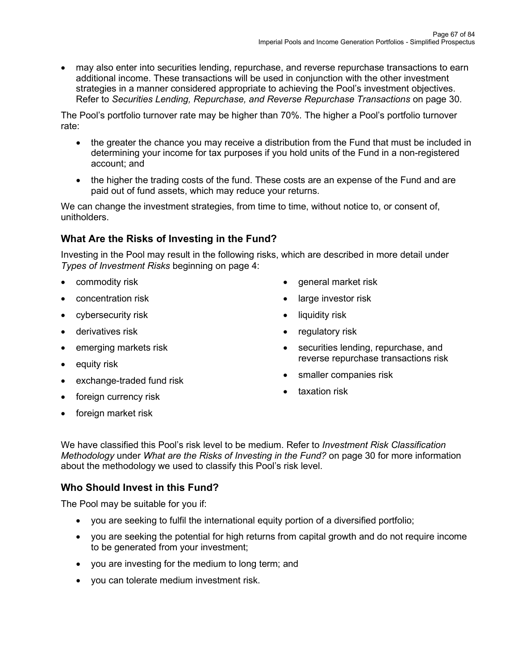• may also enter into securities lending, repurchase, and reverse repurchase transactions to earn additional income. These transactions will be used in conjunction with the other investment strategies in a manner considered appropriate to achieving the Pool's investment objectives. Refer to *Securities Lending, Repurchase, and Reverse Repurchase Transactions* on page 30.

The Pool's portfolio turnover rate may be higher than 70%. The higher a Pool's portfolio turnover rate:

- the greater the chance you may receive a distribution from the Fund that must be included in determining your income for tax purposes if you hold units of the Fund in a non-registered account; and
- the higher the trading costs of the fund. These costs are an expense of the Fund and are paid out of fund assets, which may reduce your returns.

We can change the investment strategies, from time to time, without notice to, or consent of, unitholders.

# **What Are the Risks of Investing in the Fund?**

Investing in the Pool may result in the following risks, which are described in more detail under *Types of Investment Risks* beginning on page 4:

- commodity risk
- concentration risk
- cybersecurity risk
- derivatives risk
- emerging markets risk
- equity risk
- exchange-traded fund risk
- general market risk
- large investor risk
- liquidity risk
- regulatory risk
- securities lending, repurchase, and reverse repurchase transactions risk
- smaller companies risk
- taxation risk
- foreign currency risk
- foreign market risk

We have classified this Pool's risk level to be medium. Refer to *Investment Risk Classification Methodology* under *What are the Risks of Investing in the Fund?* on page 30 for more information about the methodology we used to classify this Pool's risk level.

# **Who Should Invest in this Fund?**

The Pool may be suitable for you if:

- you are seeking to fulfil the international equity portion of a diversified portfolio;
- you are seeking the potential for high returns from capital growth and do not require income to be generated from your investment;
- you are investing for the medium to long term; and
- you can tolerate medium investment risk.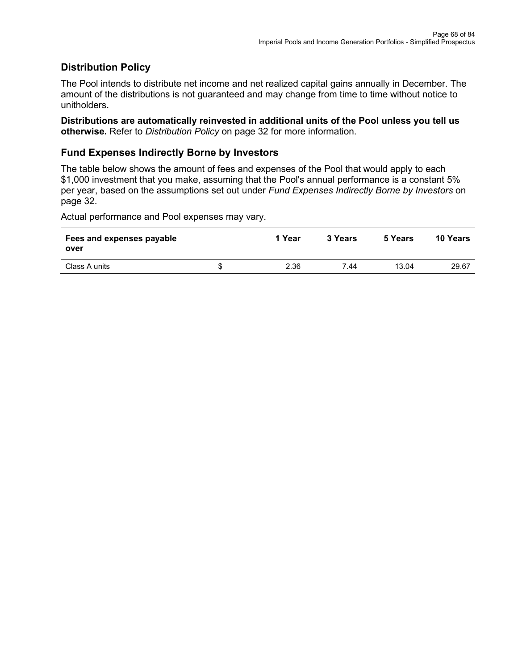## **Distribution Policy**

The Pool intends to distribute net income and net realized capital gains annually in December. The amount of the distributions is not guaranteed and may change from time to time without notice to unitholders.

**Distributions are automatically reinvested in additional units of the Pool unless you tell us otherwise.** Refer to *Distribution Policy* on page 32 for more information.

## **Fund Expenses Indirectly Borne by Investors**

The table below shows the amount of fees and expenses of the Pool that would apply to each \$1,000 investment that you make, assuming that the Pool's annual performance is a constant 5% per year, based on the assumptions set out under *Fund Expenses Indirectly Borne by Investors* on page 32.

| Fees and expenses payable<br>over |   | 1 Year | 3 Years | 5 Years | 10 Years |
|-----------------------------------|---|--------|---------|---------|----------|
| Class A units                     | S | 2.36   | 7.44    | 13.04   | 29.67    |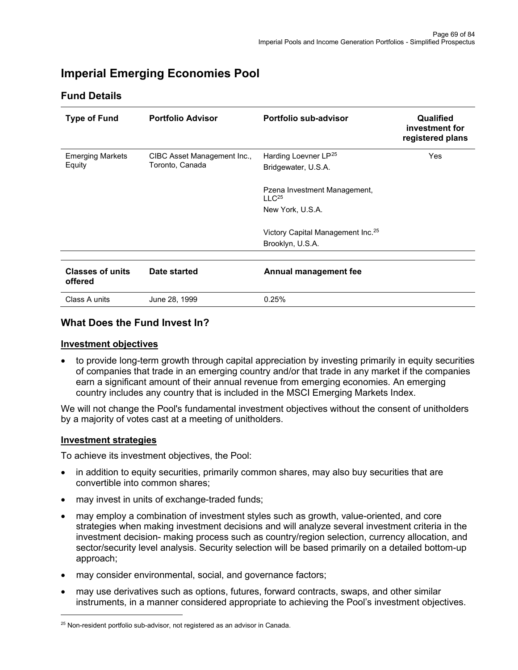# **Imperial Emerging Economies Pool**

## **Fund Details**

<span id="page-68-0"></span>

| <b>Type of Fund</b>                | <b>Portfolio Advisor</b>    | Portfolio sub-advisor                             | Qualified<br>investment for<br>registered plans |
|------------------------------------|-----------------------------|---------------------------------------------------|-------------------------------------------------|
| <b>Emerging Markets</b>            | CIBC Asset Management Inc., | Harding Loevner LP <sup>25</sup>                  | <b>Yes</b>                                      |
| Equity                             | Toronto, Canada             | Bridgewater, U.S.A.                               |                                                 |
|                                    |                             | Pzena Investment Management,<br>LLC <sup>25</sup> |                                                 |
|                                    |                             | New York, U.S.A.                                  |                                                 |
|                                    |                             | Victory Capital Management Inc. <sup>25</sup>     |                                                 |
|                                    |                             | Brooklyn, U.S.A.                                  |                                                 |
| <b>Classes of units</b><br>offered | Date started                | Annual management fee                             |                                                 |
| Class A units                      | June 28, 1999               | 0.25%                                             |                                                 |

# **What Does the Fund Invest In?**

#### **Investment objectives**

• to provide long-term growth through capital appreciation by investing primarily in equity securities of companies that trade in an emerging country and/or that trade in any market if the companies earn a significant amount of their annual revenue from emerging economies. An emerging country includes any country that is included in the MSCI Emerging Markets Index.

We will not change the Pool's fundamental investment objectives without the consent of unitholders by a majority of votes cast at a meeting of unitholders.

#### **Investment strategies**

- in addition to equity securities, primarily common shares, may also buy securities that are convertible into common shares;
- may invest in units of exchange-traded funds;
- may employ a combination of investment styles such as growth, value-oriented, and core strategies when making investment decisions and will analyze several investment criteria in the investment decision- making process such as country/region selection, currency allocation, and sector/security level analysis. Security selection will be based primarily on a detailed bottom-up approach;
- may consider environmental, social, and governance factors;
- may use derivatives such as options, futures, forward contracts, swaps, and other similar instruments, in a manner considered appropriate to achieving the Pool's investment objectives.

<span id="page-68-1"></span> $25$  Non-resident portfolio sub-advisor, not registered as an advisor in Canada.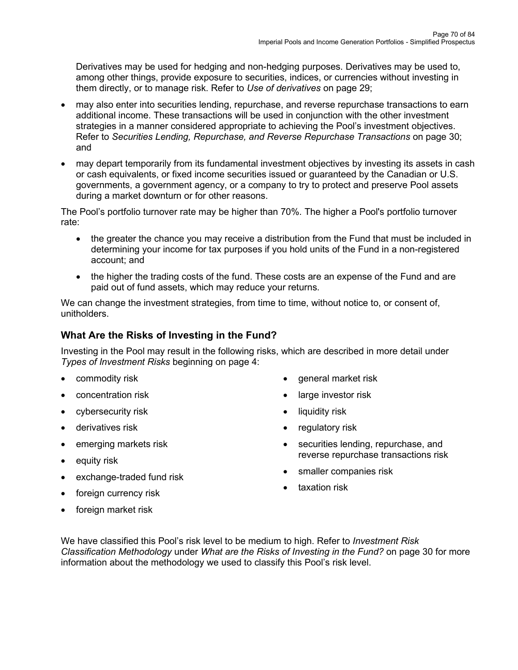Derivatives may be used for hedging and non-hedging purposes. Derivatives may be used to, among other things, provide exposure to securities, indices, or currencies without investing in them directly, or to manage risk. Refer to *Use of derivatives* on page 29;

- may also enter into securities lending, repurchase, and reverse repurchase transactions to earn additional income. These transactions will be used in conjunction with the other investment strategies in a manner considered appropriate to achieving the Pool's investment objectives. Refer to *Securities Lending, Repurchase, and Reverse Repurchase Transactions* on page 30; and
- may depart temporarily from its fundamental investment objectives by investing its assets in cash or cash equivalents, or fixed income securities issued or guaranteed by the Canadian or U.S. governments, a government agency, or a company to try to protect and preserve Pool assets during a market downturn or for other reasons.

The Pool's portfolio turnover rate may be higher than 70%. The higher a Pool's portfolio turnover rate:

- the greater the chance you may receive a distribution from the Fund that must be included in determining your income for tax purposes if you hold units of the Fund in a non-registered account; and
- the higher the trading costs of the fund. These costs are an expense of the Fund and are paid out of fund assets, which may reduce your returns.

We can change the investment strategies, from time to time, without notice to, or consent of, unitholders.

# **What Are the Risks of Investing in the Fund?**

Investing in the Pool may result in the following risks, which are described in more detail under *Types of Investment Risks* beginning on page 4:

- commodity risk
- concentration risk
- cybersecurity risk
- derivatives risk
- emerging markets risk
- equity risk
- exchange-traded fund risk
- foreign currency risk
- general market risk
- large investor risk
- liquidity risk
- regulatory risk
- securities lending, repurchase, and reverse repurchase transactions risk
- smaller companies risk
- taxation risk

• foreign market risk

We have classified this Pool's risk level to be medium to high. Refer to *Investment Risk Classification Methodology* under *What are the Risks of Investing in the Fund?* on page 30 for more information about the methodology we used to classify this Pool's risk level.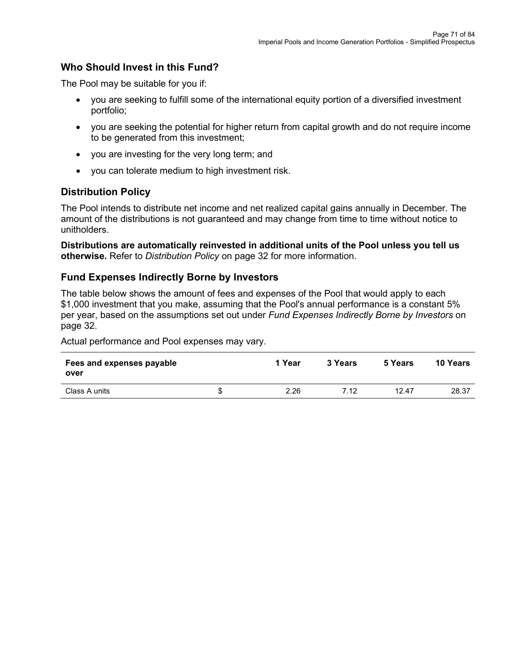# **Who Should Invest in this Fund?**

The Pool may be suitable for you if:

- you are seeking to fulfill some of the international equity portion of a diversified investment portfolio;
- you are seeking the potential for higher return from capital growth and do not require income to be generated from this investment;
- you are investing for the very long term; and
- you can tolerate medium to high investment risk.

## **Distribution Policy**

The Pool intends to distribute net income and net realized capital gains annually in December. The amount of the distributions is not guaranteed and may change from time to time without notice to unitholders.

**Distributions are automatically reinvested in additional units of the Pool unless you tell us otherwise.** Refer to *Distribution Policy* on page 32 for more information.

#### **Fund Expenses Indirectly Borne by Investors**

The table below shows the amount of fees and expenses of the Pool that would apply to each \$1,000 investment that you make, assuming that the Pool's annual performance is a constant 5% per year, based on the assumptions set out under *Fund Expenses Indirectly Borne by Investors* on page 32.

| Fees and expenses payable<br>over | 1 Year     | 3 Years | 5 Years | <b>10 Years</b> |
|-----------------------------------|------------|---------|---------|-----------------|
| Class A units                     | \$<br>2.26 | 7.12    | 12.47   | 28.37           |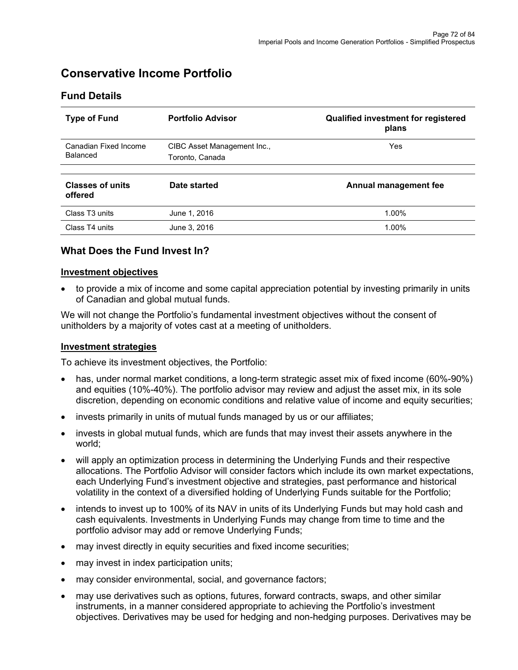# **Conservative Income Portfolio**

| <b>Type of Fund</b>                | <b>Portfolio Advisor</b>    | <b>Qualified investment for registered</b><br>plans |
|------------------------------------|-----------------------------|-----------------------------------------------------|
| Canadian Fixed Income              | CIBC Asset Management Inc., | Yes                                                 |
| Balanced                           | Toronto, Canada             |                                                     |
| <b>Classes of units</b><br>offered | Date started                | Annual management fee                               |
| Class T <sub>3</sub> units         | June 1, 2016                | 1.00%                                               |
| Class T4 units                     | June 3, 2016                | 1.00%                                               |

# **Fund Details**

# **What Does the Fund Invest In?**

#### **Investment objectives**

• to provide a mix of income and some capital appreciation potential by investing primarily in units of Canadian and global mutual funds.

We will not change the Portfolio's fundamental investment objectives without the consent of unitholders by a majority of votes cast at a meeting of unitholders.

#### **Investment strategies**

- has, under normal market conditions, a long-term strategic asset mix of fixed income (60%-90%) and equities (10%-40%). The portfolio advisor may review and adjust the asset mix, in its sole discretion, depending on economic conditions and relative value of income and equity securities;
- invests primarily in units of mutual funds managed by us or our affiliates;
- invests in global mutual funds, which are funds that may invest their assets anywhere in the world;
- will apply an optimization process in determining the Underlying Funds and their respective allocations. The Portfolio Advisor will consider factors which include its own market expectations, each Underlying Fund's investment objective and strategies, past performance and historical volatility in the context of a diversified holding of Underlying Funds suitable for the Portfolio;
- intends to invest up to 100% of its NAV in units of its Underlying Funds but may hold cash and cash equivalents. Investments in Underlying Funds may change from time to time and the portfolio advisor may add or remove Underlying Funds;
- may invest directly in equity securities and fixed income securities;
- may invest in index participation units;
- may consider environmental, social, and governance factors;
- may use derivatives such as options, futures, forward contracts, swaps, and other similar instruments, in a manner considered appropriate to achieving the Portfolio's investment objectives. Derivatives may be used for hedging and non-hedging purposes. Derivatives may be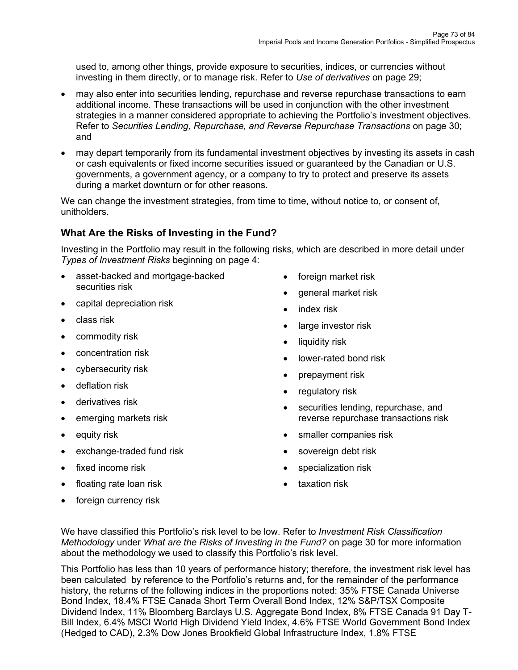used to, among other things, provide exposure to securities, indices, or currencies without investing in them directly, or to manage risk. Refer to *Use of derivatives* on page 29;

- may also enter into securities lending, repurchase and reverse repurchase transactions to earn additional income. These transactions will be used in conjunction with the other investment strategies in a manner considered appropriate to achieving the Portfolio's investment objectives. Refer to *Securities Lending, Repurchase, and Reverse Repurchase Transactions* on page 30; and
- may depart temporarily from its fundamental investment objectives by investing its assets in cash or cash equivalents or fixed income securities issued or guaranteed by the Canadian or U.S. governments, a government agency, or a company to try to protect and preserve its assets during a market downturn or for other reasons.

We can change the investment strategies, from time to time, without notice to, or consent of, unitholders.

# **What Are the Risks of Investing in the Fund?**

Investing in the Portfolio may result in the following risks, which are described in more detail under *Types of Investment Risks* beginning on page 4:

- asset-backed and mortgage-backed securities risk
- capital depreciation risk
- class risk
- commodity risk
- concentration risk
- cybersecurity risk
- deflation risk
- derivatives risk
- emerging markets risk
- equity risk
- exchange-traded fund risk
- fixed income risk
- floating rate loan risk
- foreign currency risk
- foreign market risk
- general market risk
- index risk
- large investor risk
- liquidity risk
- lower-rated bond risk
- prepayment risk
- regulatory risk
- securities lending, repurchase, and reverse repurchase transactions risk
- smaller companies risk
- sovereign debt risk
- specialization risk
- taxation risk

We have classified this Portfolio's risk level to be low. Refer to *Investment Risk Classification Methodology* under *What are the Risks of Investing in the Fund?* on page 30 for more information about the methodology we used to classify this Portfolio's risk level.

This Portfolio has less than 10 years of performance history; therefore, the investment risk level has been calculated by reference to the Portfolio's returns and, for the remainder of the performance history, the returns of the following indices in the proportions noted: 35% FTSE Canada Universe Bond Index, 18.4% FTSE Canada Short Term Overall Bond Index, 12% S&P/TSX Composite Dividend Index, 11% Bloomberg Barclays U.S. Aggregate Bond Index, 8% FTSE Canada 91 Day T-Bill Index, 6.4% MSCI World High Dividend Yield Index, 4.6% FTSE World Government Bond Index (Hedged to CAD), 2.3% Dow Jones Brookfield Global Infrastructure Index, 1.8% FTSE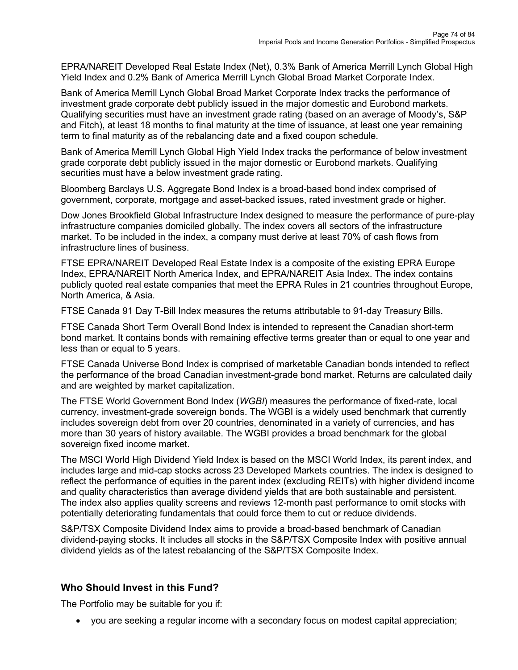EPRA/NAREIT Developed Real Estate Index (Net), 0.3% Bank of America Merrill Lynch Global High Yield Index and 0.2% Bank of America Merrill Lynch Global Broad Market Corporate Index.

Bank of America Merrill Lynch Global Broad Market Corporate Index tracks the performance of investment grade corporate debt publicly issued in the major domestic and Eurobond markets. Qualifying securities must have an investment grade rating (based on an average of Moody's, S&P and Fitch), at least 18 months to final maturity at the time of issuance, at least one year remaining term to final maturity as of the rebalancing date and a fixed coupon schedule.

Bank of America Merrill Lynch Global High Yield Index tracks the performance of below investment grade corporate debt publicly issued in the major domestic or Eurobond markets. Qualifying securities must have a below investment grade rating.

Bloomberg Barclays U.S. Aggregate Bond Index is a broad-based bond index comprised of government, corporate, mortgage and asset-backed issues, rated investment grade or higher.

Dow Jones Brookfield Global Infrastructure Index designed to measure the performance of pure-play infrastructure companies domiciled globally. The index covers all sectors of the infrastructure market. To be included in the index, a company must derive at least 70% of cash flows from infrastructure lines of business.

FTSE EPRA/NAREIT Developed Real Estate Index is a composite of the existing EPRA Europe Index, EPRA/NAREIT North America Index, and EPRA/NAREIT Asia Index. The index contains publicly quoted real estate companies that meet the EPRA Rules in 21 countries throughout Europe, North America, & Asia.

FTSE Canada 91 Day T-Bill Index measures the returns attributable to 91-day Treasury Bills.

FTSE Canada Short Term Overall Bond Index is intended to represent the Canadian short-term bond market. It contains bonds with remaining effective terms greater than or equal to one year and less than or equal to 5 years.

FTSE Canada Universe Bond Index is comprised of marketable Canadian bonds intended to reflect the performance of the broad Canadian investment-grade bond market. Returns are calculated daily and are weighted by market capitalization.

The FTSE World Government Bond Index (*WGBI*) measures the performance of fixed-rate, local currency, investment-grade sovereign bonds. The WGBI is a widely used benchmark that currently includes sovereign debt from over 20 countries, denominated in a variety of currencies, and has more than 30 years of history available. The WGBI provides a broad benchmark for the global sovereign fixed income market.

The MSCI World High Dividend Yield Index is based on the MSCI World Index, its parent index, and includes large and mid-cap stocks across 23 Developed Markets countries. The index is designed to reflect the performance of equities in the parent index (excluding REITs) with higher dividend income and quality characteristics than average dividend yields that are both sustainable and persistent. The index also applies quality screens and reviews 12-month past performance to omit stocks with potentially deteriorating fundamentals that could force them to cut or reduce dividends.

S&P/TSX Composite Dividend Index aims to provide a broad-based benchmark of Canadian dividend-paying stocks. It includes all stocks in the S&P/TSX Composite Index with positive annual dividend yields as of the latest rebalancing of the S&P/TSX Composite Index.

# **Who Should Invest in this Fund?**

The Portfolio may be suitable for you if:

• you are seeking a regular income with a secondary focus on modest capital appreciation;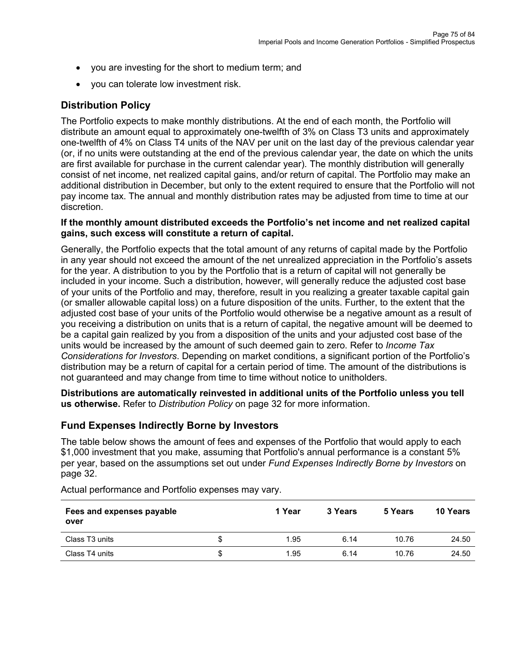- you are investing for the short to medium term; and
- you can tolerate low investment risk.

# **Distribution Policy**

The Portfolio expects to make monthly distributions. At the end of each month, the Portfolio will distribute an amount equal to approximately one-twelfth of 3% on Class T3 units and approximately one-twelfth of 4% on Class T4 units of the NAV per unit on the last day of the previous calendar year (or, if no units were outstanding at the end of the previous calendar year, the date on which the units are first available for purchase in the current calendar year). The monthly distribution will generally consist of net income, net realized capital gains, and/or return of capital. The Portfolio may make an additional distribution in December, but only to the extent required to ensure that the Portfolio will not pay income tax. The annual and monthly distribution rates may be adjusted from time to time at our discretion.

#### **If the monthly amount distributed exceeds the Portfolio's net income and net realized capital gains, such excess will constitute a return of capital.**

Generally, the Portfolio expects that the total amount of any returns of capital made by the Portfolio in any year should not exceed the amount of the net unrealized appreciation in the Portfolio's assets for the year. A distribution to you by the Portfolio that is a return of capital will not generally be included in your income. Such a distribution, however, will generally reduce the adjusted cost base of your units of the Portfolio and may, therefore, result in you realizing a greater taxable capital gain (or smaller allowable capital loss) on a future disposition of the units. Further, to the extent that the adjusted cost base of your units of the Portfolio would otherwise be a negative amount as a result of you receiving a distribution on units that is a return of capital, the negative amount will be deemed to be a capital gain realized by you from a disposition of the units and your adjusted cost base of the units would be increased by the amount of such deemed gain to zero. Refer to *Income Tax Considerations for Investors*. Depending on market conditions, a significant portion of the Portfolio's distribution may be a return of capital for a certain period of time. The amount of the distributions is not guaranteed and may change from time to time without notice to unitholders.

**Distributions are automatically reinvested in additional units of the Portfolio unless you tell us otherwise.** Refer to *Distribution Policy* on page 32 for more information.

# **Fund Expenses Indirectly Borne by Investors**

The table below shows the amount of fees and expenses of the Portfolio that would apply to each \$1,000 investment that you make, assuming that Portfolio's annual performance is a constant 5% per year, based on the assumptions set out under *Fund Expenses Indirectly Borne by Investors* on page 32.

| Fees and expenses payable<br>over |   | 1 Year | 3 Years | 5 Years | 10 Years |
|-----------------------------------|---|--------|---------|---------|----------|
| Class T3 units                    | S | 1.95   | 6.14    | 10.76   | 24.50    |
| Class T4 units                    | S | 1.95   | 6.14    | 10.76   | 24.50    |

Actual performance and Portfolio expenses may vary.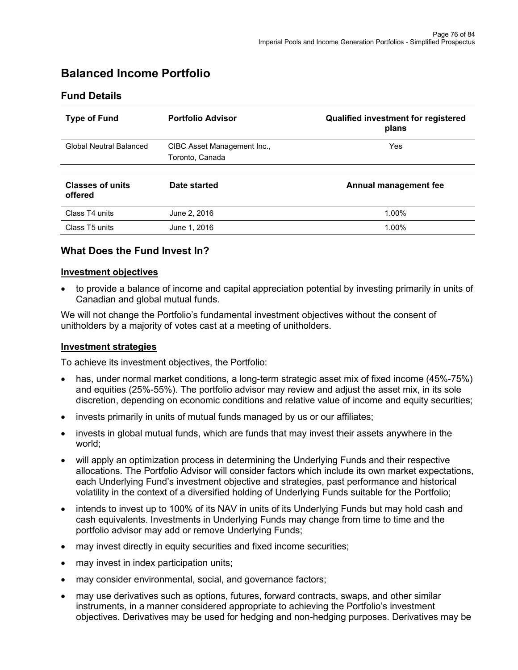# **Balanced Income Portfolio**

## **Fund Details**

| <b>Type of Fund</b>                | <b>Portfolio Advisor</b>                       | <b>Qualified investment for registered</b><br>plans |
|------------------------------------|------------------------------------------------|-----------------------------------------------------|
| Global Neutral Balanced            | CIBC Asset Management Inc.,<br>Toronto, Canada | Yes                                                 |
| <b>Classes of units</b><br>offered | Date started                                   | Annual management fee                               |
| Class T4 units                     | June 2, 2016                                   | 1.00%                                               |
| Class T5 units                     | June 1, 2016                                   | 1.00%                                               |

## **What Does the Fund Invest In?**

#### **Investment objectives**

• to provide a balance of income and capital appreciation potential by investing primarily in units of Canadian and global mutual funds.

We will not change the Portfolio's fundamental investment objectives without the consent of unitholders by a majority of votes cast at a meeting of unitholders.

#### **Investment strategies**

To achieve its investment objectives, the Portfolio:

- has, under normal market conditions, a long-term strategic asset mix of fixed income (45%-75%) and equities (25%-55%). The portfolio advisor may review and adjust the asset mix, in its sole discretion, depending on economic conditions and relative value of income and equity securities;
- invests primarily in units of mutual funds managed by us or our affiliates;
- invests in global mutual funds, which are funds that may invest their assets anywhere in the world;
- will apply an optimization process in determining the Underlying Funds and their respective allocations. The Portfolio Advisor will consider factors which include its own market expectations, each Underlying Fund's investment objective and strategies, past performance and historical volatility in the context of a diversified holding of Underlying Funds suitable for the Portfolio;
- intends to invest up to 100% of its NAV in units of its Underlying Funds but may hold cash and cash equivalents. Investments in Underlying Funds may change from time to time and the portfolio advisor may add or remove Underlying Funds;
- may invest directly in equity securities and fixed income securities;
- may invest in index participation units;
- may consider environmental, social, and governance factors;
- may use derivatives such as options, futures, forward contracts, swaps, and other similar instruments, in a manner considered appropriate to achieving the Portfolio's investment objectives. Derivatives may be used for hedging and non-hedging purposes. Derivatives may be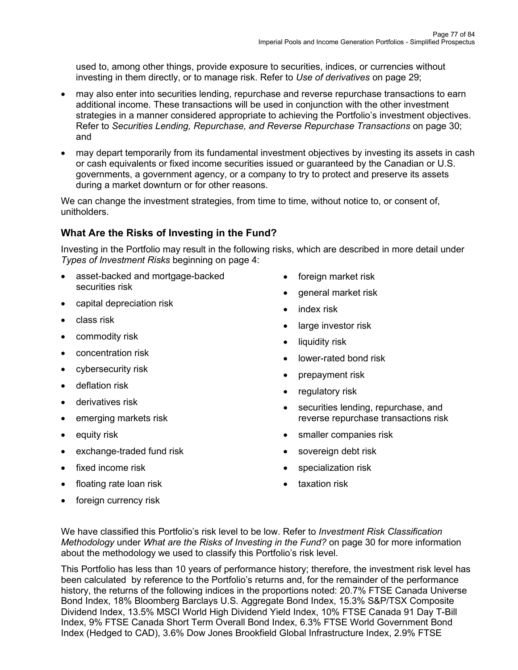used to, among other things, provide exposure to securities, indices, or currencies without investing in them directly, or to manage risk. Refer to *Use of derivatives* on page 29;

- may also enter into securities lending, repurchase and reverse repurchase transactions to earn additional income. These transactions will be used in conjunction with the other investment strategies in a manner considered appropriate to achieving the Portfolio's investment objectives. Refer to *Securities Lending, Repurchase, and Reverse Repurchase Transactions* on page 30; and
- may depart temporarily from its fundamental investment objectives by investing its assets in cash or cash equivalents or fixed income securities issued or guaranteed by the Canadian or U.S. governments, a government agency, or a company to try to protect and preserve its assets during a market downturn or for other reasons.

We can change the investment strategies, from time to time, without notice to, or consent of, unitholders.

# **What Are the Risks of Investing in the Fund?**

Investing in the Portfolio may result in the following risks, which are described in more detail under *Types of Investment Risks* beginning on page 4:

- asset-backed and mortgage-backed securities risk
- capital depreciation risk
- class risk
- commodity risk
- concentration risk
- cybersecurity risk
- deflation risk
- derivatives risk
- emerging markets risk
- equity risk
- exchange-traded fund risk
- fixed income risk
- floating rate loan risk
- foreign currency risk
- foreign market risk
- general market risk
- index risk
- large investor risk
- liquidity risk
- lower-rated bond risk
- prepayment risk
- regulatory risk
- securities lending, repurchase, and reverse repurchase transactions risk
- smaller companies risk
- sovereign debt risk
- specialization risk
- taxation risk

We have classified this Portfolio's risk level to be low. Refer to *Investment Risk Classification Methodology* under *What are the Risks of Investing in the Fund?* on page 30 for more information about the methodology we used to classify this Portfolio's risk level.

This Portfolio has less than 10 years of performance history; therefore, the investment risk level has been calculated by reference to the Portfolio's returns and, for the remainder of the performance history, the returns of the following indices in the proportions noted: 20.7% FTSE Canada Universe Bond Index, 18% Bloomberg Barclays U.S. Aggregate Bond Index, 15.3% S&P/TSX Composite Dividend Index, 13.5% MSCI World High Dividend Yield Index, 10% FTSE Canada 91 Day T-Bill Index, 9% FTSE Canada Short Term Overall Bond Index, 6.3% FTSE World Government Bond Index (Hedged to CAD), 3.6% Dow Jones Brookfield Global Infrastructure Index, 2.9% FTSE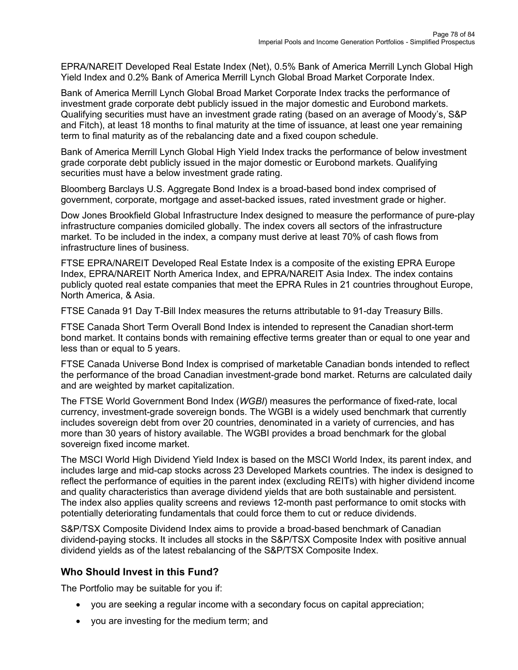EPRA/NAREIT Developed Real Estate Index (Net), 0.5% Bank of America Merrill Lynch Global High Yield Index and 0.2% Bank of America Merrill Lynch Global Broad Market Corporate Index.

Bank of America Merrill Lynch Global Broad Market Corporate Index tracks the performance of investment grade corporate debt publicly issued in the major domestic and Eurobond markets. Qualifying securities must have an investment grade rating (based on an average of Moody's, S&P and Fitch), at least 18 months to final maturity at the time of issuance, at least one year remaining term to final maturity as of the rebalancing date and a fixed coupon schedule.

Bank of America Merrill Lynch Global High Yield Index tracks the performance of below investment grade corporate debt publicly issued in the major domestic or Eurobond markets. Qualifying securities must have a below investment grade rating.

Bloomberg Barclays U.S. Aggregate Bond Index is a broad-based bond index comprised of government, corporate, mortgage and asset-backed issues, rated investment grade or higher.

Dow Jones Brookfield Global Infrastructure Index designed to measure the performance of pure-play infrastructure companies domiciled globally. The index covers all sectors of the infrastructure market. To be included in the index, a company must derive at least 70% of cash flows from infrastructure lines of business.

FTSE EPRA/NAREIT Developed Real Estate Index is a composite of the existing EPRA Europe Index, EPRA/NAREIT North America Index, and EPRA/NAREIT Asia Index. The index contains publicly quoted real estate companies that meet the EPRA Rules in 21 countries throughout Europe, North America, & Asia.

FTSE Canada 91 Day T-Bill Index measures the returns attributable to 91-day Treasury Bills.

FTSE Canada Short Term Overall Bond Index is intended to represent the Canadian short-term bond market. It contains bonds with remaining effective terms greater than or equal to one year and less than or equal to 5 years.

FTSE Canada Universe Bond Index is comprised of marketable Canadian bonds intended to reflect the performance of the broad Canadian investment-grade bond market. Returns are calculated daily and are weighted by market capitalization.

The FTSE World Government Bond Index (*WGBI*) measures the performance of fixed-rate, local currency, investment-grade sovereign bonds. The WGBI is a widely used benchmark that currently includes sovereign debt from over 20 countries, denominated in a variety of currencies, and has more than 30 years of history available. The WGBI provides a broad benchmark for the global sovereign fixed income market.

The MSCI World High Dividend Yield Index is based on the MSCI World Index, its parent index, and includes large and mid-cap stocks across 23 Developed Markets countries. The index is designed to reflect the performance of equities in the parent index (excluding REITs) with higher dividend income and quality characteristics than average dividend yields that are both sustainable and persistent. The index also applies quality screens and reviews 12-month past performance to omit stocks with potentially deteriorating fundamentals that could force them to cut or reduce dividends.

S&P/TSX Composite Dividend Index aims to provide a broad-based benchmark of Canadian dividend-paying stocks. It includes all stocks in the S&P/TSX Composite Index with positive annual dividend yields as of the latest rebalancing of the S&P/TSX Composite Index.

# **Who Should Invest in this Fund?**

The Portfolio may be suitable for you if:

- you are seeking a regular income with a secondary focus on capital appreciation;
- you are investing for the medium term; and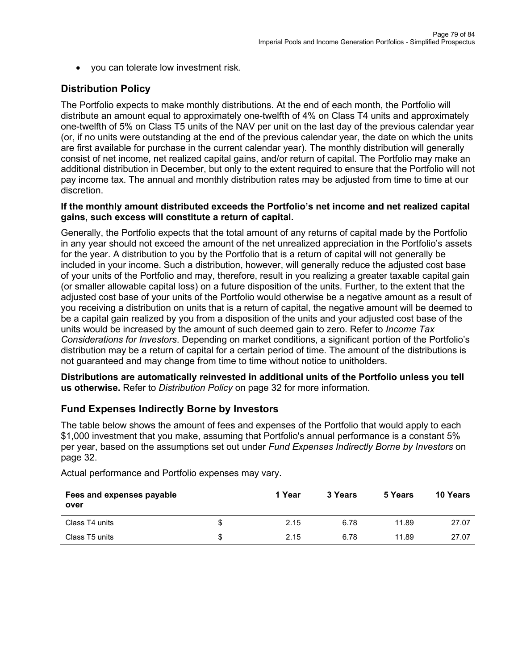• you can tolerate low investment risk.

# **Distribution Policy**

The Portfolio expects to make monthly distributions. At the end of each month, the Portfolio will distribute an amount equal to approximately one-twelfth of 4% on Class T4 units and approximately one-twelfth of 5% on Class T5 units of the NAV per unit on the last day of the previous calendar year (or, if no units were outstanding at the end of the previous calendar year, the date on which the units are first available for purchase in the current calendar year). The monthly distribution will generally consist of net income, net realized capital gains, and/or return of capital. The Portfolio may make an additional distribution in December, but only to the extent required to ensure that the Portfolio will not pay income tax. The annual and monthly distribution rates may be adjusted from time to time at our discretion.

#### **If the monthly amount distributed exceeds the Portfolio's net income and net realized capital gains, such excess will constitute a return of capital.**

Generally, the Portfolio expects that the total amount of any returns of capital made by the Portfolio in any year should not exceed the amount of the net unrealized appreciation in the Portfolio's assets for the year. A distribution to you by the Portfolio that is a return of capital will not generally be included in your income. Such a distribution, however, will generally reduce the adjusted cost base of your units of the Portfolio and may, therefore, result in you realizing a greater taxable capital gain (or smaller allowable capital loss) on a future disposition of the units. Further, to the extent that the adjusted cost base of your units of the Portfolio would otherwise be a negative amount as a result of you receiving a distribution on units that is a return of capital, the negative amount will be deemed to be a capital gain realized by you from a disposition of the units and your adjusted cost base of the units would be increased by the amount of such deemed gain to zero. Refer to *Income Tax Considerations for Investors*. Depending on market conditions, a significant portion of the Portfolio's distribution may be a return of capital for a certain period of time. The amount of the distributions is not guaranteed and may change from time to time without notice to unitholders.

**Distributions are automatically reinvested in additional units of the Portfolio unless you tell us otherwise.** Refer to *Distribution Policy* on page 32 for more information.

## **Fund Expenses Indirectly Borne by Investors**

The table below shows the amount of fees and expenses of the Portfolio that would apply to each \$1,000 investment that you make, assuming that Portfolio's annual performance is a constant 5% per year, based on the assumptions set out under *Fund Expenses Indirectly Borne by Investors* on page 32.

| Fees and expenses payable<br>over |   | 1 Year | 3 Years | 5 Years | 10 Years |
|-----------------------------------|---|--------|---------|---------|----------|
| Class T4 units                    |   | 2.15   | 6.78    | 11.89   | 27.07    |
| Class T5 units                    | Ъ | 2.15   | 6.78    | 11.89   | 27.07    |

Actual performance and Portfolio expenses may vary.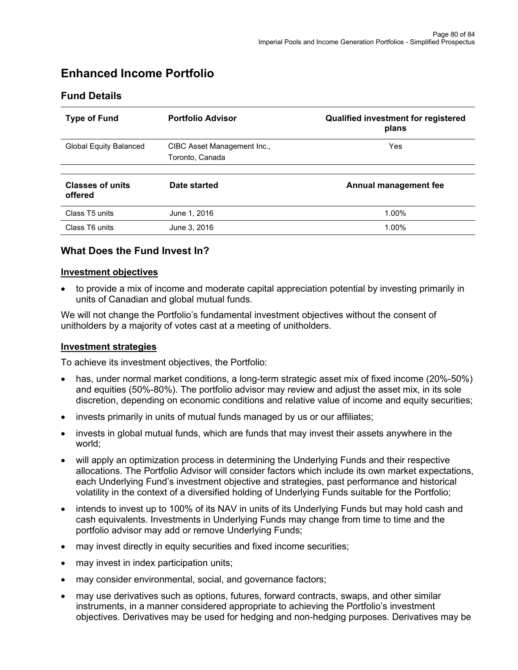# **Enhanced Income Portfolio**

## **Fund Details**

| <b>Type of Fund</b>                | <b>Portfolio Advisor</b>                       | Qualified investment for registered<br>plans |
|------------------------------------|------------------------------------------------|----------------------------------------------|
| <b>Global Equity Balanced</b>      | CIBC Asset Management Inc.,<br>Toronto, Canada | <b>Yes</b>                                   |
| <b>Classes of units</b><br>offered | Date started                                   | Annual management fee                        |
| Class T5 units                     | June 1, 2016                                   | 1.00%                                        |
| Class T6 units                     | June 3, 2016                                   | 1.00%                                        |

## **What Does the Fund Invest In?**

#### **Investment objectives**

• to provide a mix of income and moderate capital appreciation potential by investing primarily in units of Canadian and global mutual funds.

We will not change the Portfolio's fundamental investment objectives without the consent of unitholders by a majority of votes cast at a meeting of unitholders.

#### **Investment strategies**

To achieve its investment objectives, the Portfolio:

- has, under normal market conditions, a long-term strategic asset mix of fixed income (20%-50%) and equities (50%-80%). The portfolio advisor may review and adjust the asset mix, in its sole discretion, depending on economic conditions and relative value of income and equity securities;
- invests primarily in units of mutual funds managed by us or our affiliates;
- invests in global mutual funds, which are funds that may invest their assets anywhere in the world;
- will apply an optimization process in determining the Underlying Funds and their respective allocations. The Portfolio Advisor will consider factors which include its own market expectations, each Underlying Fund's investment objective and strategies, past performance and historical volatility in the context of a diversified holding of Underlying Funds suitable for the Portfolio;
- intends to invest up to 100% of its NAV in units of its Underlying Funds but may hold cash and cash equivalents. Investments in Underlying Funds may change from time to time and the portfolio advisor may add or remove Underlying Funds;
- may invest directly in equity securities and fixed income securities;
- may invest in index participation units;
- may consider environmental, social, and governance factors;
- may use derivatives such as options, futures, forward contracts, swaps, and other similar instruments, in a manner considered appropriate to achieving the Portfolio's investment objectives. Derivatives may be used for hedging and non-hedging purposes. Derivatives may be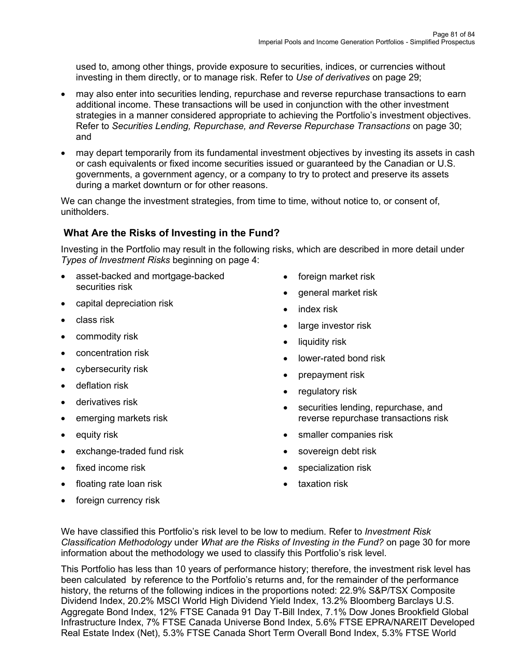used to, among other things, provide exposure to securities, indices, or currencies without investing in them directly, or to manage risk. Refer to *Use of derivatives* on page 29;

- may also enter into securities lending, repurchase and reverse repurchase transactions to earn additional income. These transactions will be used in conjunction with the other investment strategies in a manner considered appropriate to achieving the Portfolio's investment objectives. Refer to *Securities Lending, Repurchase, and Reverse Repurchase Transactions* on page 30; and
- may depart temporarily from its fundamental investment objectives by investing its assets in cash or cash equivalents or fixed income securities issued or guaranteed by the Canadian or U.S. governments, a government agency, or a company to try to protect and preserve its assets during a market downturn or for other reasons.

We can change the investment strategies, from time to time, without notice to, or consent of, unitholders.

# **What Are the Risks of Investing in the Fund?**

Investing in the Portfolio may result in the following risks, which are described in more detail under *Types of Investment Risks* beginning on page 4:

- asset-backed and mortgage-backed securities risk
- capital depreciation risk
- class risk
- commodity risk
- concentration risk
- cybersecurity risk
- deflation risk
- derivatives risk
- emerging markets risk
- equity risk
- exchange-traded fund risk
- fixed income risk
- floating rate loan risk
- foreign currency risk
- foreign market risk
- general market risk
- index risk
- large investor risk
- liquidity risk
- lower-rated bond risk
- prepayment risk
- regulatory risk
- securities lending, repurchase, and reverse repurchase transactions risk
- smaller companies risk
- sovereign debt risk
- specialization risk
- taxation risk

We have classified this Portfolio's risk level to be low to medium. Refer to *Investment Risk Classification Methodology* under *What are the Risks of Investing in the Fund?* on page 30 for more information about the methodology we used to classify this Portfolio's risk level.

This Portfolio has less than 10 years of performance history; therefore, the investment risk level has been calculated by reference to the Portfolio's returns and, for the remainder of the performance history, the returns of the following indices in the proportions noted: 22.9% S&P/TSX Composite Dividend Index, 20.2% MSCI World High Dividend Yield Index, 13.2% Bloomberg Barclays U.S. Aggregate Bond Index, 12% FTSE Canada 91 Day T-Bill Index, 7.1% Dow Jones Brookfield Global Infrastructure Index, 7% FTSE Canada Universe Bond Index, 5.6% FTSE EPRA/NAREIT Developed Real Estate Index (Net), 5.3% FTSE Canada Short Term Overall Bond Index, 5.3% FTSE World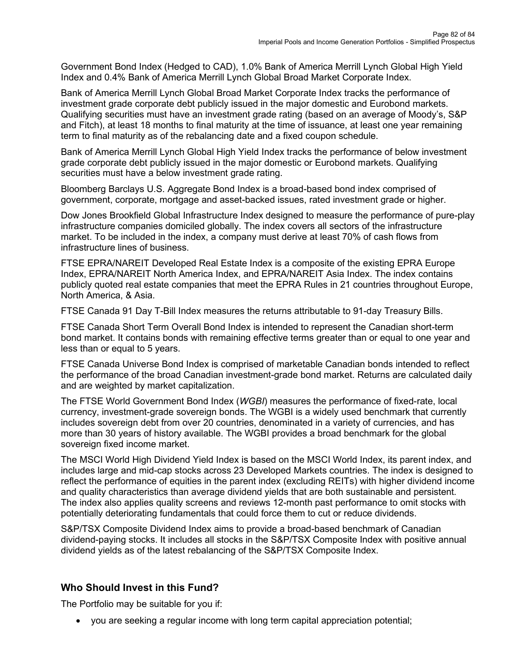Government Bond Index (Hedged to CAD), 1.0% Bank of America Merrill Lynch Global High Yield Index and 0.4% Bank of America Merrill Lynch Global Broad Market Corporate Index.

Bank of America Merrill Lynch Global Broad Market Corporate Index tracks the performance of investment grade corporate debt publicly issued in the major domestic and Eurobond markets. Qualifying securities must have an investment grade rating (based on an average of Moody's, S&P and Fitch), at least 18 months to final maturity at the time of issuance, at least one year remaining term to final maturity as of the rebalancing date and a fixed coupon schedule.

Bank of America Merrill Lynch Global High Yield Index tracks the performance of below investment grade corporate debt publicly issued in the major domestic or Eurobond markets. Qualifying securities must have a below investment grade rating.

Bloomberg Barclays U.S. Aggregate Bond Index is a broad-based bond index comprised of government, corporate, mortgage and asset-backed issues, rated investment grade or higher.

Dow Jones Brookfield Global Infrastructure Index designed to measure the performance of pure-play infrastructure companies domiciled globally. The index covers all sectors of the infrastructure market. To be included in the index, a company must derive at least 70% of cash flows from infrastructure lines of business.

FTSE EPRA/NAREIT Developed Real Estate Index is a composite of the existing EPRA Europe Index, EPRA/NAREIT North America Index, and EPRA/NAREIT Asia Index. The index contains publicly quoted real estate companies that meet the EPRA Rules in 21 countries throughout Europe, North America, & Asia.

FTSE Canada 91 Day T-Bill Index measures the returns attributable to 91-day Treasury Bills.

FTSE Canada Short Term Overall Bond Index is intended to represent the Canadian short-term bond market. It contains bonds with remaining effective terms greater than or equal to one year and less than or equal to 5 years.

FTSE Canada Universe Bond Index is comprised of marketable Canadian bonds intended to reflect the performance of the broad Canadian investment-grade bond market. Returns are calculated daily and are weighted by market capitalization.

The FTSE World Government Bond Index (*WGBI*) measures the performance of fixed-rate, local currency, investment-grade sovereign bonds. The WGBI is a widely used benchmark that currently includes sovereign debt from over 20 countries, denominated in a variety of currencies, and has more than 30 years of history available. The WGBI provides a broad benchmark for the global sovereign fixed income market.

The MSCI World High Dividend Yield Index is based on the MSCI World Index, its parent index, and includes large and mid-cap stocks across 23 Developed Markets countries. The index is designed to reflect the performance of equities in the parent index (excluding REITs) with higher dividend income and quality characteristics than average dividend yields that are both sustainable and persistent. The index also applies quality screens and reviews 12-month past performance to omit stocks with potentially deteriorating fundamentals that could force them to cut or reduce dividends.

S&P/TSX Composite Dividend Index aims to provide a broad-based benchmark of Canadian dividend-paying stocks. It includes all stocks in the S&P/TSX Composite Index with positive annual dividend yields as of the latest rebalancing of the S&P/TSX Composite Index.

# **Who Should Invest in this Fund?**

The Portfolio may be suitable for you if:

• you are seeking a regular income with long term capital appreciation potential;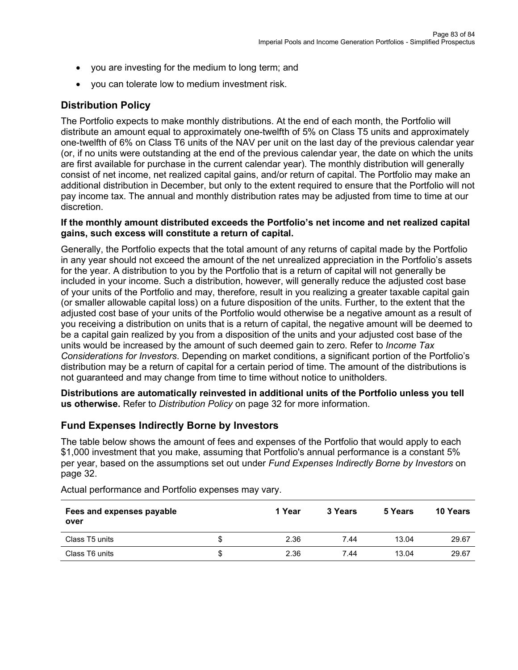- you are investing for the medium to long term; and
- you can tolerate low to medium investment risk.

# **Distribution Policy**

The Portfolio expects to make monthly distributions. At the end of each month, the Portfolio will distribute an amount equal to approximately one-twelfth of 5% on Class T5 units and approximately one-twelfth of 6% on Class T6 units of the NAV per unit on the last day of the previous calendar year (or, if no units were outstanding at the end of the previous calendar year, the date on which the units are first available for purchase in the current calendar year). The monthly distribution will generally consist of net income, net realized capital gains, and/or return of capital. The Portfolio may make an additional distribution in December, but only to the extent required to ensure that the Portfolio will not pay income tax. The annual and monthly distribution rates may be adjusted from time to time at our discretion.

#### **If the monthly amount distributed exceeds the Portfolio's net income and net realized capital gains, such excess will constitute a return of capital.**

Generally, the Portfolio expects that the total amount of any returns of capital made by the Portfolio in any year should not exceed the amount of the net unrealized appreciation in the Portfolio's assets for the year. A distribution to you by the Portfolio that is a return of capital will not generally be included in your income. Such a distribution, however, will generally reduce the adjusted cost base of your units of the Portfolio and may, therefore, result in you realizing a greater taxable capital gain (or smaller allowable capital loss) on a future disposition of the units. Further, to the extent that the adjusted cost base of your units of the Portfolio would otherwise be a negative amount as a result of you receiving a distribution on units that is a return of capital, the negative amount will be deemed to be a capital gain realized by you from a disposition of the units and your adjusted cost base of the units would be increased by the amount of such deemed gain to zero. Refer to *Income Tax Considerations for Investors*. Depending on market conditions, a significant portion of the Portfolio's distribution may be a return of capital for a certain period of time. The amount of the distributions is not guaranteed and may change from time to time without notice to unitholders.

**Distributions are automatically reinvested in additional units of the Portfolio unless you tell us otherwise.** Refer to *Distribution Policy* on page 32 for more information.

## **Fund Expenses Indirectly Borne by Investors**

The table below shows the amount of fees and expenses of the Portfolio that would apply to each \$1,000 investment that you make, assuming that Portfolio's annual performance is a constant 5% per year, based on the assumptions set out under *Fund Expenses Indirectly Borne by Investors* on page 32.

| Fees and expenses payable<br>over |   | 1 Year | 3 Years | 5 Years | <b>10 Years</b> |
|-----------------------------------|---|--------|---------|---------|-----------------|
| Class T5 units                    | S | 2.36   | 7.44    | 13.04   | 29.67           |
| Class T6 units                    | S | 2.36   | 7.44    | 13.04   | 29.67           |

Actual performance and Portfolio expenses may vary.